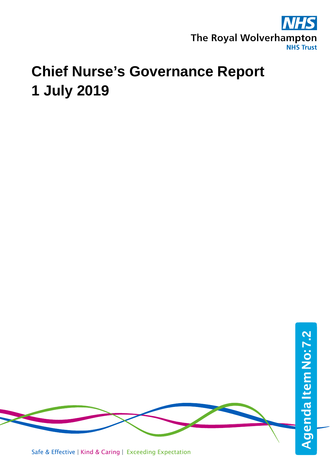

# **Chief Nurse's Governance Report 1 July 2019**



Safe & Effective | Kind & Caring | Exceeding Expectation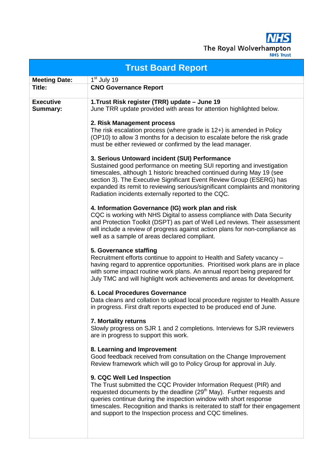**NHS** The Royal Wolverhampton

|                              | <b>Trust Board Report</b>                                                                                                                                                                                                                                                                                                                                                                                        |  |  |  |  |
|------------------------------|------------------------------------------------------------------------------------------------------------------------------------------------------------------------------------------------------------------------------------------------------------------------------------------------------------------------------------------------------------------------------------------------------------------|--|--|--|--|
| <b>Meeting Date:</b>         | 1 <sup>st</sup> July 19                                                                                                                                                                                                                                                                                                                                                                                          |  |  |  |  |
| Title:                       | <b>CNO Governance Report</b>                                                                                                                                                                                                                                                                                                                                                                                     |  |  |  |  |
| <b>Executive</b><br>Summary: | 1. Trust Risk register (TRR) update - June 19<br>June TRR update provided with areas for attention highlighted below.                                                                                                                                                                                                                                                                                            |  |  |  |  |
|                              | 2. Risk Management process<br>The risk escalation process (where grade is 12+) is amended in Policy<br>(OP10) to allow 3 months for a decision to escalate before the risk grade<br>must be either reviewed or confirmed by the lead manager.                                                                                                                                                                    |  |  |  |  |
|                              | 3. Serious Untoward incident (SUI) Performance<br>Sustained good performance on meeting SUI reporting and investigation<br>timescales, although 1 historic breached continued during May 19 (see<br>section 3). The Executive Significant Event Review Group (ESERG) has<br>expanded its remit to reviewing serious/significant complaints and monitoring<br>Radiation incidents externally reported to the CQC. |  |  |  |  |
|                              | 4. Information Governance (IG) work plan and risk<br>CQC is working with NHS Digital to assess compliance with Data Security<br>and Protection Toolkit (DSPT) as part of Well Led reviews. Their assessment<br>will include a review of progress against action plans for non-compliance as<br>well as a sample of areas declared compliant.                                                                     |  |  |  |  |
|                              | 5. Governance staffing<br>Recruitment efforts continue to appoint to Health and Safety vacancy -<br>having regard to apprentice opportunities. Prioritised work plans are in place<br>with some impact routine work plans. An annual report being prepared for<br>July TMC and will highlight work achievements and areas for development.                                                                       |  |  |  |  |
|                              | 6. Local Procedures Governance<br>Data cleans and collation to upload local procedure register to Health Assure<br>in progress. First draft reports expected to be produced end of June.                                                                                                                                                                                                                         |  |  |  |  |
|                              | 7. Mortality returns<br>Slowly progress on SJR 1 and 2 completions. Interviews for SJR reviewers<br>are in progress to support this work.                                                                                                                                                                                                                                                                        |  |  |  |  |
|                              | 8. Learning and Improvement<br>Good feedback received from consultation on the Change Improvement<br>Review framework which will go to Policy Group for approval in July.                                                                                                                                                                                                                                        |  |  |  |  |
|                              | 9. CQC Well Led Inspection<br>The Trust submitted the CQC Provider Information Request (PIR) and<br>requested documents by the deadline (29 <sup>th</sup> May). Further requests and<br>queries continue during the inspection window with short response<br>timescales. Recognition and thanks is reiterated to staff for their engagement<br>and support to the Inspection process and CQC timelines.          |  |  |  |  |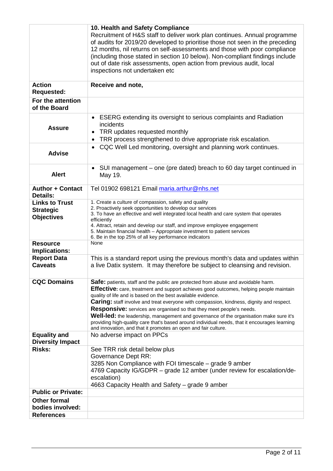|                                                                | 10. Health and Safety Compliance                                                                                                                                                                                                                                                                                                                                                                                                                                                                                                                                                                                                                                                                  |
|----------------------------------------------------------------|---------------------------------------------------------------------------------------------------------------------------------------------------------------------------------------------------------------------------------------------------------------------------------------------------------------------------------------------------------------------------------------------------------------------------------------------------------------------------------------------------------------------------------------------------------------------------------------------------------------------------------------------------------------------------------------------------|
|                                                                | Recruitment of H&S staff to deliver work plan continues. Annual programme<br>of audits for 2019/20 developed to prioritise those not seen in the preceding<br>12 months, nil returns on self-assessments and those with poor compliance<br>(including those stated in section 10 below). Non-compliant findings include<br>out of date risk assessments, open action from previous audit, local<br>inspections not undertaken etc                                                                                                                                                                                                                                                                 |
|                                                                |                                                                                                                                                                                                                                                                                                                                                                                                                                                                                                                                                                                                                                                                                                   |
| <b>Action</b><br><b>Requested:</b>                             | Receive and note,                                                                                                                                                                                                                                                                                                                                                                                                                                                                                                                                                                                                                                                                                 |
| For the attention<br>of the Board                              |                                                                                                                                                                                                                                                                                                                                                                                                                                                                                                                                                                                                                                                                                                   |
| <b>Assure</b>                                                  | • ESERG extending its oversight to serious complaints and Radiation<br>incidents<br>TRR updates requested monthly<br>٠<br>TRR process strengthened to drive appropriate risk escalation.<br>$\bullet$                                                                                                                                                                                                                                                                                                                                                                                                                                                                                             |
| <b>Advise</b>                                                  | CQC Well Led monitoring, oversight and planning work continues.<br>$\bullet$                                                                                                                                                                                                                                                                                                                                                                                                                                                                                                                                                                                                                      |
| <b>Alert</b>                                                   | SUI management - one (pre dated) breach to 60 day target continued in<br>$\bullet$<br>May 19.                                                                                                                                                                                                                                                                                                                                                                                                                                                                                                                                                                                                     |
| <b>Author + Contact</b><br>Details:                            | Tel 01902 698121 Email maria.arthur@nhs.net                                                                                                                                                                                                                                                                                                                                                                                                                                                                                                                                                                                                                                                       |
| <b>Links to Trust</b><br><b>Strategic</b><br><b>Objectives</b> | 1. Create a culture of compassion, safety and quality<br>2. Proactively seek opportunities to develop our services<br>3. To have an effective and well integrated local health and care system that operates<br>efficiently<br>4. Attract, retain and develop our staff, and improve employee engagement<br>5. Maintain financial health - Appropriate investment to patient services<br>6. Be in the top 25% of all key performance indicators                                                                                                                                                                                                                                                   |
| <b>Resource</b><br><b>Implications:</b>                        | None                                                                                                                                                                                                                                                                                                                                                                                                                                                                                                                                                                                                                                                                                              |
| <b>Report Data</b><br><b>Caveats</b>                           | This is a standard report using the previous month's data and updates within<br>a live Datix system. It may therefore be subject to cleansing and revision.                                                                                                                                                                                                                                                                                                                                                                                                                                                                                                                                       |
| <b>CQC Domains</b>                                             | <b>Safe:</b> patients, staff and the public are protected from abuse and avoidable harm.<br><b>Effective:</b> care, treatment and support achieves good outcomes, helping people maintain<br>quality of life and is based on the best available evidence.<br><b>Caring:</b> staff involve and treat everyone with compassion, kindness, dignity and respect.<br>Responsive: services are organised so that they meet people's needs.<br>Well-led: the leadership, management and governance of the organisation make sure it's<br>providing high-quality care that's based around individual needs, that it encourages learning<br>and innovation, and that it promotes an open and fair culture. |
| <b>Equality and</b><br><b>Diversity Impact</b>                 | No adverse impact on PPCs                                                                                                                                                                                                                                                                                                                                                                                                                                                                                                                                                                                                                                                                         |
| <b>Risks:</b>                                                  | See TRR risk detail below plus<br>Governance Dept RR:<br>3285 Non Compliance with FOI timescale - grade 9 amber<br>4769 Capacity IG/GDPR – grade 12 amber (under review for escalation/de-<br>escalation)<br>4663 Capacity Health and Safety – grade 9 amber                                                                                                                                                                                                                                                                                                                                                                                                                                      |
| <b>Public or Private:</b>                                      |                                                                                                                                                                                                                                                                                                                                                                                                                                                                                                                                                                                                                                                                                                   |
| <b>Other formal</b>                                            |                                                                                                                                                                                                                                                                                                                                                                                                                                                                                                                                                                                                                                                                                                   |
| bodies involved:                                               |                                                                                                                                                                                                                                                                                                                                                                                                                                                                                                                                                                                                                                                                                                   |
| <b>References</b>                                              |                                                                                                                                                                                                                                                                                                                                                                                                                                                                                                                                                                                                                                                                                                   |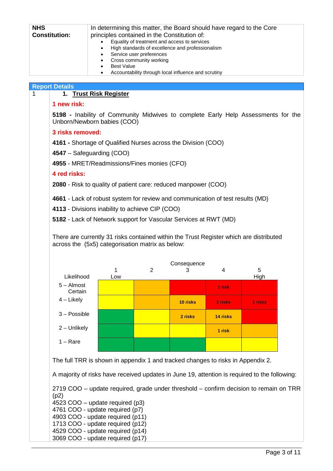| <b>NHS</b><br><b>Constitution:</b> | In determining this matter, the Board should have regard to the Core<br>principles contained in the Constitution of:<br>Equality of treatment and access to services<br>High standards of excellence and professionalism<br>٠<br>Service user preferences<br>Cross community working<br>٠<br><b>Best Value</b><br>Accountability through local influence and scrutiny<br>٠ |
|------------------------------------|----------------------------------------------------------------------------------------------------------------------------------------------------------------------------------------------------------------------------------------------------------------------------------------------------------------------------------------------------------------------------|
| <b>Report Details</b>              |                                                                                                                                                                                                                                                                                                                                                                            |
|                                    | 1. Trust Risk Register                                                                                                                                                                                                                                                                                                                                                     |
| 1 new risk:                        |                                                                                                                                                                                                                                                                                                                                                                            |
| 5198                               | - Inability of Community Midwives to complete Early Help Assessments for the                                                                                                                                                                                                                                                                                               |

Unborn/Newborn babies (COO)

#### **3 risks removed:**

**4161 -** Shortage of Qualified Nurses across the Division (COO)

**4547** – Safeguarding (COO)

**4955** - MRET/Readmissions/Fines monies (CFO)

#### **4 red risks:**

**2080** - Risk to quality of patient care: reduced manpower (COO)

**4661** - Lack of robust system for review and communication of test results (MD)

**4113** - Divisions inability to achieve CIP (COO)

**5182** - Lack of Network support for Vascular Services at RWT (MD)

There are currently 31 risks contained within the Trust Register which are distributed across the (5x5) categorisation matrix as below:

|                         |     |   | Consequence |          |         |
|-------------------------|-----|---|-------------|----------|---------|
|                         | 1   | 2 | З           | 4        | 5       |
| Likelihood              | Low |   |             |          | High    |
| $5 -$ Almost<br>Certain |     |   |             | 1 risk   |         |
| $4$ – Likely            |     |   | 10 risks    | 2 risks  | 1 risks |
| $3 - Possible$          |     |   | 2 risks     | 14 risks |         |
| 2 - Unlikely            |     |   |             | 1 risk   |         |
| $1 - \text{Rare}$       |     |   |             |          |         |

The full TRR is shown in appendix 1 and tracked changes to risks in Appendix 2.

A majority of risks have received updates in June 19, attention is required to the following:

2719 COO – update required, grade under threshold – confirm decision to remain on TRR  $(p2)$ 4523 COO – update required (p3)

4761 COO - update required (p7)

4903 COO - update required (p11) 1713 COO - update required (p12)

4529 COO - update required (p14)

3069 COO - update required (p17)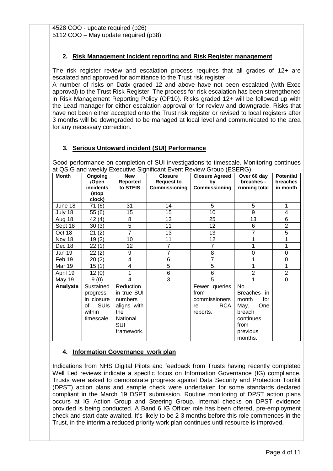4528 COO - update required (p26) 5112 COO – May update required (p38)

#### **2. Risk Management Incident reporting and Risk Register management**

The risk register review and escalation process requires that all grades of 12+ are escalated and approved for admittance to the Trust risk register.

A number of risks on Datix graded 12 and above have not been escalated (with Exec approval) to the Trust Risk Register. The process for risk escalation has been strengthened in Risk Management Reporting Policy (OP10). Risks graded 12+ will be followed up with the Lead manager for either escalation approval or for review and downgrade. Risks that have not been either accepted onto the Trust risk register or revised to local registers after 3 months will be downgraded to be managed at local level and communicated to the area for any necessary correction.

# **3. Serious Untoward incident (SUI) Performance**

Good performance on completion of SUI investigations to timescale. Monitoring continues at QSIG and weekly Executive Significant Event Review Group (ESERG).

| <b>Month</b>    | Ongoing<br>/Open  | <b>New</b><br><b>Reported</b> | <b>Closure</b><br><b>Request to</b> | <b>Closure Agreed</b><br>by | Over 60 day<br>breaches - | <b>Potential</b><br><b>breaches</b> |
|-----------------|-------------------|-------------------------------|-------------------------------------|-----------------------------|---------------------------|-------------------------------------|
|                 | incidents         | to STEIS                      | Commissioning                       | Commissioning               | running total             | in month                            |
|                 | (stop             |                               |                                     |                             |                           |                                     |
|                 | clock)            |                               |                                     |                             |                           |                                     |
| June 18         | 71(6)             | 31                            | 14                                  | 5                           | 5                         | 1                                   |
| July 18         | 55(6)             | 15                            | 15                                  | 10                          | 9                         | 4                                   |
| Aug 18          | 42 (4)            | 8                             | 13                                  | 25                          | 13                        | 6                                   |
| Sept 18         | 30(3)             | 5                             | 11                                  | 12                          | 6                         | $\overline{2}$                      |
| Oct 18          | 21(2)             | $\overline{7}$                | 13                                  | 13                          | $\overline{7}$            | 5                                   |
| Nov 18          | 19(2)             | 10                            | 11                                  | 12                          | 1                         | 1                                   |
| Dec 18          | 22(1)             | 12                            | 7                                   | 7                           | 1                         | 1                                   |
| Jan 19          | 22(2)             | 9                             | 7                                   | 8                           | 0                         | 0                                   |
| Feb 19          | 20(2)             | 4                             | 6                                   | 7                           | 1                         | 0                                   |
| <b>Mar 19</b>   | 15(1)             | 4                             | 5                                   | 5                           | 1                         | 1                                   |
| April 19        | 12(0)             |                               | 6                                   | 6                           | $\overline{2}$            | $\overline{2}$                      |
| <b>May 19</b>   | 9(0)              | 4                             | 3                                   | 5                           | 1                         | 0                                   |
| <b>Analysis</b> | Sustained         | Reduction                     |                                     | Fewer queries               | No.                       |                                     |
|                 | progress          | in true SUI                   |                                     | from                        | Breaches in               |                                     |
|                 | in closure        | numbers                       |                                     | commissioners               | month<br>for              |                                     |
|                 | <b>SUIs</b><br>Ωf | aligns with                   |                                     | <b>RCA</b><br>re            | May.<br>One               |                                     |
|                 | within            | the                           |                                     | reports.                    | breach                    |                                     |
|                 | timescale.        | National                      |                                     |                             | continues                 |                                     |
|                 |                   | <b>SUI</b>                    |                                     |                             | from                      |                                     |
|                 |                   | framework.                    |                                     |                             | previous                  |                                     |
|                 |                   |                               |                                     |                             | months.                   |                                     |

# **4. Information Governance work plan**

Indications from NHS Digital Pilots and feedback from Trusts having recently completed Well Led reviews indicate a specific focus on Information Governance (IG) compliance. Trusts were asked to demonstrate progress against Data Security and Protection Toolkit (DPST) action plans and sample check were undertaken for some standards declared compliant in the March 19 DSPT submission. Routine monitoring of DPST action plans occurs at IG Action Group and Steering Group. Internal checks on DPST evidence provided is being conducted. A Band 6 IG Officer role has been offered, pre-employment check and start date awaited. It's likely to be 2-3 months before this role commences in the Trust, in the interim a reduced priority work plan continues until resource is improved.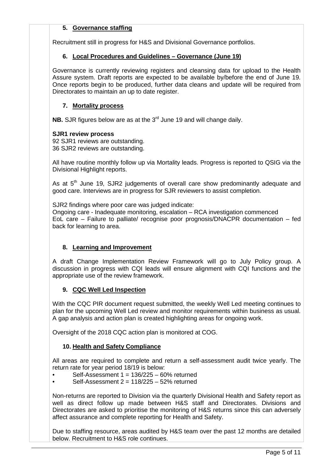# **5. Governance staffing**

Recruitment still in progress for H&S and Divisional Governance portfolios.

#### **6. Local Procedures and Guidelines – Governance (June 19)**

Governance is currently reviewing registers and cleansing data for upload to the Health Assure system. Draft reports are expected to be available by/before the end of June 19. Once reports begin to be produced, further data cleans and update will be required from Directorates to maintain an up to date register.

# **7. Mortality process**

**NB.** SJR figures below are as at the 3<sup>rd</sup> June 19 and will change daily.

#### **SJR1 review process**

92 SJR1 reviews are outstanding. 36 SJR2 reviews are outstanding.

All have routine monthly follow up via Mortality leads. Progress is reported to QSIG via the Divisional Highlight reports.

As at 5<sup>th</sup> June 19, SJR2 judgements of overall care show predominantly adequate and good care. Interviews are in progress for SJR reviewers to assist completion.

SJR2 findings where poor care was judged indicate:

Ongoing care - Inadequate monitoring, escalation – RCA investigation commenced EoL care – Failure to palliate/ recognise poor prognosis/DNACPR documentation – fed back for learning to area.

# **8. Learning and Improvement**

A draft Change Implementation Review Framework will go to July Policy group. A discussion in progress with CQI leads will ensure alignment with CQI functions and the appropriate use of the review framework.

# **9. CQC Well Led Inspection**

With the CQC PIR document request submitted, the weekly Well Led meeting continues to plan for the upcoming Well Led review and monitor requirements within business as usual. A gap analysis and action plan is created highlighting areas for ongoing work.

Oversight of the 2018 CQC action plan is monitored at COG.

# **10. Health and Safety Compliance**

All areas are required to complete and return a self-assessment audit twice yearly. The return rate for year period 18/19 is below:

- Self-Assessment 1 = 136/225 60% returned
- Self-Assessment 2 = 118/225 52% returned

Non-returns are reported to Division via the quarterly Divisional Health and Safety report as well as direct follow up made between H&S staff and Directorates. Divisions and Directorates are asked to prioritise the monitoring of H&S returns since this can adversely affect assurance and complete reporting for Health and Safety.

Due to staffing resource, areas audited by H&S team over the past 12 months are detailed below. Recruitment to H&S role continues.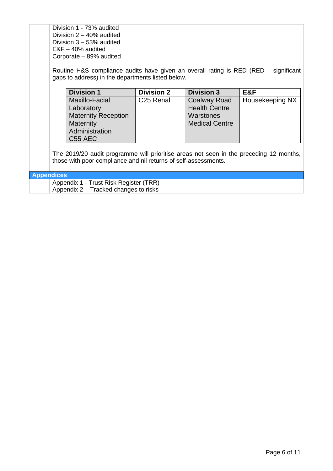Division 1 - 73% audited Division 2 – 40% audited Division 3 – 53% audited E&F – 40% audited Corporate – 89% audited

Routine H&S compliance audits have given an overall rating is RED (RED – significant gaps to address) in the departments listed below.

| <b>Division 1</b>          | <b>Division 2</b>     | <b>Division 3</b>     | E&F             |
|----------------------------|-----------------------|-----------------------|-----------------|
| Maxillo-Facial             | C <sub>25</sub> Renal | <b>Coalway Road</b>   | Housekeeping NX |
| Laboratory                 |                       | <b>Health Centre</b>  |                 |
| <b>Maternity Reception</b> |                       | Warstones             |                 |
| <b>Maternity</b>           |                       | <b>Medical Centre</b> |                 |
| Administration             |                       |                       |                 |
| C <sub>55</sub> AEC        |                       |                       |                 |

The 2019/20 audit programme will prioritise areas not seen in the preceding 12 months, those with poor compliance and nil returns of self-assessments.

# **Appendices**

Appendix 1 - Trust Risk Register (TRR) Appendix 2 – Tracked changes to risks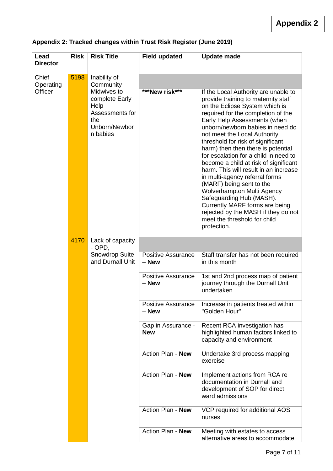| Lead<br><b>Director</b> | <b>Risk</b> | <b>Risk Title</b>                                                                            | <b>Field updated</b>                 | <b>Update made</b>                                                                                                                                                                                                                                                                                                                                                                                                                                                                                                                                                                                                                                                                                                   |
|-------------------------|-------------|----------------------------------------------------------------------------------------------|--------------------------------------|----------------------------------------------------------------------------------------------------------------------------------------------------------------------------------------------------------------------------------------------------------------------------------------------------------------------------------------------------------------------------------------------------------------------------------------------------------------------------------------------------------------------------------------------------------------------------------------------------------------------------------------------------------------------------------------------------------------------|
| Chief<br>Operating      | 5198        | Inability of<br>Community                                                                    |                                      |                                                                                                                                                                                                                                                                                                                                                                                                                                                                                                                                                                                                                                                                                                                      |
| Officer                 |             | Midwives to<br>complete Early<br>Help<br>Assessments for<br>the<br>Unborn/Newbor<br>n babies | ***New risk***                       | If the Local Authority are unable to<br>provide training to maternity staff<br>on the Eclipse System which is<br>required for the completion of the<br>Early Help Assessments (when<br>unborn/newborn babies in need do<br>not meet the Local Authority<br>threshold for risk of significant<br>harm) then then there is potential<br>for escalation for a child in need to<br>become a child at risk of significant<br>harm. This will result in an increase<br>in multi-agency referral forms<br>(MARF) being sent to the<br><b>Wolverhampton Multi Agency</b><br>Safeguarding Hub (MASH).<br>Currently MARF forms are being<br>rejected by the MASH if they do not<br>meet the threshold for child<br>protection. |
|                         | 4170        | Lack of capacity<br>$-$ OPD,                                                                 |                                      |                                                                                                                                                                                                                                                                                                                                                                                                                                                                                                                                                                                                                                                                                                                      |
|                         |             | Snowdrop Suite<br>and Durnall Unit                                                           | <b>Positive Assurance</b><br>$-$ New | Staff transfer has not been required<br>in this month                                                                                                                                                                                                                                                                                                                                                                                                                                                                                                                                                                                                                                                                |
|                         |             |                                                                                              | <b>Positive Assurance</b><br>- New   | 1st and 2nd process map of patient<br>journey through the Durnall Unit<br>undertaken                                                                                                                                                                                                                                                                                                                                                                                                                                                                                                                                                                                                                                 |
|                         |             |                                                                                              | <b>Positive Assurance</b><br>- New   | Increase in patients treated within<br>"Golden Hour"                                                                                                                                                                                                                                                                                                                                                                                                                                                                                                                                                                                                                                                                 |
|                         |             |                                                                                              | Gap in Assurance -<br><b>New</b>     | Recent RCA investigation has<br>highlighted human factors linked to<br>capacity and environment                                                                                                                                                                                                                                                                                                                                                                                                                                                                                                                                                                                                                      |
|                         |             |                                                                                              | Action Plan - New                    | Undertake 3rd process mapping<br>exercise                                                                                                                                                                                                                                                                                                                                                                                                                                                                                                                                                                                                                                                                            |
|                         |             |                                                                                              | Action Plan - New                    | Implement actions from RCA re<br>documentation in Durnall and<br>development of SOP for direct<br>ward admissions                                                                                                                                                                                                                                                                                                                                                                                                                                                                                                                                                                                                    |
|                         |             |                                                                                              | Action Plan - New                    | VCP required for additional AOS<br>nurses                                                                                                                                                                                                                                                                                                                                                                                                                                                                                                                                                                                                                                                                            |
|                         |             |                                                                                              | Action Plan - New                    | Meeting with estates to access<br>alternative areas to accommodate                                                                                                                                                                                                                                                                                                                                                                                                                                                                                                                                                                                                                                                   |

# **Appendix 2: Tracked changes within Trust Risk Register (June 2019)**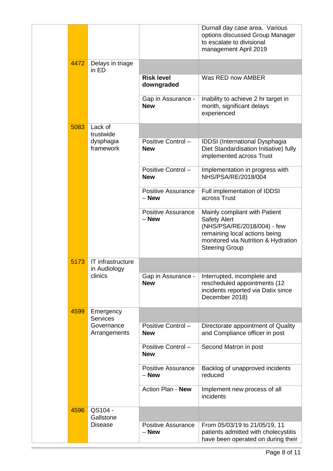|      |                                   |                                    | Durnall day case area. Various<br>options discussed Group Manager<br>to escalate to divisional<br>management April 2019                                                              |
|------|-----------------------------------|------------------------------------|--------------------------------------------------------------------------------------------------------------------------------------------------------------------------------------|
| 4472 | Delays in triage<br>in ED         |                                    |                                                                                                                                                                                      |
|      |                                   | <b>Risk level</b><br>downgraded    | Was RED now AMBER                                                                                                                                                                    |
|      |                                   | Gap in Assurance -<br><b>New</b>   | Inability to achieve 2 hr target in<br>month, significant delays<br>experienced                                                                                                      |
| 5083 | Lack of<br>trustwide              |                                    |                                                                                                                                                                                      |
|      | dysphagia<br>framework            | Positive Control -<br><b>New</b>   | <b>IDDSI</b> (International Dysphagia<br>Diet Standardisation Initiative) fully<br>implemented across Trust                                                                          |
|      |                                   | Positive Control -<br><b>New</b>   | Implementation in progress with<br>NHS/PSA/RE/2018/004                                                                                                                               |
|      |                                   | <b>Positive Assurance</b><br>– New | Full implementation of IDDSI<br>across Trust                                                                                                                                         |
|      |                                   | <b>Positive Assurance</b><br>- New | Mainly compliant with Patient<br><b>Safety Alert</b><br>(NHS/PSA/RE/2018/004) - few<br>remaining local actions being<br>monitored via Nutrition & Hydration<br><b>Steering Group</b> |
| 5173 | IT infrastructure<br>in Audiology |                                    |                                                                                                                                                                                      |
|      | clinics                           | Gap in Assurance -<br><b>New</b>   | Interrupted, incomplete and<br>rescheduled appointments (12<br>incidents reported via Datix since<br>December 2018)                                                                  |
| 4599 | Emergency<br><b>Services</b>      |                                    |                                                                                                                                                                                      |
|      | Governance<br>Arrangements        | Positive Control-<br><b>New</b>    | Directorate appointment of Quality<br>and Compliance officer in post                                                                                                                 |
|      |                                   | Positive Control-<br><b>New</b>    | Second Matron in post                                                                                                                                                                |
|      |                                   | <b>Positive Assurance</b><br>– New | Backlog of unapproved incidents<br>reduced                                                                                                                                           |
|      |                                   | Action Plan - New                  | Implement new process of all<br>incidents                                                                                                                                            |
| 4596 | QS104 -<br>Gallstone              |                                    |                                                                                                                                                                                      |
|      | <b>Disease</b>                    | Positive Assurance<br>- New        | From 05/03/19 to 21/05/19, 11<br>patients admitted with cholecystitis<br>have been operated on during their                                                                          |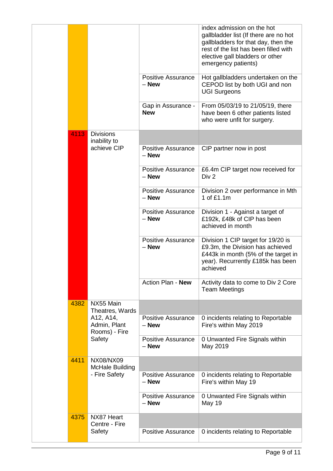|      |                                            |                                      | index admission on the hot<br>gallbladder list (If there are no hot<br>gallbladders for that day, then the<br>rest of the list has been filled with<br>elective gall bladders or other<br>emergency patients) |
|------|--------------------------------------------|--------------------------------------|---------------------------------------------------------------------------------------------------------------------------------------------------------------------------------------------------------------|
|      |                                            | <b>Positive Assurance</b><br>$-$ New | Hot gallbladders undertaken on the<br>CEPOD list by both UGI and non<br><b>UGI Surgeons</b>                                                                                                                   |
|      |                                            | Gap in Assurance -<br><b>New</b>     | From 05/03/19 to 21/05/19, there<br>have been 6 other patients listed<br>who were unfit for surgery.                                                                                                          |
| 4113 | <b>Divisions</b><br>inability to           |                                      |                                                                                                                                                                                                               |
|      | achieve CIP                                | <b>Positive Assurance</b><br>$-$ New | CIP partner now in post                                                                                                                                                                                       |
|      |                                            | <b>Positive Assurance</b><br>- New   | £6.4m CIP target now received for<br>Div <sub>2</sub>                                                                                                                                                         |
|      |                                            | <b>Positive Assurance</b><br>$-$ New | Division 2 over performance in Mth<br>1 of £1.1m                                                                                                                                                              |
|      |                                            | <b>Positive Assurance</b><br>- New   | Division 1 - Against a target of<br>£192k, £48k of CIP has been<br>achieved in month                                                                                                                          |
|      |                                            | <b>Positive Assurance</b><br>- New   | Division 1 CIP target for 19/20 is<br>£9.3m, the Division has achieved<br>£443k in month (5% of the target in<br>year). Recurrently £185k has been<br>achieved                                                |
|      |                                            | Action Plan - New                    | Activity data to come to Div 2 Core<br><b>Team Meetings</b>                                                                                                                                                   |
| 4382 | NX55 Main<br>Theatres, Wards               |                                      |                                                                                                                                                                                                               |
|      | A12, A14,<br>Admin, Plant<br>Rooms) - Fire | <b>Positive Assurance</b><br>$-$ New | 0 incidents relating to Reportable<br>Fire's within May 2019                                                                                                                                                  |
|      | Safety                                     | <b>Positive Assurance</b><br>$-$ New | 0 Unwanted Fire Signals within<br>May 2019                                                                                                                                                                    |
| 4411 | NX08/NX09<br><b>McHale Building</b>        |                                      |                                                                                                                                                                                                               |
|      | - Fire Safety                              | <b>Positive Assurance</b><br>$-$ New | 0 incidents relating to Reportable<br>Fire's within May 19                                                                                                                                                    |
|      |                                            | <b>Positive Assurance</b><br>$-$ New | 0 Unwanted Fire Signals within<br>May 19                                                                                                                                                                      |
| 4375 | NX87 Heart<br>Centre - Fire                |                                      |                                                                                                                                                                                                               |
|      | Safety                                     | <b>Positive Assurance</b>            | 0 incidents relating to Reportable                                                                                                                                                                            |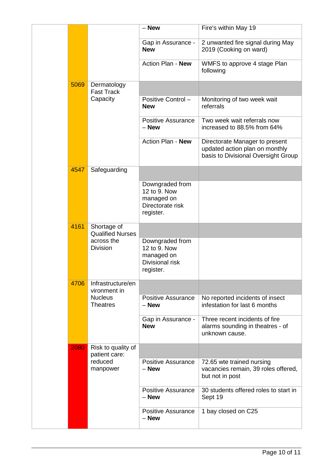|      |                                        | $-$ New                                                                        | Fire's within May 19                                                                                    |
|------|----------------------------------------|--------------------------------------------------------------------------------|---------------------------------------------------------------------------------------------------------|
|      |                                        | Gap in Assurance -<br><b>New</b>                                               | 2 unwanted fire signal during May<br>2019 (Cooking on ward)                                             |
|      |                                        | Action Plan - New                                                              | WMFS to approve 4 stage Plan<br>following                                                               |
| 5069 | Dermatology<br><b>Fast Track</b>       |                                                                                |                                                                                                         |
|      | Capacity                               | Positive Control -<br><b>New</b>                                               | Monitoring of two week wait<br>referrals                                                                |
|      |                                        | <b>Positive Assurance</b><br>- New                                             | Two week wait referrals now<br>increased to 88.5% from 64%                                              |
|      |                                        | Action Plan - New                                                              | Directorate Manager to present<br>updated action plan on monthly<br>basis to Divisional Oversight Group |
| 4547 | Safeguarding                           |                                                                                |                                                                                                         |
|      |                                        | Downgraded from<br>12 to 9. Now<br>managed on<br>Directorate risk<br>register. |                                                                                                         |
| 4161 | Shortage of<br><b>Qualified Nurses</b> |                                                                                |                                                                                                         |
|      | across the<br><b>Division</b>          | Downgraded from<br>12 to 9. Now<br>managed on<br>Divisional risk<br>register.  |                                                                                                         |
| 4706 | Infrastructure/en<br>vironment in      |                                                                                |                                                                                                         |
|      | <b>Nucleus</b><br><b>Theatres</b>      | <b>Positive Assurance</b><br>$-$ New                                           | No reported incidents of insect<br>infestation for last 6 months                                        |
|      |                                        | Gap in Assurance -<br><b>New</b>                                               | Three recent incidents of fire<br>alarms sounding in theatres - of<br>unknown cause.                    |
| 2080 | Risk to quality of<br>patient care:    |                                                                                |                                                                                                         |
|      | reduced<br>manpower                    | <b>Positive Assurance</b><br>– New                                             | 72.65 wte trained nursing<br>vacancies remain, 39 roles offered,<br>but not in post                     |
|      |                                        | <b>Positive Assurance</b><br>$-$ New                                           | 30 students offered roles to start in<br>Sept 19                                                        |
|      |                                        | <b>Positive Assurance</b><br>- New                                             | 1 bay closed on C25                                                                                     |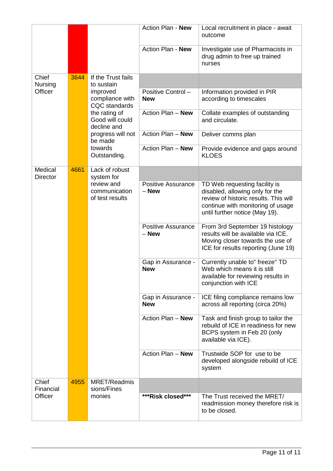|                            |      |                                                     | Action Plan - New                  | Local recruitment in place - await<br>outcome                                                                                                                                    |
|----------------------------|------|-----------------------------------------------------|------------------------------------|----------------------------------------------------------------------------------------------------------------------------------------------------------------------------------|
|                            |      |                                                     | Action Plan - New                  | Investigate use of Pharmacists in<br>drug admin to free up trained<br>nurses                                                                                                     |
| Chief<br>Nursing           | 3644 | If the Trust fails<br>to sustain                    |                                    |                                                                                                                                                                                  |
| Officer                    |      | improved<br>compliance with<br><b>CQC</b> standards | Positive Control-<br><b>New</b>    | Information provided in PIR<br>according to timescales                                                                                                                           |
|                            |      | the rating of<br>Good will could<br>decline and     | Action Plan - New                  | Collate examples of outstanding<br>and circulate.                                                                                                                                |
|                            |      | progress will not<br>be made                        | Action Plan - New                  | Deliver comms plan                                                                                                                                                               |
|                            |      | towards<br>Outstanding.                             | Action Plan - New                  | Provide evidence and gaps around<br><b>KLOES</b>                                                                                                                                 |
| Medical<br><b>Director</b> | 4661 | Lack of robust<br>system for                        |                                    |                                                                                                                                                                                  |
|                            |      | review and<br>communication<br>of test results      | <b>Positive Assurance</b><br>- New | TD Web requesting facility is<br>disabled, allowing only for the<br>review of historic results. This will<br>continue with monitoring of usage<br>until further notice (May 19). |
|                            |      |                                                     | <b>Positive Assurance</b><br>- New | From 3rd September 19 histology<br>results will be available via ICE.<br>Moving closer towards the use of<br>ICE for results reporting (June 19)                                 |
|                            |      |                                                     | Gap in Assurance -<br><b>New</b>   | Currently unable to" freeze" TD<br>Web which means it is still<br>available for reviewing results in<br>conjunction with ICE                                                     |
|                            |      |                                                     | Gap in Assurance -<br><b>New</b>   | ICE filing compliance remains low<br>across all reporting (circa 20%)                                                                                                            |
|                            |      |                                                     | Action Plan - New                  | Task and finish group to tailor the<br>rebuild of ICE in readiness for new<br>BCPS system in Feb 20 (only<br>available via ICE).                                                 |
|                            |      |                                                     | Action Plan - New                  | Trustwide SOP for use to be<br>developed alongside rebuild of ICE<br>system                                                                                                      |
| Chief<br>Financial         | 4955 | <b>MRET/Readmis</b><br>sions/Fines                  |                                    |                                                                                                                                                                                  |
| Officer                    |      | monies                                              | ***Risk closed***                  | The Trust received the MRET/<br>readmission money therefore risk is<br>to be closed.                                                                                             |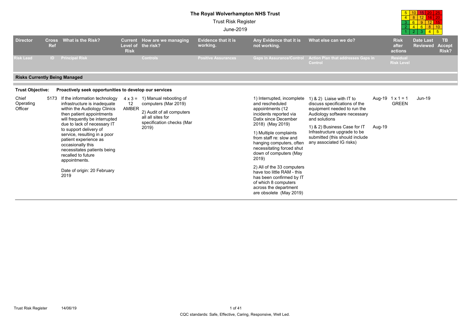#### **The Royal Wolverhampton NHS Trust**

4

5

10

15

200 | 25 20

12

8

Trust Risk Register

|                                      |                            |                                                                                                                                                                                                                                                                                                                                                                                                                  |                            |                                                                                                                                                        | <b>Trust RISK Register</b><br>June-2019 |                                                                                                                                                                                                                                                                                                                                                                                                                                                              |                                                                                                                                                                                                                                                                                    |                                         | 3 6 9 12 15<br>468<br>$\mathbf{3}$<br>$\overline{4}$ | $-5$                                |
|--------------------------------------|----------------------------|------------------------------------------------------------------------------------------------------------------------------------------------------------------------------------------------------------------------------------------------------------------------------------------------------------------------------------------------------------------------------------------------------------------|----------------------------|--------------------------------------------------------------------------------------------------------------------------------------------------------|-----------------------------------------|--------------------------------------------------------------------------------------------------------------------------------------------------------------------------------------------------------------------------------------------------------------------------------------------------------------------------------------------------------------------------------------------------------------------------------------------------------------|------------------------------------------------------------------------------------------------------------------------------------------------------------------------------------------------------------------------------------------------------------------------------------|-----------------------------------------|------------------------------------------------------|-------------------------------------|
| <b>Director</b>                      | <b>Cross</b><br><b>Ref</b> | <b>What is the Risk?</b>                                                                                                                                                                                                                                                                                                                                                                                         | <b>Risk</b>                | Current How are we managing<br>Level of the risk?                                                                                                      | <b>Evidence that it is</b><br>working.  | Any Evidence that it is<br>not working.                                                                                                                                                                                                                                                                                                                                                                                                                      | What else can we do?                                                                                                                                                                                                                                                               | <b>Risk</b><br>after<br>actions         | <b>Date Last</b><br><b>Reviewed</b>                  | <b>TB</b><br><b>Accept</b><br>Risk? |
| <b>Risk Lead</b>                     | ID.                        | <b>Principal Risk</b>                                                                                                                                                                                                                                                                                                                                                                                            |                            | <b>Controls</b>                                                                                                                                        | <b>Positive Assurances</b>              | <b>Gaps in Assurance/Control</b>                                                                                                                                                                                                                                                                                                                                                                                                                             | Action Plan that addresses Gaps in<br>Control                                                                                                                                                                                                                                      | <b>Residual</b><br><b>Risk Level</b>    |                                                      |                                     |
| <b>Risks Currently Being Managed</b> |                            |                                                                                                                                                                                                                                                                                                                                                                                                                  |                            |                                                                                                                                                        |                                         |                                                                                                                                                                                                                                                                                                                                                                                                                                                              |                                                                                                                                                                                                                                                                                    |                                         |                                                      |                                     |
| <b>Trust Objective:</b>              |                            | Proactively seek opportunities to develop our services                                                                                                                                                                                                                                                                                                                                                           |                            |                                                                                                                                                        |                                         |                                                                                                                                                                                                                                                                                                                                                                                                                                                              |                                                                                                                                                                                                                                                                                    |                                         |                                                      |                                     |
| Chief<br>Operating<br>Officer        | 5173                       | If the information technology<br>infrastructure is inadequate<br>within the Audiology Clinics<br>then patient appointments<br>will frequently be interrupted<br>due to lack of necessary IT<br>to support delivery of<br>service, resulting in a poor<br>patient experience as<br>occasionally this<br>necessitates patients being<br>recalled to future<br>appointments.<br>Date of origin: 20 February<br>2019 | $12 \overline{ }$<br>AMBER | $4 \times 3 = 1$ ) Manual rebooting of<br>computers (Mar 2019)<br>2) Audit of all computers<br>all all sites for<br>specification checks (Mar<br>2019) |                                         | 1) Interrupted, incomplete<br>and rescheduled<br>appointments (12<br>incidents reported via<br>Datix since December<br>2018) (May 2019)<br>1) Multiple complaints<br>from staff re: slow and<br>hanging computers, often<br>necessitating forced shut<br>down of computers (May<br>2019)<br>2) All of the 33 computers<br>have too little RAM - this<br>has been confirmed by IT<br>of which 8 computers<br>across the department<br>are obsolete (May 2019) | 1) & 2) Liaise with IT to<br>discuss specifications of the<br>equipment needed to run the<br>Audiology software necessary<br>and solutions<br>1) & 2) Business Case for IT<br>Aug-19<br>Infrastructure upgrade to be<br>submitted (this should include<br>any associated IG risks) | Aug-19 $1 \times 1 = 1$<br><b>GREEN</b> | $Jun-19$                                             |                                     |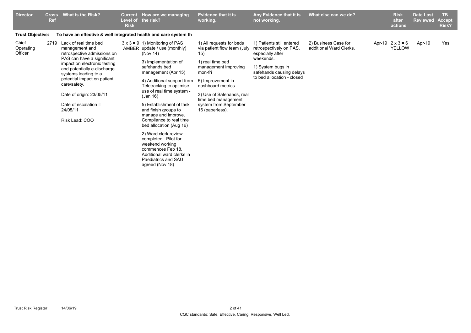| <b>Director</b>               | <b>Cross</b><br><b>Ref</b> | What is the Risk?                                                                                                                                                                                                                                                                                                                 | <b>Current</b><br>Level of<br><b>Risk</b> | How are we managing<br>the risk?                                                                                                                                                                                                                                                                                                                                                                                                                                                                                                                     | <b>Evidence that it is</b><br>working.                                                                                                                                                                                                                          | Any Evidence that it is<br>not working.                                                                                                                              | What else can we do?                            | <b>Risk</b><br>after<br>actions          | <b>Date Last</b><br><b>Reviewed</b> | <b>TB</b><br><b>Accept</b><br>Risk? |
|-------------------------------|----------------------------|-----------------------------------------------------------------------------------------------------------------------------------------------------------------------------------------------------------------------------------------------------------------------------------------------------------------------------------|-------------------------------------------|------------------------------------------------------------------------------------------------------------------------------------------------------------------------------------------------------------------------------------------------------------------------------------------------------------------------------------------------------------------------------------------------------------------------------------------------------------------------------------------------------------------------------------------------------|-----------------------------------------------------------------------------------------------------------------------------------------------------------------------------------------------------------------------------------------------------------------|----------------------------------------------------------------------------------------------------------------------------------------------------------------------|-------------------------------------------------|------------------------------------------|-------------------------------------|-------------------------------------|
| <b>Trust Objective:</b>       |                            | To have an effective & well integrated health and care system th                                                                                                                                                                                                                                                                  |                                           |                                                                                                                                                                                                                                                                                                                                                                                                                                                                                                                                                      |                                                                                                                                                                                                                                                                 |                                                                                                                                                                      |                                                 |                                          |                                     |                                     |
| Chief<br>Operating<br>Officer |                            | 2719 Lack of real time bed<br>management and<br>retrospective admissions on<br>PAS can have a significant<br>impact on electronic testing<br>and potentially e-discharge<br>systems leading to a<br>potential impact on patient<br>care/safety.<br>Date of origin: 23/05/11<br>Date of escalation =<br>24/05/11<br>Risk Lead: COO |                                           | $3 \times 3 = 9$ 1) Monitoring of PAS<br>AMBER update / use (monthly)<br>(Nov 14)<br>3) Implementation of<br>safehands bed<br>management (Apr 15)<br>4) Additional support from<br>Teletracking to optimise<br>use of real time system -<br>(Jan 16)<br>5) Establishment of task<br>and finish groups to<br>manage and improve.<br>Compliance to real time<br>bed allocation (Aug 16)<br>2) Ward clerk review<br>completed. Pilot for<br>weekend working<br>commences Feb 18.<br>Additional ward clerks in<br>Paediatrics and SAU<br>agreed (Nov 18) | 1) All requests for beds<br>via patient flow team (July<br>15)<br>1) real time bed<br>management improving<br>mon-fri<br>5) Improvement in<br>dashboard metrics<br>3) Use of Safehands, real<br>time bed management<br>system from September<br>16 (paperless). | 1) Patients still entered<br>retrospectively on PAS,<br>especially after<br>weekends.<br>1) System bugs in<br>safehands causing delays<br>to bed allocation - closed | 2) Business Case for<br>additional Ward Clerks. | Apr-19 $2 \times 3 = 6$<br><b>YELLOW</b> | Apr-19                              | Yes                                 |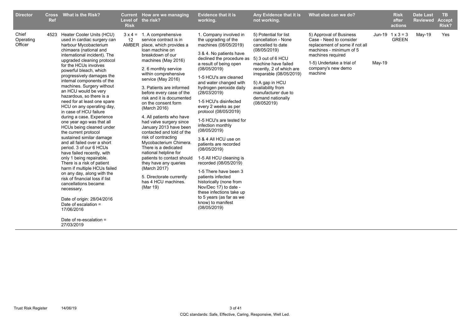| <b>Evidence that it is</b><br><b>Director</b><br><b>What is the Risk?</b><br>Current How are we managing<br><b>Cross</b><br>Level of the risk?<br><b>Ref</b><br>working.<br><b>Risk</b>                                                                                                                                                                                                                                                                                                                                                                                                                                                                                                                                                                                                                                                                                                                                                                                                                                                                                                                                                                                                                                                                                                                                                                                                                                                                                                                                                                                                                                                                                                                                                                                                                                                                                                                                                                                                                                                                                                                                                                                                                                                                                                                                                                                                                                                                                                                                                       | Any Evidence that it is<br>What else can we do?<br><b>Risk</b><br><b>Date Last</b><br>TB.<br><b>Reviewed</b><br>not working.<br>after<br><b>Accept</b><br>Risk?<br>actions                                                                                                                                                                                                                                                                                                                                                                                |
|-----------------------------------------------------------------------------------------------------------------------------------------------------------------------------------------------------------------------------------------------------------------------------------------------------------------------------------------------------------------------------------------------------------------------------------------------------------------------------------------------------------------------------------------------------------------------------------------------------------------------------------------------------------------------------------------------------------------------------------------------------------------------------------------------------------------------------------------------------------------------------------------------------------------------------------------------------------------------------------------------------------------------------------------------------------------------------------------------------------------------------------------------------------------------------------------------------------------------------------------------------------------------------------------------------------------------------------------------------------------------------------------------------------------------------------------------------------------------------------------------------------------------------------------------------------------------------------------------------------------------------------------------------------------------------------------------------------------------------------------------------------------------------------------------------------------------------------------------------------------------------------------------------------------------------------------------------------------------------------------------------------------------------------------------------------------------------------------------------------------------------------------------------------------------------------------------------------------------------------------------------------------------------------------------------------------------------------------------------------------------------------------------------------------------------------------------------------------------------------------------------------------------------------------------|-----------------------------------------------------------------------------------------------------------------------------------------------------------------------------------------------------------------------------------------------------------------------------------------------------------------------------------------------------------------------------------------------------------------------------------------------------------------------------------------------------------------------------------------------------------|
| Chief<br>1. Company involved in<br>4523 Heater Cooler Units (HCU)<br>1. A comprehensive<br>$3 \times 4 =$<br>12<br>Operating<br>used in cardiac surgery can<br>service contract is in<br>the upgrading of the<br>Officer<br>AMBER place, which provides a<br>harbour Mycobacterium<br>machines (08/05/2019)<br>chimaera (national and<br>loan machine on<br>3 & 4. No patients have<br>breakdown of our<br>international incident). The<br>declined the procedure as<br>upgraded cleaning protocol<br>machines (May 2016)<br>a result of being open<br>for the HCUs involves<br>(08/05/2019)<br>2. 6 monthly service<br>powerful bleach, which<br>within comprehensive<br>progressively damages the<br>1-5 HCU's are cleaned<br>service (May 2016)<br>internal components of the<br>and water changed with<br>machines. Surgery without<br>3. Patients are informed<br>hydrogen peroxide daily<br>an HCU would be very<br>before every case of the<br>(28/03/2019)<br>hazardous, so there is a<br>risk and it is documented<br>1-5 HCU's disinfected<br>need for at least one spare<br>on the consent form<br>(08/052019)<br>HCU on any operating day,<br>every 2 weeks as per<br>(March 2016)<br>in case of HCU failure<br>protocol (08/05/2019)<br>during a case. Experience<br>4. All patients who have<br>1-5 HCU's are tested for<br>one year ago was that all<br>had valve surgery since<br>infection monthly<br>January 2013 have been<br>HCUs being cleaned under<br>(08/05/2019)<br>contacted and told of the<br>the current protocol<br>risk of contracting<br>sustained similar damage<br>3 & 4 All HCU use on<br>and all failed over a short<br>Mycobacterium Chimera.<br>patients are recorded<br>period. 3 of our 6 HCUs<br>There is a dedicated<br>(08/05/2019)<br>have failed recently, with<br>national helpline for<br>patients to contact should<br>1-5 All HCU cleaning is<br>only 1 being repairable.<br>recorded (08/05/2019)<br>There is a risk of patient<br>they have any queries<br>harm if multiple HCUs failed<br>(March 2017)<br>1-5 There have been 3<br>on any day, along with the<br>patients infected<br>5. Directorate currently<br>risk of financial loss if list<br>has 4 HCU machines.<br>historically (none from<br>cancellations became<br>Nov/Dec 17) to date -<br>(Mar 19)<br>necessary.<br>these infections take up<br>to 5 years (as far as we<br>Date of origin: 28/04/2016<br>know) to manifest<br>Date of escalation =<br>(08/05/2019)<br>17/06/2016<br>Date of re-escalation $=$<br>27/03/2019 | 5) Approval of Business<br>Yes<br>5) Potential for list<br>Jun-19 $1 \times 3 = 3$<br>$May-19$<br>cancellation - None<br>Case - Need to consider<br><b>GREEN</b><br>cancelled to date<br>replacement of some if not all<br>(08/05/2019)<br>machines - minimum of 5<br>machines required<br>5) 3 out of 6 HCU<br>$May-19$<br>1-5) Undertake a trial of<br>machine have failed<br>company's new demo<br>recently, 2 of which are<br>machine<br>irreparable (08/05/2019)<br>5) A gap in HCU<br>availability from<br>manufacturer due to<br>demand nationally |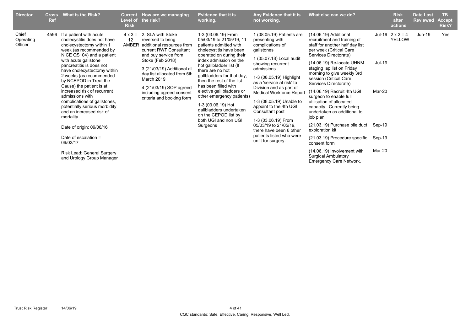| <b>Director</b>               | <b>Cross</b><br><b>Ref</b> | <b>What is the Risk?</b>                                                                                                                                                                                                                                                                                                                                                                                                                                                                                                                                                                               | <b>Risk</b>                          | Current How are we managing<br>Level of the risk?                                                                                                                                                                                                                                                         | <b>Evidence that it is</b><br>working.                                                                                                                                                                                                                                                                                                                                                                                                                               | Any Evidence that it is<br>not working.                                                                                                                                                                                                                                                                                                                                                                                                                                    | What else can we do?                                                                                                                                                                                                                                                                                                                                                                                                                                                                                                                                                                                                                                    |                                                | <b>Risk</b><br>after<br>actions          | <b>Date Last</b><br><b>Reviewed</b> | <b>TB</b><br><b>Accept</b><br><b>Risk?</b> |
|-------------------------------|----------------------------|--------------------------------------------------------------------------------------------------------------------------------------------------------------------------------------------------------------------------------------------------------------------------------------------------------------------------------------------------------------------------------------------------------------------------------------------------------------------------------------------------------------------------------------------------------------------------------------------------------|--------------------------------------|-----------------------------------------------------------------------------------------------------------------------------------------------------------------------------------------------------------------------------------------------------------------------------------------------------------|----------------------------------------------------------------------------------------------------------------------------------------------------------------------------------------------------------------------------------------------------------------------------------------------------------------------------------------------------------------------------------------------------------------------------------------------------------------------|----------------------------------------------------------------------------------------------------------------------------------------------------------------------------------------------------------------------------------------------------------------------------------------------------------------------------------------------------------------------------------------------------------------------------------------------------------------------------|---------------------------------------------------------------------------------------------------------------------------------------------------------------------------------------------------------------------------------------------------------------------------------------------------------------------------------------------------------------------------------------------------------------------------------------------------------------------------------------------------------------------------------------------------------------------------------------------------------------------------------------------------------|------------------------------------------------|------------------------------------------|-------------------------------------|--------------------------------------------|
| Chief<br>Operating<br>Officer | 4596                       | If a patient with acute<br>cholecystitis does not have<br>cholecystectomy within 1<br>week (as recommended by<br>NICE QS104) and a patient<br>with acute gallstone<br>pancreatitis is does not<br>have cholecystectomy within<br>2 weeks (as recommended<br>by NCEPOD in Treat the<br>Cause) the patient is at<br>increased risk of recurrent<br>admissions with<br>complications of gallstones,<br>potentially serious morbidity<br>and an increased risk of<br>mortality.<br>Date of origin: 09/08/16<br>Date of escalation =<br>06/02/17<br>Risk Lead: General Surgery<br>and Urology Group Manager | $4 \times 3 =$<br>12<br><b>AMBER</b> | 2. SLA with Stoke<br>reversed to bring<br>additional resources from<br>current RWT Consultant<br>and buy service from<br>Stoke (Feb 2018)<br>3 (21/03/19) Additional all<br>day list allocated from 5th<br>March 2019<br>4 (21/03/19) SOP agreed<br>including agreed consent<br>criteria and booking form | 1-3 (03.06.19) From<br>05/03/19 to 21/05/19, 11<br>patients admitted with<br>cholecystitis have been<br>operated on during their<br>index admission on the<br>hot gallbladder list (If<br>there are no hot<br>gallbladders for that day,<br>then the rest of the list<br>has been filled with<br>elective gall bladders or<br>other emergency patients)<br>1-3 (03.06.19) Hot<br>gallbladders undertaken<br>on the CEPOD list by<br>both UGI and non UGI<br>Surgeons | 1 (08.05.19) Patients are<br>presenting with<br>complications of<br>qallstones<br>1 (05.07.18) Local audit<br>showing recurrent<br>admissions<br>1-3 (08.05.19) Highlight<br>as a 'service at risk' to<br>Division and as part of<br><b>Medical Workforce Report</b><br>1-3 (08.05.19) Unable to<br>appoint to the 4th UGI<br>Consultant post<br>1-3 (03.06.19) From<br>05/03/19 to 21/05/19.<br>there have been 6 other<br>patients listed who were<br>unfit for surgery. | (14.06.19) Additional<br>recruitment and training of<br>staff for another half day list<br>per week (Critical Care<br>Services Directorate)<br>(14.06.19) Re-locate UHNM<br>staging lap list on Friday<br>morning to give weekly 3rd<br>session (Critical Care<br>Services Directorate)<br>(14.06.19) Recruit 4th UGI<br>surgeon to enable full<br>utilisation of allocated<br>capacity. Currently being<br>undertaken as additional to<br>job plan<br>(21.03.19) Purchase bile duct<br>exploration kit<br>(21.03.19) Procedure specific<br>consent form<br>(14.06.19) Involvement with<br><b>Surgical Ambulatory</b><br><b>Emergency Care Network.</b> | Jul-19<br>Mar-20<br>Sep-19<br>Sep-19<br>Mar-20 | Jul-19 $2 \times 2 = 4$<br><b>YELLOW</b> | Jun-19                              | Yes                                        |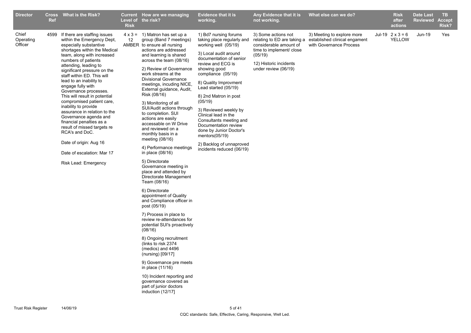| <b>Director</b>               | <b>Ref</b> | Cross What is the Risk?                                                                                                                                                                                                                                                                                                                                                                                                                                                                                                                                                                                                                                   | <b>Risk</b> | Current How are we managing<br>Level of the risk?                                                                                                                                                                                                                                                                                                                                                                                                                                                                                                                                                                                                                                                                                                                                                                                                                                                                                                                                                                                                                                                                                            | <b>Evidence that it is</b><br>working.                                                                                                                                                                                                                                                                                                                                                                                                                                                       | Any Evidence that it is<br>not working.                                                                                                                               | What else can we do?                                                                   | <b>Risk</b><br>after<br>actions          | <b>Date Last</b><br><b>Reviewed</b> | <b>TB</b><br><b>Accept</b><br><b>Risk?</b> |
|-------------------------------|------------|-----------------------------------------------------------------------------------------------------------------------------------------------------------------------------------------------------------------------------------------------------------------------------------------------------------------------------------------------------------------------------------------------------------------------------------------------------------------------------------------------------------------------------------------------------------------------------------------------------------------------------------------------------------|-------------|----------------------------------------------------------------------------------------------------------------------------------------------------------------------------------------------------------------------------------------------------------------------------------------------------------------------------------------------------------------------------------------------------------------------------------------------------------------------------------------------------------------------------------------------------------------------------------------------------------------------------------------------------------------------------------------------------------------------------------------------------------------------------------------------------------------------------------------------------------------------------------------------------------------------------------------------------------------------------------------------------------------------------------------------------------------------------------------------------------------------------------------------|----------------------------------------------------------------------------------------------------------------------------------------------------------------------------------------------------------------------------------------------------------------------------------------------------------------------------------------------------------------------------------------------------------------------------------------------------------------------------------------------|-----------------------------------------------------------------------------------------------------------------------------------------------------------------------|----------------------------------------------------------------------------------------|------------------------------------------|-------------------------------------|--------------------------------------------|
| Chief<br>Operating<br>Officer |            | 4599 If there are staffing issues<br>within the Emergency Dept,<br>especially substantive<br>shortages within the Medical<br>team, along with increased<br>numbers of patients<br>attending, leading to<br>significant pressure on the<br>staff within ED. This will<br>lead to an inability to<br>engage fully with<br>Governance processes.<br>This will result in potential<br>compromised patient care,<br>inability to provide<br>assurance in relation to the<br>Governance agenda and<br>financial penalties as a<br>result of missed targets re<br>RCA's and DoC.<br>Date of origin: Aug 16<br>Date of escalation: Mar 17<br>Risk Lead: Emergency | 12          | $4 \times 3 = 1$ ) Matron has set up a<br>group (Band 7 meetings)<br>AMBER to ensure all nursing<br>actions are addressed<br>and learning is shared<br>across the team (08/16)<br>2) Review of Governance<br>work streams at the<br><b>Divisional Governance</b><br>meetings, incuding NICE,<br>External guidance, Audit,<br>Risk (08/16)<br>3) Monitoring of all<br>SUI/Audit actions through<br>to completion. SUI<br>actions are easily<br>accessable on W Drive<br>and reviewed on a<br>monthly basis in a<br>meeting (08/16)<br>4) Performance meetings<br>in place $(08/16)$<br>5) Directorate<br>Governance meeting in<br>place and attended by<br>Directorate Management<br>Team (08/16)<br>6) Directorate<br>appointment of Quality<br>and Compliance officer in<br>post (05/19)<br>7) Process in place to<br>review re-attendances for<br>potential SUI's proactively<br>(08/16)<br>8) Ongoing recruitment<br>(links to risk 2374<br>(medics) and 4496<br>(nursing) $[09/17]$<br>9) Governance pre meets<br>in place (11/16)<br>10) Incident reporting and<br>governance covered as<br>part of junior doctors<br>induction (12/17] | 1) Bd7 nursing forums<br>taking place regularly and<br>working well (05/19)<br>3) Local audit around<br>documentation of senior<br>review and ECG is<br>showing good<br>compliance (05/19)<br>8) Quality Improvment<br>Lead started (05/19)<br>8) 2nd Matron in post<br>(05/19)<br>3) Reviewed weekly by<br>Clinical lead in the<br>Consultants meeting and<br>Documentation review<br>done by Junior Doctor's<br>mentors $(05/19)$<br>2) Backlog of unnaproved<br>incidents reduced (06/19) | 3) Some actions not<br>relating to ED are taking a<br>considerable amount of<br>time to implement/ close<br>(05/19)<br>12) Historic incidents<br>under review (06/19) | 3) Meeting to explore more<br>established clinical engament<br>with Governance Process | Jul-19 $2 \times 3 = 6$<br><b>YELLOW</b> | <b>Jun-19</b>                       | Yes                                        |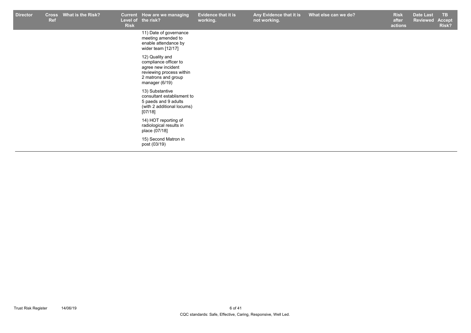| <b>Director</b> | <b>Cross</b><br><b>Ref</b> | What is the Risk? | <b>Risk</b> | Current How are we managing<br>Level of the risk?                                                                                   | <b>Evidence that it is</b><br>working. | Any Evidence that it is<br>not working. | What else can we do? | <b>Risk</b><br>after<br>actions | <b>Date Last</b><br><b>Reviewed Accept</b> | <b>TB</b><br>Risk? |
|-----------------|----------------------------|-------------------|-------------|-------------------------------------------------------------------------------------------------------------------------------------|----------------------------------------|-----------------------------------------|----------------------|---------------------------------|--------------------------------------------|--------------------|
|                 |                            |                   |             | 11) Date of governance<br>meeting amended to<br>enable attendance by<br>wider team [12/17]                                          |                                        |                                         |                      |                                 |                                            |                    |
|                 |                            |                   |             | 12) Quality and<br>compliance officer to<br>agree new incident<br>reviewing process within<br>2 matrons and group<br>manager (6/19) |                                        |                                         |                      |                                 |                                            |                    |
|                 |                            |                   |             | 13) Substantive<br>consultant establisment to<br>5 paeds and 9 adults<br>(with 2 additional locums)<br>[07/18]                      |                                        |                                         |                      |                                 |                                            |                    |
|                 |                            |                   |             | 14) HOT reporting of<br>radiological results in<br>place (07/18]                                                                    |                                        |                                         |                      |                                 |                                            |                    |
|                 |                            |                   |             | 15) Second Matron in<br>post (03/19)                                                                                                |                                        |                                         |                      |                                 |                                            |                    |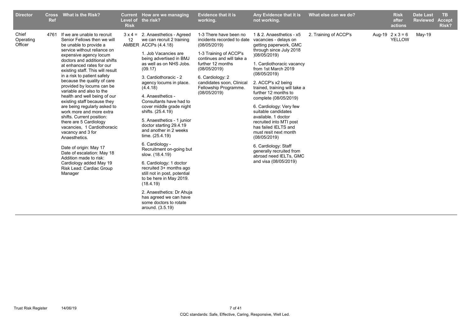| <b>Director</b>               | Ref  | Cross What is the Risk?                                                                                                                                                                                                                                                                                                                                                                                                                                                                                                                                                                                                                                                                                                                                                           | <b>Current</b><br>Level of<br><b>Risk</b> | How are we managing<br>the risk?                                                                                                                                                                                                                                                                                                                                                                                                                                                                                                                                                                                                                                                                                                                   | <b>Evidence that it is</b><br>working.                                                                                                                                                                                                                     | Any Evidence that it is<br>not working.                                                                                                                                                                                                                                                                                                                                                                                                                                                                                                                                        | What else can we do?  | <b>Risk</b><br>after<br>actions          | <b>Date Last</b><br><b>Reviewed</b> | TB.<br><b>Accept</b><br>Risk? |
|-------------------------------|------|-----------------------------------------------------------------------------------------------------------------------------------------------------------------------------------------------------------------------------------------------------------------------------------------------------------------------------------------------------------------------------------------------------------------------------------------------------------------------------------------------------------------------------------------------------------------------------------------------------------------------------------------------------------------------------------------------------------------------------------------------------------------------------------|-------------------------------------------|----------------------------------------------------------------------------------------------------------------------------------------------------------------------------------------------------------------------------------------------------------------------------------------------------------------------------------------------------------------------------------------------------------------------------------------------------------------------------------------------------------------------------------------------------------------------------------------------------------------------------------------------------------------------------------------------------------------------------------------------------|------------------------------------------------------------------------------------------------------------------------------------------------------------------------------------------------------------------------------------------------------------|--------------------------------------------------------------------------------------------------------------------------------------------------------------------------------------------------------------------------------------------------------------------------------------------------------------------------------------------------------------------------------------------------------------------------------------------------------------------------------------------------------------------------------------------------------------------------------|-----------------------|------------------------------------------|-------------------------------------|-------------------------------|
| Chief<br>Operating<br>Officer | 4761 | If we are unable to recruit<br>Senior Fellows then we will<br>be unable to provide a<br>service without reliance on<br>expensive agency locum<br>doctors and additional shifts<br>at enhanced rates for our<br>existing staff. This will result<br>in a risk to patient safety<br>because the quality of care<br>provided by locums can be<br>variable and also to the<br>health and well being of our<br>existing staff because they<br>are being regularly asked to<br>work more and more extra<br>shifts. Current position:<br>there are 5 Cardiology<br>vacancies, 1 Cardiothoracic<br>vacancy and 3 for<br>Anaesthetics.<br>Date of origin: May 17<br>Date of escalation: May 18<br>Addition made to risk:<br>Cardiology added May 19<br>Risk Lead: Cardiac Group<br>Manager | $3 \times 4 =$<br>12                      | 2. Anaesthetics - Agreed<br>we can recruit 2 training<br>AMBER ACCPs (4.4.18)<br>1. Job Vacancies are<br>being advertised in BMJ<br>as well as on NHS Jobs.<br>(09.17)<br>3. Cardiothoracic - 2<br>agency locums in place.<br>(4.4.18)<br>4. Anaesthetics -<br>Consultants have had to<br>cover middle grade night<br>shifts. (25.4.19)<br>5. Anaesthetics - 1 junior<br>doctor starting 29.4.19<br>and another in 2 weeks<br>time. (25.4.19)<br>6. Cardiology -<br>Recruitment on-going but<br>slow. (18.4.19)<br>6. Cardiology: 1 doctor<br>recruited 3+ months ago<br>still not in post, potential<br>to be here in May 2019.<br>(18.4.19)<br>2. Anaesthetics: Dr Ahuja<br>has agreed we can have<br>some doctors to rotate<br>around. (3.5.19) | 1-3 There have been no<br>incidents recorded to date<br>(08/05/2019)<br>1-3 Training of ACCP's<br>continues and will take a<br>further 12 months<br>(08/05/2019)<br>6. Cardiology: 2<br>candidates soon, Clinical<br>Fellowship Programme.<br>(08/05/2019) | 1 & 2. Anaesthetics - x5<br>vacancies - delays on<br>getting paperwork, GMC<br>through since July 2018<br>)08/05/2019)<br>1. Cardiothoracic vacancy<br>from 1st March 2019<br>(08/05/2019)<br>2. ACCP's x2 being<br>trained, training will take a<br>further 12 months to<br>complete (08/05/2019)<br>6. Cardiology: Very few<br>suitable candidates<br>available, 1 doctor<br>recruited into MTI post<br>has failed IELTS and<br>must resit next month<br>(08/05/2019)<br>6. Cardiology: Staff<br>generally recruited from<br>abroad need IELTs, GMC<br>and visa (08/05/2019) | 2. Training of ACCP's | Aug-19 $2 \times 3 = 6$<br><b>YELLOW</b> | $May-19$                            |                               |
|                               |      |                                                                                                                                                                                                                                                                                                                                                                                                                                                                                                                                                                                                                                                                                                                                                                                   |                                           |                                                                                                                                                                                                                                                                                                                                                                                                                                                                                                                                                                                                                                                                                                                                                    |                                                                                                                                                                                                                                                            |                                                                                                                                                                                                                                                                                                                                                                                                                                                                                                                                                                                |                       |                                          |                                     |                               |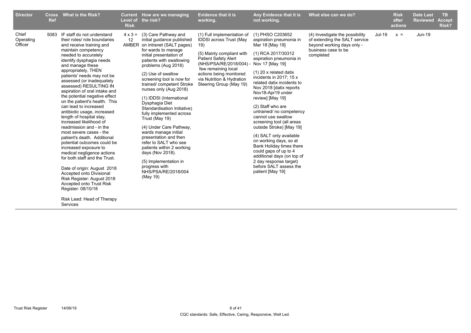| <b>Director</b>               | <b>Cross</b><br>Ref | What is the Risk?                                                                                                                                                                                                                                                                                                                                                                                                                                                                                                                                                                                                                                                                                                                                                                                                                                                                                              | <b>Current</b><br>Level of<br><b>Risk</b> | How are we managing<br>the risk?                                                                                                                                                                                                                                                                                                                                                                                                                                                                                                                                                                                                                                 | <b>Evidence that it is</b><br>working.                                                                                                                                                                                                                             | Any Evidence that it is<br>not working.                                                                                                                                                                                                                                                                                                                                                                                                                                                                                                                                                                                                      | What else can we do?                                                                                                               |        | <b>Risk</b><br>after<br>actions | <b>Date Last</b><br><b>Reviewed</b> | <b>TB</b><br><b>Accept</b><br>Risk? |
|-------------------------------|---------------------|----------------------------------------------------------------------------------------------------------------------------------------------------------------------------------------------------------------------------------------------------------------------------------------------------------------------------------------------------------------------------------------------------------------------------------------------------------------------------------------------------------------------------------------------------------------------------------------------------------------------------------------------------------------------------------------------------------------------------------------------------------------------------------------------------------------------------------------------------------------------------------------------------------------|-------------------------------------------|------------------------------------------------------------------------------------------------------------------------------------------------------------------------------------------------------------------------------------------------------------------------------------------------------------------------------------------------------------------------------------------------------------------------------------------------------------------------------------------------------------------------------------------------------------------------------------------------------------------------------------------------------------------|--------------------------------------------------------------------------------------------------------------------------------------------------------------------------------------------------------------------------------------------------------------------|----------------------------------------------------------------------------------------------------------------------------------------------------------------------------------------------------------------------------------------------------------------------------------------------------------------------------------------------------------------------------------------------------------------------------------------------------------------------------------------------------------------------------------------------------------------------------------------------------------------------------------------------|------------------------------------------------------------------------------------------------------------------------------------|--------|---------------------------------|-------------------------------------|-------------------------------------|
| Chief<br>Operating<br>Officer |                     | 5083 IF staff do not understand<br>their roles/ role boundaries<br>and receive training and<br>maintain competency<br>needed to accurately<br>identify dysphagia needs<br>and manage these<br>appropriately, THEN<br>patients' needs may not be<br>assessed (or inadequately<br>assessed) RESULTING IN<br>aspiration of oral intake and<br>the potential negative effect<br>on the patient's health. This<br>can lead to increased<br>antibiotic usage, increased<br>length of hospital stay,<br>increased likelihood of<br>readmission and - in the<br>most severe cases - the<br>patient's death. Additional<br>potential outcomes could be<br>increased exposure to<br>medical negligence actions<br>for both staff and the Trust.<br>Date of origin: August 2018<br>Accepted onto Divisional<br>Risk Register: August 2018<br>Accepted onto Trust Risk<br>Register: 08/10/18<br>Risk Lead: Head of Therapy | $4 \times 3 =$<br>12                      | (3) Care Pathway and<br>initial guidance published<br>AMBER on intranet (SALT pages)<br>for wards to manage<br>initial presentation of<br>patients with swallowing<br>problems (Aug 2018)<br>(2) Use of swallow<br>screening tool is now for<br>trained/competent Stroke<br>nurses only (Aug 2018)<br>(1) IDDSI (International<br>Dysphagia Diet<br>Standardisation Initiative)<br>fully implemented across<br>Trust (May 19)<br>(4) Under Care Pathway,<br>wards manage initial<br>presentation and then<br>refer to SALT who see<br>patients within 2 working<br>days (Nov 2018).<br>(5) Implementation in<br>progress with<br>NHS/PSA/RE/2018/004<br>(May 19) | (1) Full implementation of<br><b>IDDSI</b> across Trust (May<br>19)<br>(5) Mainly compliant with<br><b>Patient Safety Alert</b><br>(NHS/PSA/RE/2018/004)<br>few remaining local<br>actions being monitored<br>via Nutrition & Hydration<br>Steering Group (May 19) | (1) PHSO C203652<br>aspiration pneumonia in<br>Mar 18 [May 19]<br>(1) RCA 2017/30312<br>aspiration pneumonia in<br>Nov 17 [May 19]<br>$(1)$ 20 x related datix<br>incidents in 2017; 15 x<br>related datix incidents to<br>Nov 2018 [datix reports]<br>Nov18-Apr19 under<br>review] [May 19]<br>(2) Staff who are<br>untrained/ no competency<br>cannot use swallow<br>screening tool (all areas<br>outside Stroke) [May 19]<br>(4) SALT only available<br>on working days, so at<br>Bank Holiday times there<br>could gaps of up to 4<br>additional days (on top of<br>2 day response target)<br>before SALT assess the<br>patient [May 19] | (4) Investigate the possibility<br>of extending the SALT service<br>beyond working days only -<br>business case to be<br>completed | Jul-19 | $x =$                           | Jun-19                              |                                     |

Services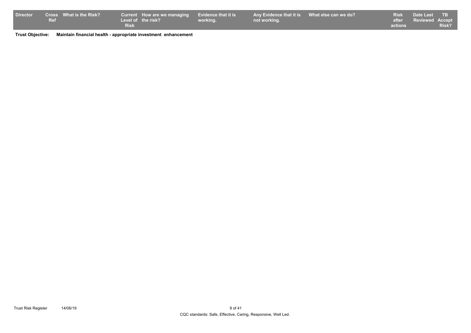| <b>Director</b> |            | <b>Cross</b> What is the Risk? |             | Current How are we managing Evidence that it is |          | Any Evidence that it is What else can we do? |         | Risk Date Last TB     |       |
|-----------------|------------|--------------------------------|-------------|-------------------------------------------------|----------|----------------------------------------------|---------|-----------------------|-------|
|                 | <b>Ref</b> |                                |             | Level of the risk?                              | working. | not working.                                 |         | after Reviewed Accept |       |
|                 |            |                                | <b>Risk</b> |                                                 |          |                                              | actions |                       | Risk? |

**Trust Objective: Maintain financial health - appropriate investment enhancement**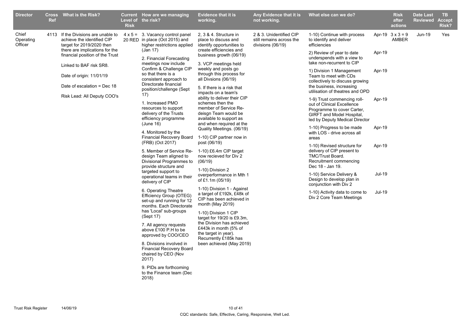| <b>Director</b>               | <b>Cross</b><br><b>Ref</b> | <b>What is the Risk?</b>                                                                                                                                                                 | <b>Risk</b> | Current How are we managing<br>Level of the risk?                                                                                                                                                                                                                                                                                                                                                          | <b>Evidence that it is</b><br>working.                                                                                                                                                                                                                                                                                                                                                                                                          | Any Evidence that it is<br>not working.                                  | What else can we do?                                                                                                                                                                                                                                                                                                                                                                                                                                                                                      |                                                | <b>Risk</b><br>after<br>actions         | <b>Date Last</b><br><b>Reviewed Accept</b> | TB.<br><b>Risk?</b> |
|-------------------------------|----------------------------|------------------------------------------------------------------------------------------------------------------------------------------------------------------------------------------|-------------|------------------------------------------------------------------------------------------------------------------------------------------------------------------------------------------------------------------------------------------------------------------------------------------------------------------------------------------------------------------------------------------------------------|-------------------------------------------------------------------------------------------------------------------------------------------------------------------------------------------------------------------------------------------------------------------------------------------------------------------------------------------------------------------------------------------------------------------------------------------------|--------------------------------------------------------------------------|-----------------------------------------------------------------------------------------------------------------------------------------------------------------------------------------------------------------------------------------------------------------------------------------------------------------------------------------------------------------------------------------------------------------------------------------------------------------------------------------------------------|------------------------------------------------|-----------------------------------------|--------------------------------------------|---------------------|
| Chief<br>Operating<br>Officer |                            | 4113 If the Divisions are unable to<br>achieve the identified CIP<br>target for 2019/2020 then                                                                                           |             | $4 \times 5 = 3$ . Vacancy control panel<br>20 RED in place (Oct 2015) and<br>higher restrictions applied                                                                                                                                                                                                                                                                                                  | 2, 3 & 4. Structure in<br>place to discuss and<br>identify opportunities to                                                                                                                                                                                                                                                                                                                                                                     | 2 & 3. Unidentified CIP<br>still remains across the<br>divisions (06/19) | 1-10) Continue with process<br>to identify and deliver<br>efficiencies                                                                                                                                                                                                                                                                                                                                                                                                                                    |                                                | Apr-19 $3 \times 3 = 9$<br><b>AMBER</b> | Jun-19                                     | Yes                 |
|                               |                            | there are implications for the<br>financial position of the Trust<br>Linked to BAF risk SR8.<br>Date of origin: 11/01/19<br>Date of escalation = Dec $18$<br>Risk Lead: All Deputy COO's |             | (Jan 17)<br>2. Financial Forecasting<br>meetings now include<br>Confirm & Challenge CIP<br>so that there is a<br>consistent approach to<br>Directorate financial<br>position/challenge (Sept<br>17)<br>1. Increased PMO<br>resources to support<br>delivery of the Trusts<br>efficiency programme<br>(June 16)<br>4. Monitored by the<br>Financial Recovery Board<br>(FRB) (Oct 2017)                      | create efficiencies and<br>business growth (06/19)<br>3. VCP meetings held<br>weekly and posts go<br>through this process for<br>all Divsions (06/19)<br>5. If there is a risk that<br>impacts on a team's<br>ability to deliver their CIP<br>schemes then the<br>member of Service Re-<br>deisgn Team would be<br>available to support as<br>and when required at the<br>Quality Meetings. (06/19)<br>1-10) CIP partner now in<br>post (06/19) |                                                                          | 2) Review of year to date<br>underspends with a view to<br>take non-recurrent to CIP<br>1) Division 1 Management<br>Team to meet with CDs<br>collectively to discuss growing<br>the business, increasing<br>utilisation of theatres and OPD<br>1-9) Trust commencing roll-<br>out of Clinical Excellence<br>Programme to cover Carter,<br>GIRFT and Model Hospital,<br>led by Deputy Medical Director<br>1-10) Progress to be made<br>with LOS - drive across all<br>areas<br>1-10) Revised structure for | Apr-19<br>Apr-19<br>Apr-19<br>Apr-19<br>Apr-19 |                                         |                                            |                     |
|                               |                            |                                                                                                                                                                                          |             | 5. Member of Service Re-<br>design Team aligned to<br>Divisional Programmes to<br>provide structure and<br>targeted support to<br>operational teams in their                                                                                                                                                                                                                                               | 1-10) £6.4m CIP target<br>now recieved for Div 2<br>(06/19)<br>1-10) Division 2<br>overperformance in Mth 1<br>of £1.1m (05/19)                                                                                                                                                                                                                                                                                                                 |                                                                          | delivery of CIP present to<br>TMC/Trust Board.<br>Recruitment commencing<br>Dec 18 - Jan 19.<br>1-10) Service Delivery &<br>Design to develop plan in                                                                                                                                                                                                                                                                                                                                                     | <b>Jul-19</b>                                  |                                         |                                            |                     |
|                               |                            |                                                                                                                                                                                          |             | delivery of CIP<br>6. Operating Theatre<br>Efficiency Group (OTEG)<br>set-up and running for 12<br>months. Each Directorate<br>has 'Local' sub-groups<br>(Sept 17)<br>7. All agency requests<br>above £100 P.H to be<br>approved by COO/CEO<br>8. Divisions involved in<br><b>Financial Recovery Board</b><br>chaired by CEO (Nov<br>2017)<br>9. PIDs are forthcoming<br>to the Finance team (Dec<br>2018) | 1-10) Division 1 - Against<br>a target of £192k, £48k of<br>CIP has been achieved in<br>month (May 2019)<br>1-10) Division 1 CIP<br>target for 19/20 is £9.3m,<br>the Division has achieved<br>£443k in month (5% of<br>the target in year).<br>Recurrently £185k has<br>been achieved (May 2019)                                                                                                                                               |                                                                          | conjunction with Div 2<br>1-10) Activity data to come to<br>Div 2 Core Team Meetings                                                                                                                                                                                                                                                                                                                                                                                                                      | Jul-19                                         |                                         |                                            |                     |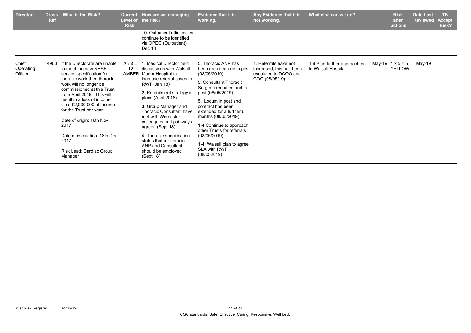| <b>Director</b>               | <b>Cross</b><br><b>Ref</b> | What is the Risk?                                                                                                                                                                                                                                                                                                                                                                                                 | <b>Current</b><br><b>Risk</b> | How are we managing<br>Level of the risk?                                                                                                                                                                                                                                                                                                                                                                                                       | <b>Evidence that it is</b><br>working.                                                                                                                                                                                                                                                                                                                                                    | Any Evidence that it is<br>not working.                                                      | What else can we do?                               | <b>Risk</b><br>after<br>actions          | <b>Date Last</b><br><b>Reviewed</b> | TB.<br><b>Accept</b><br>Risk? |
|-------------------------------|----------------------------|-------------------------------------------------------------------------------------------------------------------------------------------------------------------------------------------------------------------------------------------------------------------------------------------------------------------------------------------------------------------------------------------------------------------|-------------------------------|-------------------------------------------------------------------------------------------------------------------------------------------------------------------------------------------------------------------------------------------------------------------------------------------------------------------------------------------------------------------------------------------------------------------------------------------------|-------------------------------------------------------------------------------------------------------------------------------------------------------------------------------------------------------------------------------------------------------------------------------------------------------------------------------------------------------------------------------------------|----------------------------------------------------------------------------------------------|----------------------------------------------------|------------------------------------------|-------------------------------------|-------------------------------|
|                               |                            |                                                                                                                                                                                                                                                                                                                                                                                                                   |                               | 10. Outpatient efficiencies<br>continue to be identified<br>via OPEG (Outpatient)<br>Dec 18                                                                                                                                                                                                                                                                                                                                                     |                                                                                                                                                                                                                                                                                                                                                                                           |                                                                                              |                                                    |                                          |                                     |                               |
| Chief<br>Operating<br>Officer | 4903                       | If the Directorate are unable<br>to meet the new NHSE<br>service specification for<br>thoracic work then thoracic<br>work will no longer be<br>commissioned at this Trust<br>from April 2019. This will<br>result in a loss of income<br>circa £2,000,000 of income<br>for the Trust per year.<br>Date of origin: 16th Nov<br>2017<br>Date of escalation: 18th Dec<br>2017<br>Risk Lead: Cardiac Group<br>Manager | $3 \times 4 =$<br>12          | 1. Medical Director held<br>discussions with Walsall<br>AMBER Manor Hospital to<br>increase referral cases to<br><b>RWT</b> (Jan 18)<br>2. Recruitment strategy in<br>place (April 2018)<br>3. Group Manager and<br><b>Thoracic Consultant have</b><br>met with Worcester<br>colleagues and pathways<br>agreed (Sept 18)<br>4. Thoracic specification<br>states that a Thoracic<br><b>ANP and Consultant</b><br>should be employed<br>(Sept 18) | 5. Thoracic ANP has<br>been recruited and in post<br>(08/05/2019)<br>5. Consultant Thoracic<br>Surgeon recruited and in<br>post (08/05/2019)<br>5. Locum in post and<br>contract has been<br>extended for a further 6<br>months (08/05/2019)<br>1-4 Continue to approach<br>other Trusts for referrals<br>(08/05/2019)<br>1-4 Walsall plan to agree<br><b>SLA with RWT</b><br>(08/052019) | 1. Referrals have not<br>increased, this has been<br>escalated to DCOO and<br>COO (08/05/19) | 1-4 Plan further approaches<br>to Walsall Hospital | May-19 $1 \times 5 = 5$<br><b>YELLOW</b> | May-19                              |                               |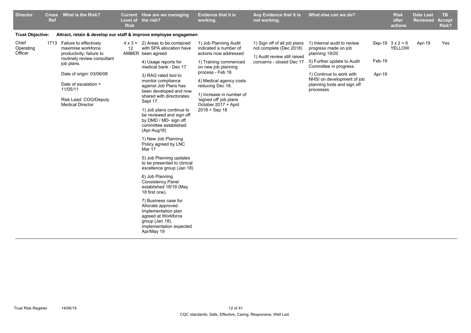| <b>Director</b>               | <b>Cross</b><br><b>Ref</b> | What is the Risk?                                                                                                                                                                                                                                | <b>Risk</b> | Current How are we managing<br>Level of the risk?                                                                                                                                                                                                                                                                                                                                                                                                                                                                                                                                                                                                                                                                                                                                                 | <b>Evidence that it is</b><br>working.                                                                                                                                                                                                                                                    | Any Evidence that it is<br>not working.                                                                             | What else can we do?                                                                                                                                                                                                                |                  | <b>Risk</b><br>after<br>actions          | <b>Date Last</b><br><b>Reviewed</b> | <b>TB</b><br><b>Accept</b><br>Risk? |
|-------------------------------|----------------------------|--------------------------------------------------------------------------------------------------------------------------------------------------------------------------------------------------------------------------------------------------|-------------|---------------------------------------------------------------------------------------------------------------------------------------------------------------------------------------------------------------------------------------------------------------------------------------------------------------------------------------------------------------------------------------------------------------------------------------------------------------------------------------------------------------------------------------------------------------------------------------------------------------------------------------------------------------------------------------------------------------------------------------------------------------------------------------------------|-------------------------------------------------------------------------------------------------------------------------------------------------------------------------------------------------------------------------------------------------------------------------------------------|---------------------------------------------------------------------------------------------------------------------|-------------------------------------------------------------------------------------------------------------------------------------------------------------------------------------------------------------------------------------|------------------|------------------------------------------|-------------------------------------|-------------------------------------|
| <b>Trust Objective:</b>       |                            | Attract, retain & develop our staff & improve employee engagemen                                                                                                                                                                                 |             |                                                                                                                                                                                                                                                                                                                                                                                                                                                                                                                                                                                                                                                                                                                                                                                                   |                                                                                                                                                                                                                                                                                           |                                                                                                                     |                                                                                                                                                                                                                                     |                  |                                          |                                     |                                     |
| Chief<br>Operating<br>Officer |                            | 1713 Failure to effectively<br>maximise workforce<br>productivity; failure to<br>routinely review consultant<br>job plans.<br>Date of origin: 03/06/08<br>Date of escalation $=$<br>11/05/11<br>Risk Lead: COO/Deputy<br><b>Medical Director</b> | 12          | $4 \times 3 = 2$ ) Areas to be contained<br>with SPA allocation have<br>AMBER been agreed<br>4) Usage reports for<br>medical bank - Dec 17<br>3) RAG rated tool to<br>monitor compliance<br>against Job Plans has<br>been developed and now<br>shared with directorates<br>Sept 17.<br>1) Job plans continue to<br>be reviewed and sign off<br>by DMD / MD- sign off<br>committee established<br>(Apr-Aug18)<br>1) New Job Planning<br>Policy agreed by LNC<br>Mar 17<br>5) Job Planning updates<br>to be presented to clinical<br>excellence group (Jan 18)<br>6) Job Planning<br><b>Consistency Panel</b><br>established 18/19 (May<br>18 first one).<br>7) Business case for<br>Allocate approved.<br>Implementation plan<br>agreed at Workforce<br>group (Jan 18).<br>Implementation expected | 1) Job Planning Audit<br>indicated a number of<br>actions now addressed<br>1) Training commenced<br>on new job planning<br>process - Feb 16<br>4) Medical agency costs<br>reducing Dec 18.<br>1) Increase in number of<br>'signed off' job plans<br>October 2017 + April<br>2018 + Sep 18 | 1) Sign off of all job plans<br>not complete (Dec 2018)<br>1) Audit review still raised<br>concerns - closed Dec 17 | 1) Internal audit to review<br>progress made on job<br>planning 19/20<br>5) Further update to Audit<br>Committee in progress.<br>1) Continue to work with<br>NHSI on development of job<br>planning tools and sign off<br>processes | Feb-19<br>Apr-19 | Sep-19 $3 \times 2 = 6$<br><b>YELLOW</b> | Apr-19                              | Yes                                 |
|                               |                            |                                                                                                                                                                                                                                                  |             | Apr/May 19                                                                                                                                                                                                                                                                                                                                                                                                                                                                                                                                                                                                                                                                                                                                                                                        |                                                                                                                                                                                                                                                                                           |                                                                                                                     |                                                                                                                                                                                                                                     |                  |                                          |                                     |                                     |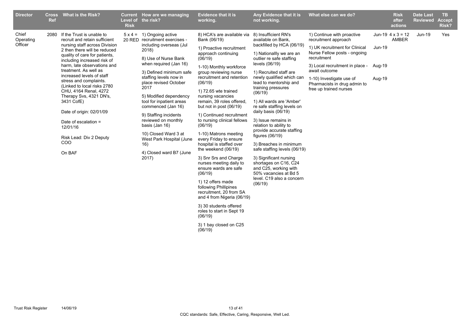| <b>Director</b><br><b>Ref</b>         | Cross What is the Risk?                                                                                                                                                                                                                                                                                                                                                                                                                                                                                                 | Level of<br><b>Risk</b> | Current How are we managing<br>the risk?                                                                                                                                                                                                                                                                                                                                                                                                                                                     | <b>Evidence that it is</b><br>working.                                                                                                                                                                                                                                                                                                                                                                                                                                                                                                                                                                                                                                                                                                                                                      | Any Evidence that it is<br>not working.                                                                                                                                                                                                                                                                                                                                                                                                                                                                                                                                                                                                                        | What else can we do?                                                                                                                                                                                                                                                          |                              | <b>Risk</b><br>after<br>actions   | <b>Date Last</b><br><b>Reviewed</b> | TB.<br><b>Accept</b><br>Risk? |
|---------------------------------------|-------------------------------------------------------------------------------------------------------------------------------------------------------------------------------------------------------------------------------------------------------------------------------------------------------------------------------------------------------------------------------------------------------------------------------------------------------------------------------------------------------------------------|-------------------------|----------------------------------------------------------------------------------------------------------------------------------------------------------------------------------------------------------------------------------------------------------------------------------------------------------------------------------------------------------------------------------------------------------------------------------------------------------------------------------------------|---------------------------------------------------------------------------------------------------------------------------------------------------------------------------------------------------------------------------------------------------------------------------------------------------------------------------------------------------------------------------------------------------------------------------------------------------------------------------------------------------------------------------------------------------------------------------------------------------------------------------------------------------------------------------------------------------------------------------------------------------------------------------------------------|----------------------------------------------------------------------------------------------------------------------------------------------------------------------------------------------------------------------------------------------------------------------------------------------------------------------------------------------------------------------------------------------------------------------------------------------------------------------------------------------------------------------------------------------------------------------------------------------------------------------------------------------------------------|-------------------------------------------------------------------------------------------------------------------------------------------------------------------------------------------------------------------------------------------------------------------------------|------------------------------|-----------------------------------|-------------------------------------|-------------------------------|
| Chief<br>2080<br>Operating<br>Officer | If the Trust is unable to<br>recruit and retain sufficient<br>nursing staff across Division<br>2 then there will be reduced<br>quality of care for patients,<br>including increased risk of<br>harm. late observations and<br>treatment. As well as<br>increased levels of staff<br>stress and complaints.<br>(Linked to local risks 2780<br>CHU, 4164 Renal, 4272<br>Therapy Svs, 4321 DN's,<br>3431 CofE)<br>Date of origin: 02/01/09<br>Date of escalation =<br>12/01/16<br>Risk Lead: Div 2 Deputy<br>COO<br>On BAF |                         | $5 \times 4 = 1$ ) Ongoing active<br>20 RED recruitment exercises -<br>including overseas (Jul<br>2018)<br>8) Use of Nurse Bank<br>when required (Jan 16)<br>3) Defined minimum safe<br>staffing levels now in<br>place revised October<br>2017<br>5) Modified dependency<br>tool for inpatient areas<br>commenced (Jan 16)<br>9) Staffing incidents<br>reviewed on monthly<br>basis (Jan 16)<br>10) Closed Ward 3 at<br>West Park Hospital (June<br>16)<br>4) Closed ward B7 (June<br>2017) | 8) HCA's are available via<br>Bank (06/19)<br>1) Proactive recruitment<br>approach continuing<br>(06/19)<br>1-10) Monthly workforce<br>group reviewing nurse<br>recruitment and retention<br>(06/19)<br>1) 72.65 wte trained<br>nursing vacancies<br>remain, 39 roles offered,<br>but not in post (06/19)<br>1) Continued recruitment<br>to nursing clinical fellows<br>(06/19)<br>1-10) Matrons meeting<br>every Friday to ensure<br>hospital is staffed over<br>the weekend (06/19)<br>3) Snr Srs and Charge<br>nurses meeting daily to<br>ensure wards are safe<br>(06/19)<br>1) 12 offers made<br>following Phillipines<br>recruitment, 20 from SA<br>and 4 from Nigeria (06/19)<br>3) 30 students offered<br>roles to start in Sept 19<br>(06/19)<br>3) 1 bay closed on C25<br>(06/19) | 8) Insufficient RN's<br>available on Bank,<br>backfilled by HCA (06/19)<br>1) Nationallly we are an<br>outlier re safe staffing<br>levels (06/19)<br>1) Recruited staff are<br>newly qualified which can<br>lead to mentorship and<br>training pressures<br>(06/19)<br>1) All wards are 'Amber'<br>re safe staffing levels on<br>daily basis (06/19)<br>3) Issue remains in<br>relation to ability to<br>provide accurate staffing<br>figures $(06/19)$<br>3) Breaches in minimum<br>safe staffing levels (06/19)<br>3) Significant nursing<br>shortages on C16, C24<br>and C25, working with<br>50% vacancies at Bd 5<br>level. C19 also a concern<br>(06/19) | 1) Continue with proactive<br>recruitment approach<br>1) UK recruitment for Clinical<br>Nurse Fellow posts - ongoing<br>recruitment<br>3) Local recruitment in place -<br>await outcome<br>1-10) Investigate use of<br>Pharmacists in drug admin to<br>free up trained nurses | $Jun-19$<br>Aua-19<br>Aug-19 | Jun-19 $4 \times 3 = 12$<br>AMBER | Jun-19                              | Yes                           |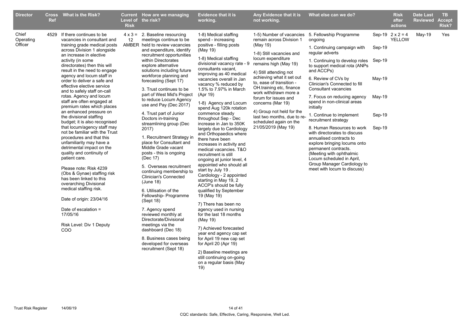| <b>Director</b>               | <b>Ref</b> | Cross What is the Risk?                                                                                                                                                                                                                                                                                                                                                                                                                                                                                                                                                                                                                                                                                                                                                                                                                                                                                                                                                                           | <b>Risk</b> | Current How are we managing<br>Level of the risk?                                                                                                                                                                                                                                                                                                                                                                                                                                                                                                                                                                                                                                                                                                                                                                                                                                                                                                                                | <b>Evidence that it is</b><br>working.                                                                                                                                                                                                                                                                                                                                                                                                                                                                                                                                                                                                                                                                                                                                                                                                                                                                                                                                                                                                                                         | Any Evidence that it is<br>not working.                                                                                                                                                                                                                                                                                                                                                                          | What else can we do?                                                                                                                                                                                                                                                                                                                                                                                                                                                                                                                                                                                                                                                                         |                                                | <b>Risk</b><br>after<br>actions          | <b>Date Last</b><br><b>Reviewed</b> | TB.<br><b>Accept</b><br>Risk? |
|-------------------------------|------------|---------------------------------------------------------------------------------------------------------------------------------------------------------------------------------------------------------------------------------------------------------------------------------------------------------------------------------------------------------------------------------------------------------------------------------------------------------------------------------------------------------------------------------------------------------------------------------------------------------------------------------------------------------------------------------------------------------------------------------------------------------------------------------------------------------------------------------------------------------------------------------------------------------------------------------------------------------------------------------------------------|-------------|----------------------------------------------------------------------------------------------------------------------------------------------------------------------------------------------------------------------------------------------------------------------------------------------------------------------------------------------------------------------------------------------------------------------------------------------------------------------------------------------------------------------------------------------------------------------------------------------------------------------------------------------------------------------------------------------------------------------------------------------------------------------------------------------------------------------------------------------------------------------------------------------------------------------------------------------------------------------------------|--------------------------------------------------------------------------------------------------------------------------------------------------------------------------------------------------------------------------------------------------------------------------------------------------------------------------------------------------------------------------------------------------------------------------------------------------------------------------------------------------------------------------------------------------------------------------------------------------------------------------------------------------------------------------------------------------------------------------------------------------------------------------------------------------------------------------------------------------------------------------------------------------------------------------------------------------------------------------------------------------------------------------------------------------------------------------------|------------------------------------------------------------------------------------------------------------------------------------------------------------------------------------------------------------------------------------------------------------------------------------------------------------------------------------------------------------------------------------------------------------------|----------------------------------------------------------------------------------------------------------------------------------------------------------------------------------------------------------------------------------------------------------------------------------------------------------------------------------------------------------------------------------------------------------------------------------------------------------------------------------------------------------------------------------------------------------------------------------------------------------------------------------------------------------------------------------------------|------------------------------------------------|------------------------------------------|-------------------------------------|-------------------------------|
| Chief<br>Operating<br>Officer |            | 4529 If there continues to be<br>vacancies in consultant and<br>training grade medical posts<br>across Division 1 alongside<br>an increase in elective<br>activity (in some<br>directorates) then this will<br>result in the need to engage<br>agency and locum staff in<br>order to deliver a safe and<br>effective elective service<br>and to safely staff on-call<br>rotas. Agency and locum<br>staff are often engaged at<br>premium rates which places<br>an enhanced pressure on<br>the divisional staffing<br>budget; it is also recognised<br>that locum/agency staff may<br>not be familiar with the Trust<br>procedures and that this<br>unfamiliarity may have a<br>detrimental impact on the<br>quality and continuity of<br>patient care.<br>Please note: Risk 4239<br>(Obs & Gynae) staffing risk<br>has been linked to this<br>overarching Divisional<br>medical staffing risk.<br>Date of origin: 23/04/16<br>Date of escalation =<br>17/05/16<br>Risk Level: Div 1 Deputy<br>COO | 12          | $4 \times 3 = 2$ . Baseline resourcing<br>meetings continue to be<br>AMBER held to review vacancies<br>and expenditure, identify<br>recruitment opportunities<br>within Directorates<br>explore alternative<br>solutions including future<br>workforce planning and<br>forecasting (Sept 17)<br>3. Trust continues to be<br>part of West Mid's Project<br>to reduce Locum Agency<br>use and Pay (Dec 2017)<br>4. Trust part of Junior<br>Doctors in-training<br>streamlining group (Dec<br>2017)<br>1. Recruitment Strategy in<br>place for Consultant and<br>Middle Grade vacant<br>posts - this is ongoing<br>(Dec 17)<br>5. Overseas recruitment<br>continuing membership to<br>Clinician's Connected<br>(June 18)<br>6. Utilisation of the<br>Fellowship- Programme<br>(Sept 18)<br>7. Agency spend<br>reviewed monthly at<br>Directorate/Divisional<br>meetings via the<br>dashboard (Dec 18)<br>8. Business cases being<br>developed for overseas<br>recruitment (Sept 18) | 1-8) Medical staffing<br>spend - increasing<br>positive - filling posts<br>(May 19)<br>1-8) Medical staffing<br>divisional vacancy rate - 9<br>consultants vacant,<br>improving as 40 medical<br>vacancies overall in Jan<br>vacancy % reduced by<br>1.5% to 7.97% in March<br>(Apr 19)<br>1-8) Agency and Locum<br>spend Aug 120k rotation<br>commence steady<br>throughout Sep - Dec<br>increase in Jan to 350K<br>largely due to Cardiology<br>and Orthopaedics where<br>there have been<br>increases in activity and<br>medical vacancies. T&O<br>recruitment is still<br>ongoing at junior level, 4<br>appointed who should all<br>start by July 19.<br>Cardiology - 2 appointed<br>starting in May 19, 2<br>ACCP's should be fully<br>qualified by September<br>19 (May 19)<br>7) There has been no<br>agency used in nursing<br>for the last 18 months<br>(May 19)<br>7) Achieved forecasted<br>year end agency cap set<br>for April 19 new cap set<br>for April 20 (Apr 19)<br>2) Baseline meetings are<br>still continuing on-going<br>on a regular basis (May<br>19) | remain across Division 1<br>(May 19)<br>1-8) Still vacancies and<br>locum expenditure<br>remains high (May 19)<br>4) Still attending not<br>achieving what it set out<br>to, ease of transition -<br>OH.training etc, finance<br>work withdrawn more a<br>forum for issues and<br>concerns (Mar 19)<br>4) Group not held for the<br>last two months, due to re-<br>scheduled again on the<br>21/05/2019 (May 19) | 1-5) Number of vacancies 5. Fellowship Programme<br>ongoing<br>1. Continuing campaign with<br>reqular adverts<br>1. Continuing to develop roles Sep-19<br>to support medical rota (ANPs<br>and ACCPs)<br>6. Review of CVs by<br>Clinician's Connected to fill<br>Consultant vacancies<br>7. Focus on reducing agency<br>spend in non-clinical areas<br>initially<br>1. Continue to implement<br>recruitment strategy<br>8. Human Resources to work<br>with directorates to discuss<br>annualised contracts to<br>explore bringing locums onto<br>permanent contracts.<br>(Meeting with ophthalmic<br>Locum scheduled in April,<br>Group Manager Cardiology to<br>meet with locum to discuss) | Sep-19<br>May-19<br>May-19<br>Sep-19<br>Sep-19 | Sep-19 $2 \times 2 = 4$<br><b>YELLOW</b> | $May-19$                            | Yes                           |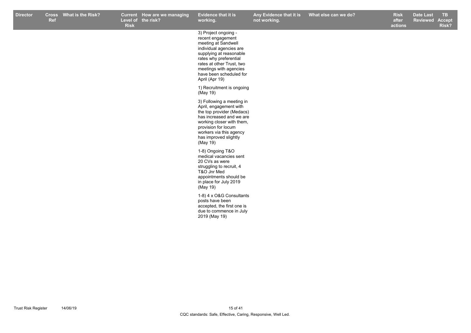| <b>Director</b> | Ref | Cross What is the Risk? | <b>Risk</b> | Current How are we managing<br>Level of the risk? | Evidence that it is<br>working.                                                                                                                                                                                                                      | Any Evidence that it is<br>not working. | What else can we do? | <b>Risk</b><br>after<br>actions | <b>Date Last</b><br><b>Reviewed</b> | TB<br><b>Accept</b><br>Risk? |
|-----------------|-----|-------------------------|-------------|---------------------------------------------------|------------------------------------------------------------------------------------------------------------------------------------------------------------------------------------------------------------------------------------------------------|-----------------------------------------|----------------------|---------------------------------|-------------------------------------|------------------------------|
|                 |     |                         |             |                                                   | 3) Project ongoing -<br>recent engagement<br>meeting at Sandwell<br>individual agencies are<br>supplying at reasonable<br>rates why preferential<br>rates at other Trust, two<br>meetings with agencies<br>have been scheduled for<br>April (Apr 19) |                                         |                      |                                 |                                     |                              |
|                 |     |                         |             |                                                   | 1) Recruitment is ongoing<br>(May 19)                                                                                                                                                                                                                |                                         |                      |                                 |                                     |                              |
|                 |     |                         |             |                                                   | 3) Following a meeting in<br>April, engagement with<br>the top provider (Medacs)<br>has increased and we are<br>working closer with them,<br>provision for locum<br>workers via this agency<br>has improved slightly<br>(May 19)                     |                                         |                      |                                 |                                     |                              |
|                 |     |                         |             |                                                   | 1-8) Ongoing T&O<br>medical vacancies sent<br>20 CVs as were<br>struggling to recruit, 4<br>T&O Jnr Med<br>appointments should be<br>in place for July 2019<br>(May 19)                                                                              |                                         |                      |                                 |                                     |                              |
|                 |     |                         |             |                                                   | 1-8) 4 x O&G Consultants<br>posts have been<br>accepted, the first one is<br>due to commence in July<br>2019 (May 19)                                                                                                                                |                                         |                      |                                 |                                     |                              |
|                 |     |                         |             |                                                   |                                                                                                                                                                                                                                                      |                                         |                      |                                 |                                     |                              |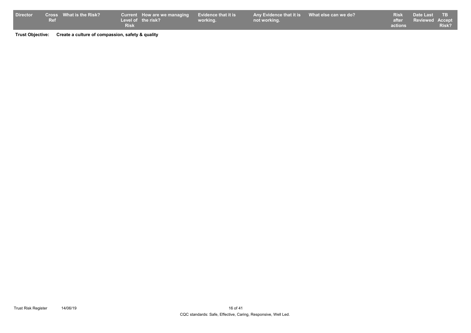| <b>Director</b> |     | Cross What is the Risk? |             | Current How are we managing Evidence that it is |          | Any Evidence that it is What else can we do? |         | Risk Date Last TB     |              |
|-----------------|-----|-------------------------|-------------|-------------------------------------------------|----------|----------------------------------------------|---------|-----------------------|--------------|
|                 | Ref |                         |             | Level of the risk?                              | working. | not working.                                 |         | after Reviewed Accept |              |
|                 |     |                         | <b>Risk</b> |                                                 |          |                                              | actions |                       | <b>Risk?</b> |

**Trust Objective: Create a culture of compassion, safety & quality**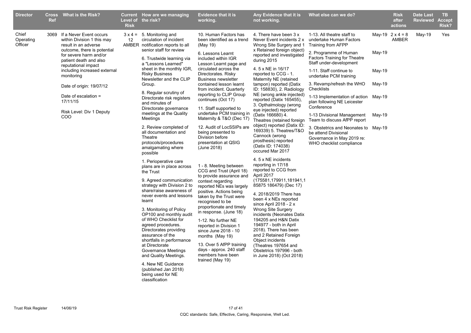| <b>Director</b>               | <b>Ref</b> | Cross What is the Risk?                                                                                                                     | <b>Risk</b> | Current How are we managing<br>Level of the risk?                                                                                                                                                                                             | <b>Evidence that it is</b><br>working.                                                                                                                                                                                                          | Any Evidence that it is<br>not working.                                                                                                                                                                                                                                                   | What else can we do?                                                                                                                        |          | <b>Risk</b><br>after<br>actions  | <b>Date Last</b><br><b>Reviewed</b> | TB.<br><b>Accept</b><br><b>Risk?</b> |
|-------------------------------|------------|---------------------------------------------------------------------------------------------------------------------------------------------|-------------|-----------------------------------------------------------------------------------------------------------------------------------------------------------------------------------------------------------------------------------------------|-------------------------------------------------------------------------------------------------------------------------------------------------------------------------------------------------------------------------------------------------|-------------------------------------------------------------------------------------------------------------------------------------------------------------------------------------------------------------------------------------------------------------------------------------------|---------------------------------------------------------------------------------------------------------------------------------------------|----------|----------------------------------|-------------------------------------|--------------------------------------|
| Chief<br>Operating<br>Officer |            | 3069 If a Never Event occurs<br>within Division 1 this may<br>result in an adverse<br>outcome, there is potential<br>for severe harm and/or | 12          | $3 \times 4 = 5$ . Monitoring and<br>circulation of incident<br>AMBER notification reports to all<br>senior staff for review<br>6. Trustwide learning via                                                                                     | 10. Human Factors has<br>been identified as a trend<br>(May 19)<br>6. Lessons Learnt<br>included within IGR                                                                                                                                     | 4. There have been 3 x<br>Never Event incidents 2 x<br>Wrong Site Surgery and 1<br>x Retained foreign object)<br>reported and investigated                                                                                                                                                | 1-13. All theatre staff to<br>undertake Human Factors<br>Training from AFPP<br>2. Programme of Human<br><b>Factors Training for Theatre</b> | $May-19$ | May-19 $2 \times 4 = 8$<br>AMBER | May-19                              | Yes                                  |
|                               |            | patient death and also<br>reputational impact<br>including increased external<br>monitoring                                                 |             | a "Lessons Learned"<br>sheet in the monthly IGR,<br><b>Risky Business</b><br>Newsletter and the CLIP                                                                                                                                          | Lesson Learnt page and<br>circulated across the<br>Directorates. Risky<br><b>Business newsletter</b>                                                                                                                                            | during 2015<br>4. 5 x NE in 16/17<br>reported to CCG - 1.<br>Maternity NE (retained                                                                                                                                                                                                       | Staff under-development<br>1-11. Staff continue to<br>undertake PCM training                                                                | May-19   |                                  |                                     |                                      |
|                               |            | Date of origin: 19/07/12                                                                                                                    |             | Group.<br>8. Regular scrutiny of                                                                                                                                                                                                              | contained lesson learnt<br>from incident. Quarterly<br>reporting to CLIP Group                                                                                                                                                                  | tampon) reported (Datix<br>ID: 158830), 2. Radiology<br>NE (wrong ankle injected)                                                                                                                                                                                                         | 3. Revamp/refresh the WHO<br>Checklists                                                                                                     | $May-19$ |                                  |                                     |                                      |
|                               |            | Date of escalation =<br>17/11/15<br>Risk Level: Div 1 Deputy                                                                                |             | Directorate risk registers<br>and minutes of<br>Directorate governance                                                                                                                                                                        | continues (Oct 17)<br>11. Staff supported to                                                                                                                                                                                                    | reported (Datix 165455),<br>3. Opthalmology (wrong<br>eye injected) reported                                                                                                                                                                                                              | 1-13 Implementation of action May-19<br>plan following NE Leicester<br>Conference                                                           |          |                                  |                                     |                                      |
|                               |            | COO                                                                                                                                         |             | meetings at the Quality<br>Meetings<br>2. Review completed of                                                                                                                                                                                 | undertake PCM training in<br>Maternity & T&O (Dec 17)<br>12. Audit of LocSSIPs are                                                                                                                                                              | (Datix 166680) 4.<br>Theatres (retained foreign<br>object) reported (Datix ID:                                                                                                                                                                                                            | 1-13 Divisional Management<br>Team to discuss AfPP report<br>3. Obstetrics and Neonates to May-19                                           | May-19   |                                  |                                     |                                      |
|                               |            |                                                                                                                                             |             | all documentation and<br>Theatre<br>protocols/procedures<br>amalgamating where<br>possible                                                                                                                                                    | being presented to<br>Division before<br>presentation at QSIG<br>(June 2018)                                                                                                                                                                    | 169339) 5. Theatres/T&O<br>Cannock (wrong<br>prosthesis) reported<br>(Datix ID: 174038)<br>occured Mar 2017                                                                                                                                                                               | be attend Divisional<br>Governance in May 2019 re:<br>WHO checklist compliance                                                              |          |                                  |                                     |                                      |
|                               |            |                                                                                                                                             |             | 1. Perioperative care<br>plans are in place across<br>the Trust                                                                                                                                                                               | 1 - 8. Meeting between<br>CCG and Trust (April 18)<br>to provide assurance and                                                                                                                                                                  | 4. 5 x NE incidents<br>reporting in 17/18<br>reported to CCG from<br>April 2017                                                                                                                                                                                                           |                                                                                                                                             |          |                                  |                                     |                                      |
|                               |            |                                                                                                                                             |             | 9. Agreed communication<br>strategy with Division 2 to<br>share/raise awareness of<br>never events and lessons<br>learnt                                                                                                                      | context regarding<br>reported NEs was largely<br>positive. Actions being<br>taken by the Trust were<br>recognised to be                                                                                                                         | (175581,179911,181941,1<br>85875 186479) (Dec 17)<br>4. 2018/2019 There has<br>been 4 x NEs reported                                                                                                                                                                                      |                                                                                                                                             |          |                                  |                                     |                                      |
|                               |            |                                                                                                                                             |             | 3. Monitoring of Policy<br>OP100 and monthly audit<br>of WHO Checklist for<br>agreed procedures.<br>Directorates providing<br>assurance of the<br>shortfalls in performance<br>at Directorate<br>Governance Meetings<br>and Quality Meetings. | proportionate and timely<br>in response. (June 18)<br>1-12. No further NE<br>reported in Division 1<br>since June 2018 - 10<br>months (May 19)<br>13. Over 5 AfPP training<br>days - approx. 240 staff<br>members have been<br>trained (May 19) | since April 2018 - 2 x<br><b>Wrong Site Surgery</b><br>incidents (Neonates Datix<br>194205 and H&N Datix<br>194977 - both in April<br>2018). There has been<br>and 2 Retained Foreign<br>Object incidents<br>(Theatres 197654 and<br>Obstetrics 197996 - both<br>in June 2018) (Oct 2018) |                                                                                                                                             |          |                                  |                                     |                                      |
|                               |            |                                                                                                                                             |             | 4. New NE Guidance<br>(published Jan 2018)<br>being used for NE<br>classification                                                                                                                                                             |                                                                                                                                                                                                                                                 |                                                                                                                                                                                                                                                                                           |                                                                                                                                             |          |                                  |                                     |                                      |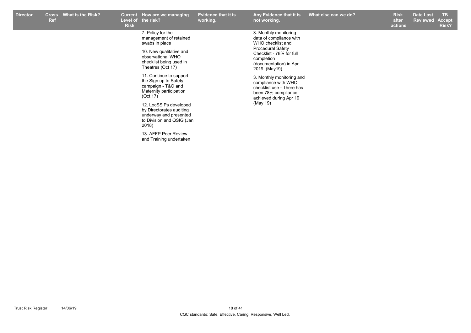| <b>Director</b> | <b>Cross</b><br>Ref | <b>What is the Risk?</b> | <b>Current</b><br>Level of<br><b>Risk</b> | How are we managing<br>the risk?                                                                                                                                                                                                                                               | <b>Evidence that it is</b><br>working. | Any Evidence that it is<br>not working.                                                                                                                                                                                                                                                                                 | What else can we do? | <b>Risk</b><br>after<br>actions | <b>Date Last</b><br>Reviewed | TB.<br>Accept<br>Risk? |
|-----------------|---------------------|--------------------------|-------------------------------------------|--------------------------------------------------------------------------------------------------------------------------------------------------------------------------------------------------------------------------------------------------------------------------------|----------------------------------------|-------------------------------------------------------------------------------------------------------------------------------------------------------------------------------------------------------------------------------------------------------------------------------------------------------------------------|----------------------|---------------------------------|------------------------------|------------------------|
|                 |                     |                          |                                           | 7. Policy for the<br>management of retained<br>swabs in place<br>10. New qualitative and<br>observational WHO<br>checklist being used in<br>Theatres (Oct 17)<br>11. Continue to support<br>the Sign up to Safety<br>campaign - T&O and<br>Maternity participation<br>(Oct 17) |                                        | 3. Monthly monitoring<br>data of compliance with<br>WHO checklist and<br><b>Procedural Safety</b><br>Checklist - 78% for full<br>completion<br>(documentation) in Apr<br>2019 (May19)<br>3. Monthly monitoring and<br>compliance with WHO<br>checklist use - There has<br>been 78% compliance<br>achieved during Apr 19 |                      |                                 |                              |                        |
|                 |                     |                          |                                           | 12. LocSSIPs developed<br>by Directorates auditing<br>underway and presented<br>to Division and QSIG (Jan<br>2018)<br>13. AFFP Peer Review<br>and Training undertaken                                                                                                          |                                        | (May 19)                                                                                                                                                                                                                                                                                                                |                      |                                 |                              |                        |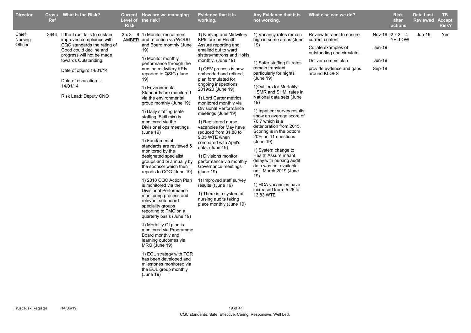| <b>Director</b>             | <b>Ref</b> | Cross What is the Risk?                                                                                                                                                                                                                                          | <b>Risk</b> | Current How are we managing<br>Level of the risk?                                                                                                                                                                                                                                                                                                                                                                                                                                                                                                                                                                                                                                                                                                                                                                                                                                                                                                                                                                                                                              | <b>Evidence that it is</b><br>working.                                                                                                                                                                                                                                                                                                                                                                                                                                                                                                                                                                                                                                                                                                        | Any Evidence that it is<br>not working.                                                                                                                                                                                                                                                                                                                                                                                                                                                                                                                                                                                          | What else can we do?                                                                                                                                                |                                   | <b>Risk</b><br>after<br>actions   | <b>Date Last</b><br><b>Reviewed</b> | TB.<br><b>Accept</b><br>Risk? |
|-----------------------------|------------|------------------------------------------------------------------------------------------------------------------------------------------------------------------------------------------------------------------------------------------------------------------|-------------|--------------------------------------------------------------------------------------------------------------------------------------------------------------------------------------------------------------------------------------------------------------------------------------------------------------------------------------------------------------------------------------------------------------------------------------------------------------------------------------------------------------------------------------------------------------------------------------------------------------------------------------------------------------------------------------------------------------------------------------------------------------------------------------------------------------------------------------------------------------------------------------------------------------------------------------------------------------------------------------------------------------------------------------------------------------------------------|-----------------------------------------------------------------------------------------------------------------------------------------------------------------------------------------------------------------------------------------------------------------------------------------------------------------------------------------------------------------------------------------------------------------------------------------------------------------------------------------------------------------------------------------------------------------------------------------------------------------------------------------------------------------------------------------------------------------------------------------------|----------------------------------------------------------------------------------------------------------------------------------------------------------------------------------------------------------------------------------------------------------------------------------------------------------------------------------------------------------------------------------------------------------------------------------------------------------------------------------------------------------------------------------------------------------------------------------------------------------------------------------|---------------------------------------------------------------------------------------------------------------------------------------------------------------------|-----------------------------------|-----------------------------------|-------------------------------------|-------------------------------|
| Chief<br>Nursing<br>Officer | 3644       | If the Trust fails to sustain<br>improved compliance with<br>CQC standards the rating of<br>Good could decline and<br>progress will not be made<br>towards Outstanding.<br>Date of origin: 14/01/14<br>Date of escalation =<br>14/01/14<br>Risk Lead: Deputy CNO |             | $3 \times 3 = 9$ 1) Monitor recruitment<br>AMBER and retention via WODG<br>and Board monthly (June<br>19)<br>1) Monitor monthly<br>performance through the<br>nursing midwifery KPIs<br>reported to QSIG (June<br>19)<br>1) Environmental<br>Standards are monitored<br>via the environmental<br>group monthly (June 19)<br>1) Daily staffing (safe<br>staffing, Skill mix) is<br>monitored via the<br>Divisional ops meetings<br>(June 19)<br>1) Fundamental<br>standards are reviewed &<br>monitored by the<br>designated specialist<br>groups and bi annually by<br>the sponsor which then<br>reports to COG (June 19)<br>1) 2018 CQC Action Plan<br>is monitored via the<br>Divisional Performance<br>monitoring process and<br>relevant sub board<br>speciality groups<br>reporting to TMC on a<br>quarterly basis (June 19)<br>1) Mortality QI plan is<br>monitored via Programme<br>Board monthly and<br>learning outcomes via<br>MRG (June 19)<br>1) EOL strategy with TOR<br>has been developed and<br>milestones monitored via<br>the EOL group monthly<br>(June 19) | 1) Nursing and Midwifery<br>KPIs are on Health<br>Assure reporting and<br>emailed out to ward<br>sisters/matrons and HoNs<br>monthly. (June 19)<br>1) QRV process is now<br>embedded and refined.<br>plan formulated for<br>ongoing inspections<br>2019/20 (June 19)<br>1) Lord Carter metrics<br>monitored monthly via<br><b>Divisional Performance</b><br>meetings (June 19)<br>1) Registered nurse<br>vacancies for May have<br>reduced from 31.88 to<br>9.05 WTE when<br>compared with April's<br>data. (June 19)<br>1) Divisions monitor<br>performance via monthly<br>Governance meetings<br>(June 19)<br>1) Improved staff survey<br>results ((June 19)<br>1) There is a system of<br>nursing audits taking<br>place monthly (June 19) | 1) Vacancy rates remain<br>high in some areas (June<br>19)<br>1) Safer staffing fill rates<br>remain transient<br>particularly for nights<br>(June 19)<br>1) Outliers for Mortality<br>HSMR and SHMI rates in<br>National data sets (June<br>19)<br>1) Inpatient survey results<br>show an average score of<br>76.7 which is a<br>deterioration from 2015.<br>Scoring is in the bottom<br>20% on 11 questions<br>(June 19)<br>1) System change to<br>Health Assure meant<br>delay with nursing audit<br>data was not available<br>until March 2019 (June<br>19)<br>1) HCA vacancies have<br>increased from -5.26 to<br>13.83 WTE | Review Intranet to ensure<br>current content<br>Collate examples of<br>outstanding and circulate.<br>Deliver comms plan<br>provide evdence and gaps<br>around KLOES | <b>Jun-19</b><br>Jun-19<br>Sep-19 | Nov-19 $2 \times 2 = 4$<br>YELLOW | $Jun-19$                            | Yes                           |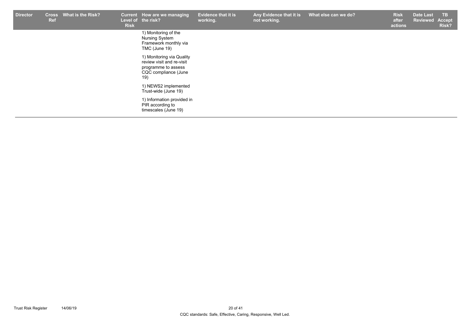| <b>Director</b> | <b>Cross</b><br><b>Ref</b> | <b>What is the Risk?</b> | <b>Risk</b> | Current How are we managing<br>Level of the risk?                                                            | <b>Evidence that it is</b><br>working. | Any Evidence that it is<br>not working. | What else can we do? | <b>Risk</b><br>after<br>actions | <b>Date Last</b><br><b>Reviewed</b> | TB.<br>Accept<br>Risk? |
|-----------------|----------------------------|--------------------------|-------------|--------------------------------------------------------------------------------------------------------------|----------------------------------------|-----------------------------------------|----------------------|---------------------------------|-------------------------------------|------------------------|
|                 |                            |                          |             | 1) Monitoring of the<br>Nursing System<br>Framework monthly via<br>TMC (June 19)                             |                                        |                                         |                      |                                 |                                     |                        |
|                 |                            |                          |             | 1) Monitoring via Quality<br>review visit and re-visit<br>programme to assess<br>CQC compliance (June<br>19) |                                        |                                         |                      |                                 |                                     |                        |
|                 |                            |                          |             | 1) NEWS2 implemented<br>Trust-wide (June 19)                                                                 |                                        |                                         |                      |                                 |                                     |                        |
|                 |                            |                          |             | 1) Information provided in<br>PIR according to<br>timescales (June 19)                                       |                                        |                                         |                      |                                 |                                     |                        |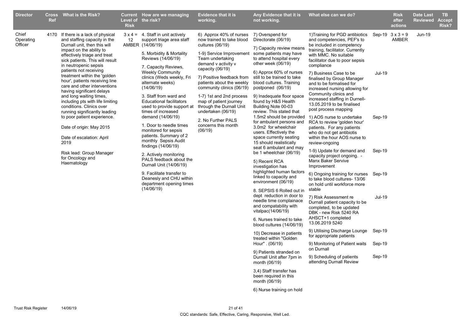| <b>Director</b>               | <b>Ref</b> | <b>Cross</b> What is the Risk?                                                                                                                        | <b>Risk</b>                                                                                    | Current How are we managing<br>Level of the risk?                                                             | <b>Evidence that it is</b><br>working.                                                                  | Any Evidence that it is<br>not working.                                                                                                          | What else can we do?                                                                                                                                |               | <b>Risk</b><br>after<br>actions  | <b>Date Last</b><br><b>Reviewed</b> | TB.<br><b>Accept</b><br>Risk? |  |                                                                                                                                   |                                                                                                                         |               |  |  |
|-------------------------------|------------|-------------------------------------------------------------------------------------------------------------------------------------------------------|------------------------------------------------------------------------------------------------|---------------------------------------------------------------------------------------------------------------|---------------------------------------------------------------------------------------------------------|--------------------------------------------------------------------------------------------------------------------------------------------------|-----------------------------------------------------------------------------------------------------------------------------------------------------|---------------|----------------------------------|-------------------------------------|-------------------------------|--|-----------------------------------------------------------------------------------------------------------------------------------|-------------------------------------------------------------------------------------------------------------------------|---------------|--|--|
| Chief<br>Operating<br>Officer |            | 4170 If there is a lack of physical<br>and staffing capacity in the<br>Durnall unit, then this will                                                   | 12                                                                                             | $3 \times 4 = 4$ . Staff in unit actively<br>support triage area staff<br>AMBER (14/06/19)                    | 6) Approx 40% of nurses<br>now trained to take blood<br>cultures (06/19)                                | 7) Overspend for<br>Directorate (06/19)                                                                                                          | 1) Training for PGD antibiotics<br>and competencies, PEF's to<br>be included in competency                                                          |               | Sep-19 $3 \times 3 = 9$<br>AMBER | Jun-19                              |                               |  |                                                                                                                                   |                                                                                                                         |               |  |  |
|                               |            | impact on the ability to<br>effectively triage and treat<br>sick patients. This will result<br>in neutropenic sepsis                                  |                                                                                                | 5. Morbidity & Mortality<br>Reviews (14/06/19)<br>7. Capacity Reviews,                                        | 1-9) Service Improvement<br>Team undertaking<br>demand v activity v                                     | 7) Capacity review means<br>some patients may have<br>to attend hospital every<br>other week (06/19)                                             | training, facilitator. Currently<br>with MMC. No suitable<br>facilitator due to poor sepsis<br>compliance                                           |               |                                  |                                     |                               |  |                                                                                                                                   |                                                                                                                         |               |  |  |
|                               |            | patients not receiving<br>treatment within the 'golden<br>hour', patients receiving line<br>care and other interventions<br>having significant delays |                                                                                                | <b>Weekly Community</b><br>clinics (Weds weekly, Fri<br>alternate weeks)<br>(14/06/19)                        | capacity (06/19)<br>7) Positive feedback from<br>patients about the weekly<br>community clinics (06/19) | 6) Approx 60% of nurses<br>still to be trained to take<br>blood cultures. Training<br>postponed (06/19)                                          | 7) Business Case to be<br>finalised by Group Manager<br>and to be formalised for<br>increased nursing allowing for                                  | <b>Jul-19</b> |                                  |                                     |                               |  |                                                                                                                                   |                                                                                                                         |               |  |  |
|                               |            | and long waiting times,<br>including pts with life limiting<br>conditions. Clinics over<br>running significantly leading                              |                                                                                                | 3. Staff from ward and<br><b>Educational facilitators</b><br>used to provide support at<br>times of increased | 1-7) 1st and 2nd process<br>map of patient journey<br>through the Durnall Unit<br>undertaken (06/19)    | 9) Inadequate floor space<br>found by H&S Health<br>Building Note 00-03<br>review. This stated that                                              | Community clinics and<br>increased staffing in Durnell-<br>13.05.2019 to be finalised<br>post process mapping                                       |               |                                  |                                     |                               |  |                                                                                                                                   |                                                                                                                         |               |  |  |
|                               |            | to poor patient experience.<br>Date of origin: May 2015<br>Date of escalation: April                                                                  |                                                                                                | demand (14/06/19)<br>1. Door to needle times<br>monitored for sepsis<br>patients. Summary of 2                | 2. No Further PALS<br>concerns this month<br>(06/19)                                                    | 1.5m2 should be provided<br>for ambulant persons and<br>3.0m2 for wheelchair<br>users. Effectively the<br>space currently seating                | 1) AOS nurse to undertake<br>RCA to review 'golden hour'<br>patients. For any patients<br>who do not get antibiotis<br>within the hour AOS nurse to | Sep-19        |                                  |                                     |                               |  |                                                                                                                                   |                                                                                                                         |               |  |  |
|                               |            | 2019<br>Risk lead: Group Manager                                                                                                                      |                                                                                                | monthly Sepsis Audit<br>findings (14/06/19)                                                                   |                                                                                                         | 15 should realistically<br>seat 6 ambulant and may<br>be 1 wheelchair (06/19)<br>5) Recent RCA<br>investigation has<br>highlighted human factors | review-ongoing<br>1-9) Update for demand and                                                                                                        | Sep-19        |                                  |                                     |                               |  |                                                                                                                                   |                                                                                                                         |               |  |  |
|                               |            | for Oncology and<br>Haematology                                                                                                                       |                                                                                                | 2. Actively monitoring<br>PALS feedback about the<br>Durnall Unit (14/06/19)                                  |                                                                                                         |                                                                                                                                                  | capacity project ongoing. -<br><b>Manx Baker Servive</b><br>Improvement                                                                             |               |                                  |                                     |                               |  |                                                                                                                                   |                                                                                                                         |               |  |  |
|                               |            |                                                                                                                                                       | 9. Facilitate transfer to<br>Deanesly and CHU within<br>department opening times<br>(14/06/19) |                                                                                                               | linked to capacity and<br>environment (06/19)                                                           | 6) Ongoing training for nurses Sep-19<br>to take blood cultures- 13/06<br>on hold until workforce more                                           |                                                                                                                                                     |               |                                  |                                     |                               |  |                                                                                                                                   |                                                                                                                         |               |  |  |
|                               |            |                                                                                                                                                       |                                                                                                |                                                                                                               |                                                                                                         |                                                                                                                                                  |                                                                                                                                                     |               |                                  |                                     |                               |  | 8. SEPSIS 6 Rolled out in<br>dept reduction in door to<br>needle time complainace<br>and compatability with<br>vitalpac(14/06/19) | stable<br>7) Risk Assessment re<br>Durnall patient capacity to be<br>completed, to be updated<br>DBK - new Risk 5240 RA | <b>Jul-19</b> |  |  |
|                               |            |                                                                                                                                                       |                                                                                                |                                                                                                               |                                                                                                         | 6. Nurses trained to take<br>blood cultures (14/06/19)                                                                                           | AHSCT+1 completed<br>13.06.2019 5240                                                                                                                |               |                                  |                                     |                               |  |                                                                                                                                   |                                                                                                                         |               |  |  |
|                               |            |                                                                                                                                                       |                                                                                                |                                                                                                               |                                                                                                         | 10) Decrease in patients<br>treated within "Golden                                                                                               | 9) Utilising Discharge Lounge<br>for appropriate patients                                                                                           | Sep-19        |                                  |                                     |                               |  |                                                                                                                                   |                                                                                                                         |               |  |  |
|                               |            |                                                                                                                                                       |                                                                                                | Hour" . (06/19)<br>9) Monitoring of Patient waits<br>on Durnall<br>9) Patients stranded on                    |                                                                                                         |                                                                                                                                                  | Sep-19                                                                                                                                              |               |                                  |                                     |                               |  |                                                                                                                                   |                                                                                                                         |               |  |  |
|                               |            |                                                                                                                                                       |                                                                                                |                                                                                                               |                                                                                                         | Durnall Unit after 7pm in<br>month (06/19)                                                                                                       | 9) Scheduling of patients<br>attending Durnall Review                                                                                               | Sep-19        |                                  |                                     |                               |  |                                                                                                                                   |                                                                                                                         |               |  |  |
|                               |            |                                                                                                                                                       |                                                                                                |                                                                                                               | 3,4) Staff transfer has<br>been required in this<br>month (06/19)                                       |                                                                                                                                                  |                                                                                                                                                     |               |                                  |                                     |                               |  |                                                                                                                                   |                                                                                                                         |               |  |  |
|                               |            |                                                                                                                                                       |                                                                                                |                                                                                                               |                                                                                                         | 6) Nurse training on hold                                                                                                                        |                                                                                                                                                     |               |                                  |                                     |                               |  |                                                                                                                                   |                                                                                                                         |               |  |  |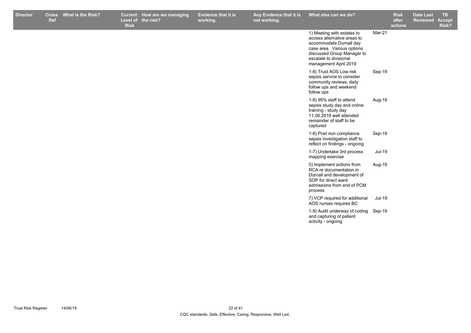| Mar-21<br>1) Meeting with estates to<br>access alternative areas to<br>accommodate Durnall day<br>case area. Various options<br>discussed Group Manager to<br>escalate to divisional<br>management April 2019<br>1-8) Trust AOS Low risk<br>Sep-19<br>sepsis service to consider<br>community reviews, daily<br>follow ups and weekend<br>follow ups<br>1-8) 95% staff to attend<br>Aug-19<br>sepsis study day and online<br>training - study day<br>11.06.2019 well attended<br>remainder of staff to be<br>captured<br>1-8) Post non compliance<br>Sep-19<br>sepsis investigation staff to<br>reflect on findings - ongoing<br>Jul-19<br>1-7) Undertake 3rd process<br>mapping exercise<br>5) Implement actions from<br>Aug-19<br>RCA re documentation in<br>Durnall and development of<br>SOP for direct ward<br>admissions from end of PCM<br>process<br>Jul-19<br>7) VCP required for additional<br>AOS nurses requires BC<br>1-9) Audit underway of coding Sep-19<br>and capturing of patient<br>activity - ongoing | <b>Director</b> | Ref | Cross What is the Risk? | <b>Risk</b> | Current How are we managing<br>Level of the risk? | <b>Evidence that it is</b><br>working. | Any Evidence that it is<br>not working. | What else can we do? | <b>Risk</b><br>after<br>actions | <b>Date Last</b><br><b>Reviewed</b> | <b>TB</b><br><b>Accept</b><br>Risk? |
|---------------------------------------------------------------------------------------------------------------------------------------------------------------------------------------------------------------------------------------------------------------------------------------------------------------------------------------------------------------------------------------------------------------------------------------------------------------------------------------------------------------------------------------------------------------------------------------------------------------------------------------------------------------------------------------------------------------------------------------------------------------------------------------------------------------------------------------------------------------------------------------------------------------------------------------------------------------------------------------------------------------------------|-----------------|-----|-------------------------|-------------|---------------------------------------------------|----------------------------------------|-----------------------------------------|----------------------|---------------------------------|-------------------------------------|-------------------------------------|
|                                                                                                                                                                                                                                                                                                                                                                                                                                                                                                                                                                                                                                                                                                                                                                                                                                                                                                                                                                                                                           |                 |     |                         |             |                                                   |                                        |                                         |                      |                                 |                                     |                                     |
|                                                                                                                                                                                                                                                                                                                                                                                                                                                                                                                                                                                                                                                                                                                                                                                                                                                                                                                                                                                                                           |                 |     |                         |             |                                                   |                                        |                                         |                      |                                 |                                     |                                     |
|                                                                                                                                                                                                                                                                                                                                                                                                                                                                                                                                                                                                                                                                                                                                                                                                                                                                                                                                                                                                                           |                 |     |                         |             |                                                   |                                        |                                         |                      |                                 |                                     |                                     |
|                                                                                                                                                                                                                                                                                                                                                                                                                                                                                                                                                                                                                                                                                                                                                                                                                                                                                                                                                                                                                           |                 |     |                         |             |                                                   |                                        |                                         |                      |                                 |                                     |                                     |
|                                                                                                                                                                                                                                                                                                                                                                                                                                                                                                                                                                                                                                                                                                                                                                                                                                                                                                                                                                                                                           |                 |     |                         |             |                                                   |                                        |                                         |                      |                                 |                                     |                                     |
|                                                                                                                                                                                                                                                                                                                                                                                                                                                                                                                                                                                                                                                                                                                                                                                                                                                                                                                                                                                                                           |                 |     |                         |             |                                                   |                                        |                                         |                      |                                 |                                     |                                     |
|                                                                                                                                                                                                                                                                                                                                                                                                                                                                                                                                                                                                                                                                                                                                                                                                                                                                                                                                                                                                                           |                 |     |                         |             |                                                   |                                        |                                         |                      |                                 |                                     |                                     |
|                                                                                                                                                                                                                                                                                                                                                                                                                                                                                                                                                                                                                                                                                                                                                                                                                                                                                                                                                                                                                           |                 |     |                         |             |                                                   |                                        |                                         |                      |                                 |                                     |                                     |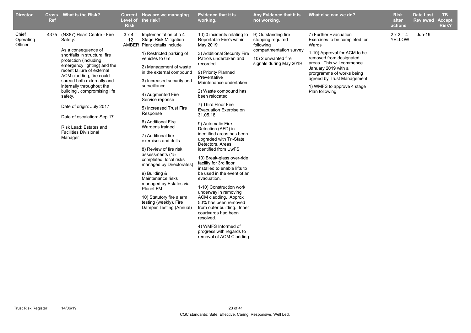| <b>Director</b>               | Ref | Cross What is the Risk?                                                                                                                                                                                                                                                                                                                                                                                                                                   | <b>Risk</b> | Current How are we managing<br>Level of the risk?                                                                                                                                                                                                                                                                                                                                                                                                                                                                                                                                                                                                                                                  | Evidence that it is<br>working.                                                                                                                                                                                                                                                                                                                                                                                                                                                                                                                                                                                                                                                                                                                                                                                                                         | Any Evidence that it is<br>not working.                                                                                            | What else can we do?                                                                                                                                                                                                                                                                      | <b>Risk</b><br>after<br>actions | Date Last<br><b>Reviewed</b> | TB.<br><b>Accept</b><br>Risk? |
|-------------------------------|-----|-----------------------------------------------------------------------------------------------------------------------------------------------------------------------------------------------------------------------------------------------------------------------------------------------------------------------------------------------------------------------------------------------------------------------------------------------------------|-------------|----------------------------------------------------------------------------------------------------------------------------------------------------------------------------------------------------------------------------------------------------------------------------------------------------------------------------------------------------------------------------------------------------------------------------------------------------------------------------------------------------------------------------------------------------------------------------------------------------------------------------------------------------------------------------------------------------|---------------------------------------------------------------------------------------------------------------------------------------------------------------------------------------------------------------------------------------------------------------------------------------------------------------------------------------------------------------------------------------------------------------------------------------------------------------------------------------------------------------------------------------------------------------------------------------------------------------------------------------------------------------------------------------------------------------------------------------------------------------------------------------------------------------------------------------------------------|------------------------------------------------------------------------------------------------------------------------------------|-------------------------------------------------------------------------------------------------------------------------------------------------------------------------------------------------------------------------------------------------------------------------------------------|---------------------------------|------------------------------|-------------------------------|
| Chief<br>Operating<br>Officer |     | 4375 (NX87) Heart Centre - Fire<br>Safety:<br>As a consequence of<br>shortfalls in structural fire<br>protection (including<br>emergency lighting) and the<br>recent failure of external<br>ACM cladding, fire could<br>spread both externally and<br>internally throughout the<br>building, compromising life<br>safety.<br>Date of origin: July 2017<br>Date of escalation: Sep 17<br>Risk Lead: Estates and<br><b>Facilities Divisional</b><br>Manager | 12          | $3 \times 4 =$ Implementation of a 4<br><b>Stage Risk Mitigation</b><br>AMBER Plan; details include<br>1) Restricted parking of<br>vehicles to 6m<br>2) Management of waste<br>in the external compound<br>3) Increased security and<br>surveillance<br>4) Augmented Fire<br>Service reponse<br>5) Increased Trust Fire<br>Response<br>6) Additional Fire<br>Wardens trained<br>7) Additional fire<br>exercises and drills<br>8) Review of fire risk<br>assessments (15<br>completed, local risks<br>managed by Directorates)<br>9) Building &<br>Maintenance risks<br>managed by Estates via<br><b>Planet FM</b><br>10) Statutory fire alarm<br>testing (weekly), Fire<br>Damper Testing (Annual) | 10) 0 incidents relating to<br>Reportable Fire's within<br>May 2019<br>3) Additional Security Fire<br>Patrols undertaken and<br>recorded<br>9) Priority Planned<br>Preventative<br>Maintenance undertaken<br>2) Waste compound has<br>been relocated<br>7) Third Floor Fire<br>Evacuation Exercise on<br>31.05.18<br>9) Automatic Fire<br>Detection (AFD) in<br>identified areas has been<br>upgraded with Tri-State<br>Detectors, Areas<br>identified from UwFS<br>10) Break-glass over-ride<br>facility for 3rd floor<br>installed to enable lifts to<br>be used in the event of an<br>evacuation.<br>1-10) Construction work<br>underway in removing<br>ACM cladding. Approx<br>50% has been removed<br>from outer building. Inner<br>courtyards had been<br>resolved.<br>4) WMFS Informed of<br>progress with regards to<br>removal of ACM Cladding | 9) Outstanding fire<br>stopping required<br>following<br>compartmentation survey<br>10) 2 unwanted fire<br>signals during May 2019 | 7) Further Evacuation<br>Exercises to be completed for<br>Wards<br>1-10) Approval for ACM to be<br>removed from designated<br>areas. This will commence<br>January 2019 with a<br>prorgramme of works being<br>agreed by Trust Management<br>1) WMFS to approve 4 stage<br>Plan following | $2 \times 2 = 4$<br>YELLOW      | <b>Jun-19</b>                |                               |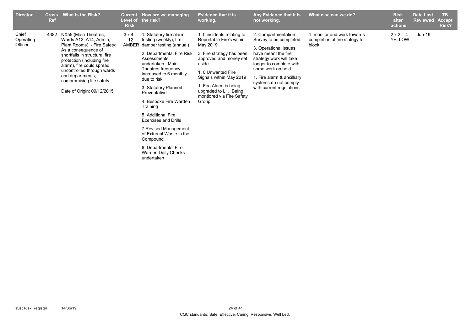| <b>Director</b>               | <b>Cross</b><br><b>Ref</b> | What is the Risk?                                                                                                                                                                                                                                                                                                  | <b>Current</b><br>Level of<br><b>Risk</b> | How are we managing<br>the risk?                                                                                                                                                                                                                                                                                                                                                                                                                                             | <b>Evidence that it is</b><br>working.                                                                                                                                                                                                                                       | Any Evidence that it is<br>not working.                                                                                                                                                                                                                     | What else can we do?                                                   | <b>Risk</b><br>after<br>actions   | <b>Date Last</b><br><b>Reviewed</b> | TB.<br><b>Accept</b><br>Risk? |
|-------------------------------|----------------------------|--------------------------------------------------------------------------------------------------------------------------------------------------------------------------------------------------------------------------------------------------------------------------------------------------------------------|-------------------------------------------|------------------------------------------------------------------------------------------------------------------------------------------------------------------------------------------------------------------------------------------------------------------------------------------------------------------------------------------------------------------------------------------------------------------------------------------------------------------------------|------------------------------------------------------------------------------------------------------------------------------------------------------------------------------------------------------------------------------------------------------------------------------|-------------------------------------------------------------------------------------------------------------------------------------------------------------------------------------------------------------------------------------------------------------|------------------------------------------------------------------------|-----------------------------------|-------------------------------------|-------------------------------|
| Chief<br>Operating<br>Officer |                            | 4382 NX55 (Main Theatres,<br>Wards A12, A14, Admin,<br>Plant Rooms) - Fire Safety:<br>As a consequence of<br>shortfalls in structural fire<br>protection (including fire<br>alarm), fire could spread<br>uncontrolled through wards<br>and departments,<br>compromising life safety.<br>Date of Origin: 09/12/2015 | $3 \times 4 =$<br>12<br>AMBER             | 1. Statutory fire alarm<br>testing (weekly), fire<br>damper testing (annual)<br>2. Departmental Fire Risk<br>Assessments<br>undertaken. Main<br>Theatres frequency<br>increased to 6 monthly<br>due to risk<br>3. Statutory Planned<br>Preventative<br>4. Bespoke Fire Warden<br>Training<br>5. Additional Fire<br><b>Exercises and Drills</b><br>7. Revised Management<br>of External Waste in the<br>Compound<br>6. Departmental Fire<br>Warden Daily Checks<br>undertaken | 1. 0 incidents relating to<br>Reportable Fire's within<br>May 2019<br>3. Fire strategy has been<br>approved and money set<br>aside.<br>1.0 Unwanted Fire<br>Signals within May 2019<br>1. Fire Alarm is being<br>upgraded to L1. Being<br>montiored via Fire Safety<br>Group | 2. Compartmentation<br>Survey to be completed<br>3. Operational issues<br>have meant the fire<br>strategy work will take<br>longer to complete with<br>some work on hold<br>1. Fire alarm & ancilliary<br>systems do not comply<br>with current regulations | 1. monitor and work towards<br>completion of fire stategy for<br>block | $2 \times 2 = 4$<br><b>YELLOW</b> | Jun-19                              |                               |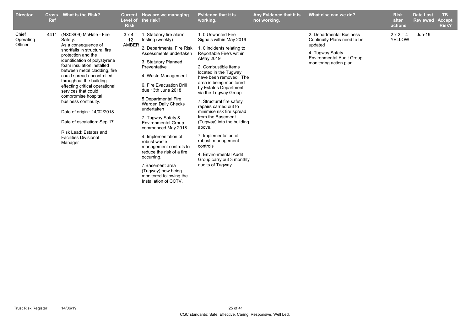| <b>Director</b>               | <b>Cross</b><br><b>Ref</b> | What is the Risk?                                                                                                                                                                                                                                                                                                                                                                                                                                                                                                    | <b>Level of</b><br><b>Risk</b>               | Current How are we managing<br>the risk?                                                                                                                                                                                                                                                                                                                                                                                                                                                                                                                                     | <b>Evidence that it is</b><br>working.                                                                                                                                                                                                                                                                                                                                                                                                                                                                                                                          | Any Evidence that it is<br>not working. | What else can we do?                                                                                                                                 | <b>Risk</b><br>after<br>actions   | <b>Date Last</b><br><b>Reviewed</b> | <b>TB</b><br><b>Accept</b><br>Risk? |
|-------------------------------|----------------------------|----------------------------------------------------------------------------------------------------------------------------------------------------------------------------------------------------------------------------------------------------------------------------------------------------------------------------------------------------------------------------------------------------------------------------------------------------------------------------------------------------------------------|----------------------------------------------|------------------------------------------------------------------------------------------------------------------------------------------------------------------------------------------------------------------------------------------------------------------------------------------------------------------------------------------------------------------------------------------------------------------------------------------------------------------------------------------------------------------------------------------------------------------------------|-----------------------------------------------------------------------------------------------------------------------------------------------------------------------------------------------------------------------------------------------------------------------------------------------------------------------------------------------------------------------------------------------------------------------------------------------------------------------------------------------------------------------------------------------------------------|-----------------------------------------|------------------------------------------------------------------------------------------------------------------------------------------------------|-----------------------------------|-------------------------------------|-------------------------------------|
| Chief<br>Operating<br>Officer |                            | 4411 (NX08/09) McHale - Fire<br>Safety:<br>As a consequence of<br>shortfalls in structural fire<br>protection and the<br>identification of polystyrene<br>foam insulation installed<br>between metal cladding, fire<br>could spread uncontrolled<br>throughout the building<br>effecting critical operational<br>services that could<br>compromise hospital<br>business continuity.<br>Date of origin: 14/02/2018<br>Date of escalation: Sep 17<br>Risk Lead: Estates and<br><b>Facilities Divisional</b><br>Manager | $3 \times 4 =$<br>$12 \overline{ }$<br>AMBER | 1. Statutory fire alarm<br>testing (weekly)<br>2. Departmental Fire Risk<br>Assessments undertaken<br>3. Statutory Planned<br>Preventative<br>4. Waste Management<br>6. Fire Evacuation Drill<br>due 13th June 2018<br>5. Departmental Fire<br><b>Warden Daily Checks</b><br>undertaken<br>7. Tugway Safety &<br><b>Environmental Group</b><br>commenced May 2018<br>4. Implementation of<br>robust waste<br>management controls to<br>reduce the risk of a fire<br>occurring.<br>7. Basement area<br>(Tugway) now being<br>monitored following the<br>Installation of CCTV. | 1.0 Unwanted Fire<br>Signals within May 2019<br>1. 0 incidents relating to<br>Reportable Fire's within<br>AMay 2019<br>2. Combustible items<br>located in the Tugway<br>have been removed. The<br>area is being monitored<br>by Estates Department<br>via the Tugway Group<br>7. Structural fire safety<br>repairs carried out to<br>minimise risk fire spread<br>from the Basement<br>(Tugway) into the building<br>above.<br>7. Implementation of<br>robust management<br>controls<br>4. Environmental Audit<br>Group carry out 3 monthly<br>audits of Tugway |                                         | 2. Departmental Business<br>Continuity Plans need to be<br>updated<br>4. Tugway Safety<br><b>Environmental Audit Group</b><br>monitoring action plan | $2 \times 2 = 4$<br><b>YELLOW</b> | Jun-19                              |                                     |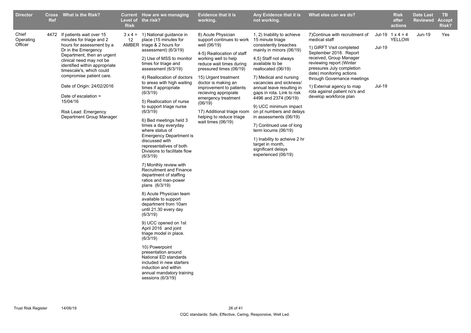| <b>Director</b>               | <b>Ref</b> | Cross What is the Risk?                                                                                                                                                                                                                                                                                                                                                           | <b>Risk</b> | Current How are we managing<br>Level of the risk?                                                                                                                                                                                                                                                                                                                                                                                                                                                                                                                                                                                                                                                                                                                                                                                                                                                                                                                                                                                                                           | <b>Evidence that it is</b><br>working.                                                                                                                                                                                                                                                                                                                                                           | Any Evidence that it is<br>not working.                                                                                                                                                                                                                                                                                                                                                                                                                                                                                                            | What else can we do?                                                                                                                                                                                                                                                                                                                          |                         | <b>Risk</b><br>after<br>actions          | <b>Date Last</b><br><b>Reviewed</b> | <b>TB</b><br><b>Accept</b><br>Risk? |
|-------------------------------|------------|-----------------------------------------------------------------------------------------------------------------------------------------------------------------------------------------------------------------------------------------------------------------------------------------------------------------------------------------------------------------------------------|-------------|-----------------------------------------------------------------------------------------------------------------------------------------------------------------------------------------------------------------------------------------------------------------------------------------------------------------------------------------------------------------------------------------------------------------------------------------------------------------------------------------------------------------------------------------------------------------------------------------------------------------------------------------------------------------------------------------------------------------------------------------------------------------------------------------------------------------------------------------------------------------------------------------------------------------------------------------------------------------------------------------------------------------------------------------------------------------------------|--------------------------------------------------------------------------------------------------------------------------------------------------------------------------------------------------------------------------------------------------------------------------------------------------------------------------------------------------------------------------------------------------|----------------------------------------------------------------------------------------------------------------------------------------------------------------------------------------------------------------------------------------------------------------------------------------------------------------------------------------------------------------------------------------------------------------------------------------------------------------------------------------------------------------------------------------------------|-----------------------------------------------------------------------------------------------------------------------------------------------------------------------------------------------------------------------------------------------------------------------------------------------------------------------------------------------|-------------------------|------------------------------------------|-------------------------------------|-------------------------------------|
| Chief<br>Operating<br>Officer | 4472       | If patients wait over 15<br>minutes for triage and 2<br>hours for assessment by a<br>Dr in the Emergency<br>Department, then an urgent<br>clinical need may not be<br>identified within appropriate<br>timescale's, which could<br>compromise patient care.<br>Date of Origin: 24/02/2016<br>Date of escalation =<br>15/04/16<br>Risk Lead: Emergency<br>Department Group Manager | 12          | $3 \times 4 = 1$ ) National quidance in<br>place (15 minutes for<br>AMBER triage & 2 hours for<br>assessment) (6/3/19)<br>2) Use of MSS to monitor<br>times for triage and<br>assessment (6/3/19)<br>4) Reallocation of doctors<br>to areas with high waiting<br>times if appropriate<br>(6/3/19)<br>5) Reallocation of nurse<br>to support triage nurse<br>(6/3/19)<br>6) Bed meetings held 3<br>times a day everyday<br>where status of<br><b>Emergency Department is</b><br>discussed with<br>representatives of both<br>Divisions to facilitate flow<br>(6/3/19)<br>7) Monthly review with<br>Recruitment and Finance<br>department of staffing<br>ratios and man-power<br>plans (6/3/19)<br>8) Acute Physician team<br>available to support<br>department from 10am<br>until 21.30 every day<br>(6/3/19)<br>9) UCC opened on 1st<br>April 2016 and joint<br>triage model in place.<br>(6/3/19)<br>10) Powerpoint<br>presentation around<br>National ED standards<br>included in new starters<br>induction and within<br>annual mandatory training<br>sessions (6/3/19) | 8) Acute Physician<br>support continues to work<br>well (06/19)<br>4-5) Reallocation of staff<br>working well to help<br>reduce wait times during<br>pressured times (06/19)<br>15) Urgent treatment<br>doctor is making an<br>improvement to patients<br>recieving appropiate<br>emergency treatment<br>(06/19)<br>17) Additional triage room<br>helping to reduce triage<br>wait times (06/19) | 1, 2) Inability to achieve<br>15 minute triage<br>consistently breaches<br>mainly in minors (06/19)<br>4,5) Staff not always<br>available to be<br>reallocated (06/19)<br>7) Medical and nursing<br>vacancies and sickness/<br>annual leave resulting in<br>gaps in rota. Link to risk<br>4496 and 2374 (06/19)<br>9) UCC minimum impact<br>on pt numbers and delays<br>in assessments (06/19)<br>7) Continued use of long<br>term locums (06/19)<br>1) Inability to acheive 2 hr<br>target in month,<br>significant delays<br>experienced (06/19) | 7) Continue with recruitment of<br>medical staff<br>1) GIRFT Visit completed<br>September 2018. Report<br>received, Group Manager<br>reviewing report (Winter<br>pressures July completion<br>date) monitoring actions<br>through Governance meetings<br>1) External agency to map<br>rota against patient no's and<br>develop workforce plan | <b>Jul-19</b><br>Jul-19 | Jul-19 $1 \times 4 = 4$<br><b>YELLOW</b> | $Jun-19$                            | Yes                                 |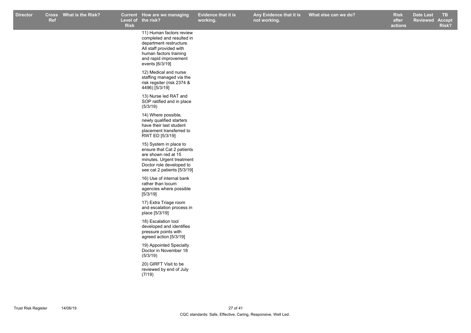**Risk**

**Evidence that it is working.**

**How are we managing TB Any Evidence that it is not working.**

**Risk after actions What else can we do? Box Black Elect Elect Change Black Date Last Reviewed Accept Risk?**

11) Human factors review completed and resulted in department restructure. All staff provided with human factors training and rapid improvement events [6/3/19]

12) Medical and nurse staffing managed via the risk regsiter (risk 2374 & 4496) [5/3/19]

13) Nurse led RAT and SOP ratified and in place (5/3/19)

14) Where possible, newly qualified starters have their last student placement transferred to RWT ED [5/3/19]

15) System in place to ensure that Cat 2 patients are shown red at 15 minutes. Urgent treatment Doctor role developed to see cat 2 patients [5/3/19]

16) Use of internal bank rather than locum agencies where possible [5/3/19]

17) Extra Triage room and escalation process in place [5/3/19]

18) Escalation tool developed and identifies pressure points with agreed action [5/3/19]

19) Appointed Specialty Doctor in November 18 (5/3/19)

20) GIRFT Visit to be reviewed by end of July (7/19)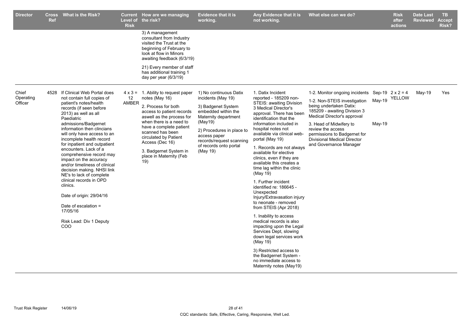| <b>Director</b>               | <b>Cross</b><br><b>Ref</b> | <b>What is the Risk?</b>                                                                                                                                                                                                                                                                                                                                                                                                                                                                                                                                                                                                                    | <b>Risk</b> | Current How are we managing<br>Level of the risk?                                                                                                                                                                                                                                                                                | <b>Evidence that it is</b><br>working.                                                                                                                                                                                                      | Any Evidence that it is<br>not working.                                                                                                                                                                                                                                                                                                                                                                                                                                                                                                                                                                                                                                                                                                                                                                                          | What else can we do?                                                                                                                                                                                                                                                                                     |                                             | <b>Risk</b><br>after<br>actions | <b>Date Last</b><br><b>Reviewed</b> | TB.<br><b>Accept</b><br>Risk? |
|-------------------------------|----------------------------|---------------------------------------------------------------------------------------------------------------------------------------------------------------------------------------------------------------------------------------------------------------------------------------------------------------------------------------------------------------------------------------------------------------------------------------------------------------------------------------------------------------------------------------------------------------------------------------------------------------------------------------------|-------------|----------------------------------------------------------------------------------------------------------------------------------------------------------------------------------------------------------------------------------------------------------------------------------------------------------------------------------|---------------------------------------------------------------------------------------------------------------------------------------------------------------------------------------------------------------------------------------------|----------------------------------------------------------------------------------------------------------------------------------------------------------------------------------------------------------------------------------------------------------------------------------------------------------------------------------------------------------------------------------------------------------------------------------------------------------------------------------------------------------------------------------------------------------------------------------------------------------------------------------------------------------------------------------------------------------------------------------------------------------------------------------------------------------------------------------|----------------------------------------------------------------------------------------------------------------------------------------------------------------------------------------------------------------------------------------------------------------------------------------------------------|---------------------------------------------|---------------------------------|-------------------------------------|-------------------------------|
|                               |                            |                                                                                                                                                                                                                                                                                                                                                                                                                                                                                                                                                                                                                                             |             | 3) A management<br>consultant from Industry<br>visited the Trust at the<br>beginning of February to<br>look at flow in Minors<br>awaiting feedback (6/3/19)                                                                                                                                                                      |                                                                                                                                                                                                                                             |                                                                                                                                                                                                                                                                                                                                                                                                                                                                                                                                                                                                                                                                                                                                                                                                                                  |                                                                                                                                                                                                                                                                                                          |                                             |                                 |                                     |                               |
|                               |                            |                                                                                                                                                                                                                                                                                                                                                                                                                                                                                                                                                                                                                                             |             | 21) Every member of staff<br>has additional training 1<br>day per year (6/3/19)                                                                                                                                                                                                                                                  |                                                                                                                                                                                                                                             |                                                                                                                                                                                                                                                                                                                                                                                                                                                                                                                                                                                                                                                                                                                                                                                                                                  |                                                                                                                                                                                                                                                                                                          |                                             |                                 |                                     |                               |
| Chief<br>Operating<br>Officer |                            | 4528 If Clinical Web Portal does<br>not contain full copies of<br>patient's notes/health<br>records (if seen before<br>2013) as well as all<br>Paediatric<br>admissions/Badgernet<br>information then clincians<br>will only have access to an<br>incomplete health record<br>for inpatient and outpatient<br>encounters. Lack of a<br>comprehensive record may<br>impact on the accuracy<br>and/or timeliness of clinical<br>decision making. NHSI link<br>NE's to lack of complete<br>clinical records in OPD<br>clinics.<br>Date of origin: 29/04/16<br>Date of escalation $=$<br>17/05/16<br>Risk Lead: Div 1 Deputy<br>CO <sub>O</sub> | 12<br>AMBER | $4 \times 3 = 1$ . Ability to request paper<br>notes (May 16)<br>2. Process for both<br>access to patient records<br>aswell as the process for<br>when there is a need to<br>have a complete patient<br>scanned has been<br>circulated by Patient<br>Access (Dec 16)<br>3. Badgernet System in<br>place in Maternity (Feb<br>19) | 1) No continuous Datix<br>incidents (May 19)<br>3) Badgenet System<br>embedded within the<br>Maternity department<br>(May19)<br>2) Procedures in place to<br>access paper<br>records/request scanning<br>of records onto portal<br>(May 19) | 1. Datix Incident<br>reported - 185209 non-<br>STEIS: awaiting Division<br>3 Medical Director's<br>approval. There has been<br>identification that the<br>information included in<br>hospital notes not<br>available via clinical web-<br>portal (May 19)<br>1. Records are not always<br>available for elective<br>clinics, even if they are<br>available this creates a<br>time lag within the clinic<br>(May 19)<br>1. Further incident<br>identified re: 186645 -<br>Unexpected<br>Injury/Extravasation injury<br>to neonate - removed<br>from STEIS (Apr 2018)<br>1. Inability to access<br>medical records is also<br>impacting upon the Legal<br>Services Dept, slowing<br>down legal services work<br>(May 19)<br>3) Restricted access to<br>the Badgernet System -<br>no immediate access to<br>Maternity notes (May19) | 1-2. Monitor ongoing incidents<br>1-2. Non-STEIS investigation<br>being undertaken Datix:<br>185209 - awaiting Division 3<br>Medical Director's approval<br>3. Head of Midwifery to<br>review the access<br>permissions to Badgernet for<br><b>Divisional Medical Director</b><br>and Governance Manager | Sep-19 $2 \times 2 = 4$<br>May-19<br>May-19 | YELLOW                          | May-19                              | Yes                           |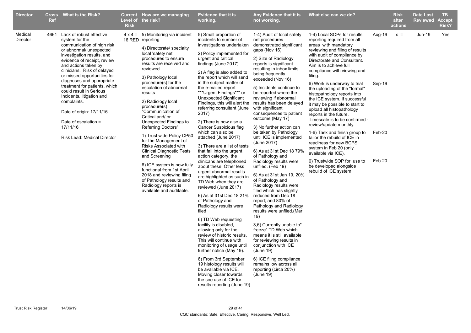| <b>Director</b>     | <b>Ref</b> | Cross What is the Risk?                                                                                                                                                                                                                                                                                                                                                                                                                                                                         | <b>Risk</b> | Current How are we managing<br>Level of the risk?                                                                                                                                                                                                                                                                                                                                                                                                                                                                                                                                                                                                                                                               | <b>Evidence that it is</b><br>working.                                                                                                                                                                                                                                                                                                                                                                                                                                                                                                                                                                                                                                                                                                                                                                                                                                                                                                                                                                                                                                                                                                                                                                        | Any Evidence that it is<br>not working.                                                                                                                                                                                                                                                                                                                                                                                                                                                                                                                                                                                                                                                                                                                                                                                                                                                                                                                                                                                                                           | What else can we do?                                                                                                                                                                                                                                                                                                                                                                                                                                                                                                                                                                                                                                                                                                                                                        |                                      | <b>Risk</b><br>after<br>actions | <b>Date Last</b><br><b>Reviewed</b> | TB.<br>Accept<br><b>Risk?</b> |
|---------------------|------------|-------------------------------------------------------------------------------------------------------------------------------------------------------------------------------------------------------------------------------------------------------------------------------------------------------------------------------------------------------------------------------------------------------------------------------------------------------------------------------------------------|-------------|-----------------------------------------------------------------------------------------------------------------------------------------------------------------------------------------------------------------------------------------------------------------------------------------------------------------------------------------------------------------------------------------------------------------------------------------------------------------------------------------------------------------------------------------------------------------------------------------------------------------------------------------------------------------------------------------------------------------|---------------------------------------------------------------------------------------------------------------------------------------------------------------------------------------------------------------------------------------------------------------------------------------------------------------------------------------------------------------------------------------------------------------------------------------------------------------------------------------------------------------------------------------------------------------------------------------------------------------------------------------------------------------------------------------------------------------------------------------------------------------------------------------------------------------------------------------------------------------------------------------------------------------------------------------------------------------------------------------------------------------------------------------------------------------------------------------------------------------------------------------------------------------------------------------------------------------|-------------------------------------------------------------------------------------------------------------------------------------------------------------------------------------------------------------------------------------------------------------------------------------------------------------------------------------------------------------------------------------------------------------------------------------------------------------------------------------------------------------------------------------------------------------------------------------------------------------------------------------------------------------------------------------------------------------------------------------------------------------------------------------------------------------------------------------------------------------------------------------------------------------------------------------------------------------------------------------------------------------------------------------------------------------------|-----------------------------------------------------------------------------------------------------------------------------------------------------------------------------------------------------------------------------------------------------------------------------------------------------------------------------------------------------------------------------------------------------------------------------------------------------------------------------------------------------------------------------------------------------------------------------------------------------------------------------------------------------------------------------------------------------------------------------------------------------------------------------|--------------------------------------|---------------------------------|-------------------------------------|-------------------------------|
| Medical<br>Director |            | 4661 Lack of robust effective<br>system for the<br>communication of high risk<br>or abnormal/ unexpected<br>investigation results, and<br>evidence of receipt, review<br>and actions taken by<br>clinicians. Risk of delayed<br>or missed opportunities for<br>diagnoses and appropriate<br>treatment for patients, which<br>could result in Serious<br>Incidents, litigation and<br>complaints.<br>Date of origin: 17/11/16<br>Date of escalation =<br>17/11/16<br>Risk Lead: Medical Director |             | $4 \times 4 = 5$ ) Monitoring via incident<br>16 RED reporting<br>4) Directorate/ specialty<br>local 'safety net'<br>procedures to ensure<br>results are received and<br>reviewed<br>3) Pathology local<br>procedure(s) for the<br>escalation of abnormal<br>results<br>2) Radiology local<br>procedure(s)<br>"Communication of<br>Critical and/ or<br>Unexpected Findings to<br>Referring Doctors"<br>1) Trust wide Policy CP50<br>for the Management of<br>Risks Associated with<br><b>Clinical Diagnostic Tests</b><br>and Screening<br>6) ICE system is now fully<br>functional from 1st April<br>2018 and reviewing filing<br>of Pathology results and<br>Radiology reports is<br>available and auditable. | 5) Small proportion of<br>incidents to number of<br>investigations undertaken<br>2) Policy implemented for<br>urgent and critical<br>findings (June 2017)<br>2) A flag is also added to<br>the report which will send<br>in the subject matter of<br>the e-mailed report<br>***Urgent Findings*** or<br>Unexpected Significant<br>Findings, this will alert the<br>referring consultant (June<br>2017)<br>2) There is now also a<br>Cancer Suspicious flag<br>which can also be<br>attached (June 2017)<br>3) There are a list of tests<br>that fall into the urgent<br>action category, the<br>clinicans are telephoned<br>about these. Other less<br>urgent abnormal results<br>are highlighted as such in<br>TD Web when they are<br>reviewed (June 2017)<br>6) As at 31st Dec 18 21%<br>of Pathology and<br>Radiology results were<br>filed<br>6) TD Web requesting<br>facility is disabled,<br>allowing only for the<br>review of historic results.<br>This will continue with<br>monitoring of usage until<br>further notice (May 19).<br>6) From 3rd September<br>19 histology results will<br>be available via ICE.<br>Moving closer towards<br>the soe use of ICE for<br>results reporting (June 19) | 1-4) Audit of local safety<br>net procedures<br>demonstrated significant<br>gaps (Nov 16)<br>2) Size of Radiology<br>reports is significant<br>resulting in inbox limits<br>being frequently<br>exceeded (Nov 16)<br>5) Incidents continue to<br>be reported where the<br>reviewing if abnormal<br>results has been delayed<br>with significant<br>consequences to patient<br>outcome (May 17)<br>3) No further action can<br>be taken by Pathology<br>until ICE is implemented<br>(June 2017)<br>6) As at 31st Dec 18 79%<br>of Pathology and<br>Radiology results were<br>unfiled. (Feb 19)<br>6) As at 31st Jan 19, 20%<br>of Pathology and<br>Radiology results were<br>filed which has slightly<br>reduced from Dec 18<br>report; and 80% of<br>Pathology and Radiology<br>results were unfiled.(Mar<br>19)<br>3,6) Currently unable to"<br>freeze" TD Web which<br>means it is still available<br>for reviewing results in<br>conjunction with ICE<br>(June 19)<br>6) ICE filing compliance<br>remains low across all<br>reporting (circa 20%)<br>(June 19) | 1-4) Local SOPs for results<br>reporting required from all<br>areas with mandatory<br>reviewing and filing of results<br>with audit of compliance by<br>Directorate and Consultant.<br>Aim is to achieve full<br>compliance with viewing and<br>filing.<br>6) Work is underway to trial<br>the uploading of the "formal"<br>histopathology reports into<br>the ICE system. If successful<br>it may be possible to start to<br>upload all histopathology<br>reports in the future.<br>Timescale is to be confirmed -<br>review/update monthly.<br>1-6) Task and finish group to<br>tailor the rebuild of ICE in<br>readiness for new BCPS<br>system in Feb 20 (only<br>available via ICE).<br>6) Trustwide SOP for use to<br>be developed alongside<br>rebuild of ICE system | Aug-19<br>Sep-19<br>Feb-20<br>Feb-20 | $x =$                           | Jun-19                              | Yes                           |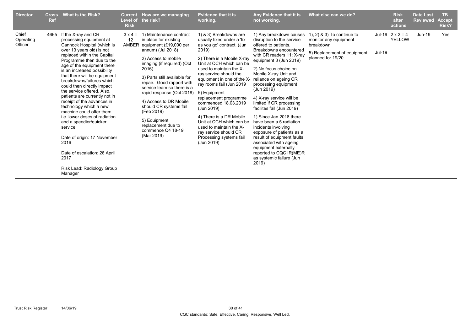| <b>Director</b>               | <b>Cross</b><br><b>Ref</b> | <b>What is the Risk?</b>                                                                                                                                                                                                                                                                                                                                                                                                                                                                                                                                                                                                                                                               | <b>Risk</b>                          | Current How are we managing<br>Level of the risk?                                                                                                                                                                                                                                                                                                                                                                                | <b>Evidence that it is</b><br>working.                                                                                                                                                                                                                                                                                                                                                                                                                                                                 | Any Evidence that it is<br>not working.                                                                                                                                                                                                                                                                                                                                                                                                                                                                                                                                                                                       | What else can we do?                                                                                                    |               | <b>Risk</b><br>after<br>actions          | <b>Date Last</b><br><b>Reviewed</b> | <b>TB</b><br><b>Accept</b><br>Risk? |
|-------------------------------|----------------------------|----------------------------------------------------------------------------------------------------------------------------------------------------------------------------------------------------------------------------------------------------------------------------------------------------------------------------------------------------------------------------------------------------------------------------------------------------------------------------------------------------------------------------------------------------------------------------------------------------------------------------------------------------------------------------------------|--------------------------------------|----------------------------------------------------------------------------------------------------------------------------------------------------------------------------------------------------------------------------------------------------------------------------------------------------------------------------------------------------------------------------------------------------------------------------------|--------------------------------------------------------------------------------------------------------------------------------------------------------------------------------------------------------------------------------------------------------------------------------------------------------------------------------------------------------------------------------------------------------------------------------------------------------------------------------------------------------|-------------------------------------------------------------------------------------------------------------------------------------------------------------------------------------------------------------------------------------------------------------------------------------------------------------------------------------------------------------------------------------------------------------------------------------------------------------------------------------------------------------------------------------------------------------------------------------------------------------------------------|-------------------------------------------------------------------------------------------------------------------------|---------------|------------------------------------------|-------------------------------------|-------------------------------------|
| Chief<br>Operating<br>Officer | 4665                       | If the X-ray and CR<br>processing equipment at<br>Cannock Hospital (which is<br>over 13 years old) is not<br>replaced within the Capital<br>Programme then due to the<br>age of the equipment there<br>is an increased possibility<br>that there will be equipment<br>breakdowns/failures which<br>could then directly impact<br>the service offered. Also.<br>patients are currently not in<br>receipt of the advances in<br>technology which a new<br>machine could offer them<br><i>i.e.</i> lower doses of radiation<br>and a speedier/quicker<br>service.<br>Date of origin: 17 November<br>2016<br>Date of escalation: 26 April<br>2017<br>Risk Lead: Radiology Group<br>Manager | $3 \times 4 =$<br>12<br><b>AMBER</b> | 1) Maintenance contract<br>in place for existing<br>equipment (£19,000 per<br>annum) (Jul 2018)<br>2) Access to mobile<br>imaging (if required) (Oct<br>2016)<br>3) Parts still available for<br>repair. Good rapport with<br>service team so there is a<br>rapid response (Oct 2018)<br>4) Access to DR Mobile<br>should CR systems fail<br>(Feb 2019)<br>5) Equipment<br>replacement due to<br>commence Q4 18-19<br>(Mar 2019) | 1) & 3) Breakdowns are<br>usually fixed under a 'fix<br>as you go' contract. (Jun<br>2019)<br>2) There is a Mobile X-ray<br>Unit at CCH which can be<br>used to maintain the X-<br>ray service should the<br>equipment in one of the X-<br>ray rooms fail (Jun 2019<br>5) Equipment<br>replacement programme<br>commenced 18.03.2019<br>(Jun 2019)<br>4) There is a DR Mobile<br>Unit at CCH which can be<br>used to maintain the X-<br>ray service should CR<br>Processing systems fail<br>(Jun 2019) | 1) Any breakdown causes<br>disruption to the service<br>offered to patients.<br>Breakdowns encountered<br>with CR readers 11; X-ray<br>equipment 3 (Jun 2019)<br>2) No focus choice on<br>Mobile X-ray Unit and<br>reliance on ageing CR<br>processing equipment<br>(Jun 2019)<br>4) X-ray service will be<br>limited if CR processing<br>facilites fail (Jun 2019)<br>1) Since Jan 2018 there<br>have been a 5 radiation<br>incidents involving<br>exposure of patients as a<br>result of equipment faults<br>associated with ageing<br>equipment externally<br>reported to CQC IR(ME)R<br>as systemic failure (Jun<br>2019) | 1), 2) $\&$ 3) To continue to<br>monitor any equipment<br>breakdown<br>5) Replacement of equipment<br>planned for 19/20 | <b>Jul-19</b> | Jul-19 $2 \times 2 = 4$<br><b>YELLOW</b> | Jun-19                              | Yes                                 |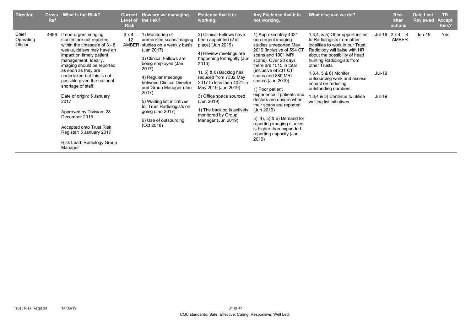| <b>Director</b>               | <b>Cross</b><br>Ref | <b>What is the Risk?</b>                                                                                                                                                                                                                                                                                                                                                                                                                                                                         | Current<br><b>Risk</b>        | How are we managing<br>Level of the risk?                                                                                                                                                                                                                                                                                                                        | <b>Evidence that it is</b><br>working.                                                                                                                                                                                                                                                                                                                            | Any Evidence that it is<br>not working.                                                                                                                                                                                                                                                                                                                                                                                                                                                       | What else can we do?                                                                                                                                                                                                                                                                                                                                                                |                  | <b>Risk</b><br>after<br>actions  | <b>Date Last</b><br><b>Reviewed</b> | TB.<br><b>Accept</b><br>Risk? |
|-------------------------------|---------------------|--------------------------------------------------------------------------------------------------------------------------------------------------------------------------------------------------------------------------------------------------------------------------------------------------------------------------------------------------------------------------------------------------------------------------------------------------------------------------------------------------|-------------------------------|------------------------------------------------------------------------------------------------------------------------------------------------------------------------------------------------------------------------------------------------------------------------------------------------------------------------------------------------------------------|-------------------------------------------------------------------------------------------------------------------------------------------------------------------------------------------------------------------------------------------------------------------------------------------------------------------------------------------------------------------|-----------------------------------------------------------------------------------------------------------------------------------------------------------------------------------------------------------------------------------------------------------------------------------------------------------------------------------------------------------------------------------------------------------------------------------------------------------------------------------------------|-------------------------------------------------------------------------------------------------------------------------------------------------------------------------------------------------------------------------------------------------------------------------------------------------------------------------------------------------------------------------------------|------------------|----------------------------------|-------------------------------------|-------------------------------|
| Chief<br>Operating<br>Officer | 4696                | If non-urgent imaging<br>studies are not reported<br>within the timescale of $3 - 6$<br>weeks, delays may have an<br>impact on timely patient<br>management. Ideally,<br>imaging should be reported<br>as soon as they are<br>undertaken but this is not<br>possible given the national<br>shortage of staff.<br>Date of origin: 5 January<br>2017<br>Approved by Division: 28<br>December 2016<br>Accepted onto Trust Risk<br>Register: 5 January 2017<br>Risk Lead: Radiology Group<br>Manager | $3 \times 4 =$<br>12<br>AMBER | 1) Monitoring of<br>unreported scans/imaging<br>studies on a weekly basis<br>(Jan 2017)<br>3) Clinical Fellows are<br>being employed (Jan<br>2017)<br>4) Regular meetings<br>between Clinical Director<br>and Group Manager (Jan<br>2017)<br>5) Waiting list initiatives<br>for Trust Radiologists on<br>going (Jan 2017)<br>6) Use of outsourcing<br>(Oct 2018) | 3) Clinical Fellows have<br>been appointed (2 in<br>place) (Jun 2019)<br>4) Review meetings are<br>happening fortnightly (Jun<br>2019)<br>1), 5) & 6) Backlog has<br>reduced from 7332 May<br>2017 to less than 4021 in<br>May 2019 (Jun 2019)<br>3) Office space sourced<br>(Jun 2019)<br>1) The backlog is actively<br>monitored by Group<br>Manager (Jun 2019) | 1) Approximately 4021<br>non-urgent imaging<br>studies unreported May<br>2019 (inclusive of 594 CT<br>scans and 1901 MRI<br>scans). Over 20 days<br>there are 1515 in total<br>(inclusive of 231 CT<br>scans and 880 MRI<br>scans) (Jun 2019)<br>1) Poor patient<br>experience if patients and<br>doctors are unsure when<br>their scans are reported<br>(Jun 2019)<br>3), 4), 5) & 6) Demand for<br>reporting imaging studies<br>is higher than expanded<br>reporting capacity (Jun<br>2019) | 1,3,4, & 5) Offer opportunities<br>to Radiologists from other<br>localities to work in our Trust.<br>Radiology will liaise with HR<br>about the possibility of head<br>hunting Radiologists from<br>other Trusts<br>1,3,4, 5 & 6) Monitor<br>outsourcing work and assess<br>impact on reducing<br>outstanding numbers<br>1,3,4 & 5) Continue to utilise<br>waiting list initiatives | Jul-19<br>Jul-19 | Jul-19 $2 \times 4 = 8$<br>AMBER | Jun-19                              | Yes                           |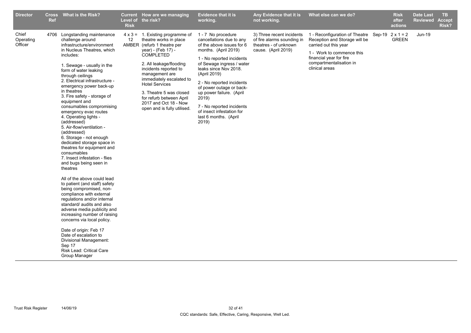| <b>Director</b>               | <b>Ref</b> | Cross What is the Risk?                                                                                                                                                                                                                                                                                                                                                                                                                                                                                                                                                                                                                                                                                                                                                                                                                                                                                                                                                                                                                                                | <b>Risk</b> | Current How are we managing<br>Level of the risk?                                                                                                                                                                                                                                                                                                                                     | <b>Evidence that it is</b><br>working.                                                                                                                                                                                                                                                                                                                                                           | Any Evidence that it is<br>not working.                                                                 | What else can we do?                                                                                                                                                                                                  | <b>Risk</b><br>after<br>actions | <b>Date Last</b><br><b>Reviewed</b> | TB.<br><b>Accept</b><br>Risk? |
|-------------------------------|------------|------------------------------------------------------------------------------------------------------------------------------------------------------------------------------------------------------------------------------------------------------------------------------------------------------------------------------------------------------------------------------------------------------------------------------------------------------------------------------------------------------------------------------------------------------------------------------------------------------------------------------------------------------------------------------------------------------------------------------------------------------------------------------------------------------------------------------------------------------------------------------------------------------------------------------------------------------------------------------------------------------------------------------------------------------------------------|-------------|---------------------------------------------------------------------------------------------------------------------------------------------------------------------------------------------------------------------------------------------------------------------------------------------------------------------------------------------------------------------------------------|--------------------------------------------------------------------------------------------------------------------------------------------------------------------------------------------------------------------------------------------------------------------------------------------------------------------------------------------------------------------------------------------------|---------------------------------------------------------------------------------------------------------|-----------------------------------------------------------------------------------------------------------------------------------------------------------------------------------------------------------------------|---------------------------------|-------------------------------------|-------------------------------|
| Chief<br>Operating<br>Officer | 4706       | Longstanding maintenance<br>challenge around<br>infrastructure/environment<br>in Nucleus Theatres, which<br>includes:<br>1. Sewage - usually in the<br>form of water leaking<br>through ceilings<br>2. Electrical infrastructure -<br>emergency power back-up<br>in theatres<br>3. Fire safety - storage of<br>equipment and<br>consumables compromising<br>emergency evac routes<br>4. Operating lights -<br>(addressed)<br>5. Air-flow/ventilation -<br>(addressed)<br>6. Storage - not enough<br>dedicated storage space in<br>theatres for equipment and<br>consumables<br>7. Insect infestation - flies<br>and bugs being seen in<br>theatres<br>All of the above could lead<br>to patient (and staff) safety<br>being compromised, non-<br>compliance with external<br>regulations and/or internal<br>standard/ audits and also<br>adverse media publicity and<br>increasing number of raising<br>concerns via local policy.<br>Date of origin: Feb 17<br>Date of escalation to<br>Divisional Management:<br>Sep 17<br>Risk Lead: Critical Care<br>Group Manager | 12          | $4 \times 3 = 1$ . Existing programme of<br>theatre works in place<br>AMBER (refurb 1 theatre per<br>year) - (Feb 17) -<br><b>COMPLETED</b><br>2. All leakage/flooding<br>incidents reported to<br>management are<br>immediately escalated to<br><b>Hotel Services</b><br>3. Theatre 5 was closed<br>for refurb between April<br>2017 and Oct 18 - Now<br>open and is fully utilised. | 1 - 7 No procedure<br>cancellations due to any<br>of the above issues for 6<br>months. (April 2019)<br>1 - No reported incidents<br>of Sewage ingress / water<br>leaks since Nov 2018.<br>(April 2019)<br>2 - No reported incidents<br>of power outage or back-<br>up power failure. (April<br>2019)<br>7 - No reported incidents<br>of insect infestation for<br>last 6 months. (April<br>2019) | 3) Three recent incidents<br>of fire alarms sounding in<br>theatres - of unknown<br>cause. (April 2019) | 1 - Reconfiguration of Theatre Sep-19 $2 \times 1 = 2$<br>Reception and Storage will be<br>carried out this year<br>1 - Work to commence this<br>financial year for fire<br>compartmentalisation in<br>clinical areas | <b>GREEN</b>                    | <b>Jun-19</b>                       |                               |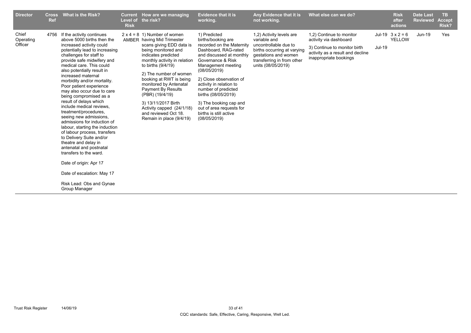| <b>Director</b>               | <b>Cross</b><br><b>Ref</b> | What is the Risk?                                                                                                                                                                                                                                                                                                                                                                                                                                                                                                                                                                                                                                                                                                                                                                                        | Current<br>Level of<br><b>Risk</b> | How are we managing<br>the risk?                                                                                                                                                                                                                                                                                                                                                                                                         | <b>Evidence that it is</b><br>working.                                                                                                                                                                                                                                                                                                                                             | Any Evidence that it is<br>not working.                                                                                                                                      | What else can we do?                                                                                                                             |               | <b>Risk</b><br>after<br>actions   | <b>Date Last</b><br><b>Reviewed</b> | <b>TB</b><br><b>Accept</b><br>Risk? |
|-------------------------------|----------------------------|----------------------------------------------------------------------------------------------------------------------------------------------------------------------------------------------------------------------------------------------------------------------------------------------------------------------------------------------------------------------------------------------------------------------------------------------------------------------------------------------------------------------------------------------------------------------------------------------------------------------------------------------------------------------------------------------------------------------------------------------------------------------------------------------------------|------------------------------------|------------------------------------------------------------------------------------------------------------------------------------------------------------------------------------------------------------------------------------------------------------------------------------------------------------------------------------------------------------------------------------------------------------------------------------------|------------------------------------------------------------------------------------------------------------------------------------------------------------------------------------------------------------------------------------------------------------------------------------------------------------------------------------------------------------------------------------|------------------------------------------------------------------------------------------------------------------------------------------------------------------------------|--------------------------------------------------------------------------------------------------------------------------------------------------|---------------|-----------------------------------|-------------------------------------|-------------------------------------|
| Chief<br>Operating<br>Officer | 4756                       | If the activity continues<br>above 5000 births then the<br>increased activity could<br>potentially lead to increasing<br>challenges for staff to<br>provide safe midwifery and<br>medical care. This could<br>also potentially result in<br>increased maternal<br>morbidity and/or mortality.<br>Poor patient experience<br>may also occur due to care<br>being compromised as a<br>result of delays which<br>include medical reviews,<br>treatment/procedures.<br>seeing new admissions,<br>admissions for induction of<br>labour, starting the induction<br>of labour process, transfers<br>to Delivery Suite and/or<br>theatre and delay in<br>antenatal and postnatal<br>transfers to the ward.<br>Date of origin: Apr 17<br>Date of escalation: May 17<br>Risk Lead: Obs and Gynae<br>Group Manager |                                    | $2 \times 4 = 8$ 1) Number of women<br><b>AMBER</b> having Mid Trimester<br>scans giving EDD data is<br>being monitored and<br>indicates predicted<br>monthly activity in relation<br>to births (9/4/19)<br>2) The number of women<br>booking at RWT is being<br>monitored by Antenatal<br>Payment By Results<br>(PBR) (19/4/19)<br>3) 13/11/2017 Birth<br>Activity capped (24/1/18)<br>and reviewed Oct 18.<br>Remain in place (9/4/19) | 1) Predicted<br>births/booking are<br>recorded on the Maternity<br>Dashboard, RAG-rated<br>and discussed at monthly<br>Governance & Risk<br>Management meeting<br>(08/05/2019)<br>2) Close observation of<br>activity in relation to<br>number of predicted<br>births (08/05/2019)<br>3) The booking cap and<br>out of area requests for<br>births is still active<br>(08/05/2019) | 1,2) Activity levels are<br>variable and<br>uncontrollable due to<br>births occurring at varying<br>gestations and women<br>transferring in from other<br>units (08/05/2019) | 1,2) Continue to monitor<br>activity via dashboard<br>3) Continue to monitor birth<br>activity as a result and decline<br>inappropriate bookings | <b>Jul-19</b> | Jul-19 $3 \times 2 = 6$<br>YELLOW | <b>Jun-19</b>                       | Yes                                 |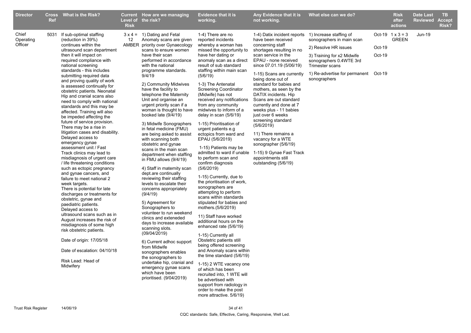| <b>Director</b>               | <b>Ref</b> | Cross What is the Risk?                                                                                                                                                                                                                                                                                                                                                                                                                                                                                                                                                                                                                                                                                                                                                                                                                                                                                                                                                                                                                                                                                                                                                                                                     | <b>Risk</b> | Current How are we managing<br>Level of the risk?                                                                                                                                                                                                                                                                                                                                                                                                                                                                                                                                                                                                                                                                                                                                                                                                                                                                                                                                                                                                                                                                                                        | <b>Evidence that it is</b><br>working.                                                                                                                                                                                                                                                                                                                                                                                                                                                                                                                                                                                                                                                                                                                                                                                                                                                                                                                                                                                                                                                                                                                                           | Any Evidence that it is<br>not working.                                                                                                                                                                                                                                                                                                                                                                                                                                                                                                                                                                                        | What else can we do?                                                                                                                                                                                             |                  | <b>Risk</b><br>after<br>actions         | <b>Date Last</b><br>Reviewed | TB.<br><b>Accept</b><br>Risk? |
|-------------------------------|------------|-----------------------------------------------------------------------------------------------------------------------------------------------------------------------------------------------------------------------------------------------------------------------------------------------------------------------------------------------------------------------------------------------------------------------------------------------------------------------------------------------------------------------------------------------------------------------------------------------------------------------------------------------------------------------------------------------------------------------------------------------------------------------------------------------------------------------------------------------------------------------------------------------------------------------------------------------------------------------------------------------------------------------------------------------------------------------------------------------------------------------------------------------------------------------------------------------------------------------------|-------------|----------------------------------------------------------------------------------------------------------------------------------------------------------------------------------------------------------------------------------------------------------------------------------------------------------------------------------------------------------------------------------------------------------------------------------------------------------------------------------------------------------------------------------------------------------------------------------------------------------------------------------------------------------------------------------------------------------------------------------------------------------------------------------------------------------------------------------------------------------------------------------------------------------------------------------------------------------------------------------------------------------------------------------------------------------------------------------------------------------------------------------------------------------|----------------------------------------------------------------------------------------------------------------------------------------------------------------------------------------------------------------------------------------------------------------------------------------------------------------------------------------------------------------------------------------------------------------------------------------------------------------------------------------------------------------------------------------------------------------------------------------------------------------------------------------------------------------------------------------------------------------------------------------------------------------------------------------------------------------------------------------------------------------------------------------------------------------------------------------------------------------------------------------------------------------------------------------------------------------------------------------------------------------------------------------------------------------------------------|--------------------------------------------------------------------------------------------------------------------------------------------------------------------------------------------------------------------------------------------------------------------------------------------------------------------------------------------------------------------------------------------------------------------------------------------------------------------------------------------------------------------------------------------------------------------------------------------------------------------------------|------------------------------------------------------------------------------------------------------------------------------------------------------------------------------------------------------------------|------------------|-----------------------------------------|------------------------------|-------------------------------|
| Chief<br>Operating<br>Officer | 5031       | If sub-optimal staffing<br>(reduction in 39%)<br>continues within the<br>ultrasound scan department<br>then it will impact on<br>required compliance with<br>national screening<br>standards - this includes<br>submitting required data<br>and proving quality of work<br>is assessed continually for<br>obstetric patients. Neonatal<br>Hip and cranial scans also<br>need to comply with national<br>standards and this may be<br>affected. Training will also<br>be impeded affecting the<br>future of service provision.<br>There may be a rise in<br>litigation cases and disability.<br>Delayed access to<br>emergency gynae<br>assessment unit / Fast<br>Track clinics may lead to<br>misdiagnosis of urgent care<br>/ life threatening conditions<br>such as ectopic pregnancy<br>and gynae cancers, and<br>failure to meet national 2<br>week targets.<br>There is potential for late<br>discharges or treatments for<br>obstetric, gynae and<br>paediatric patients.<br>Delayed access to<br>ultrasound scans such as in<br>August increases the risk of<br>misdiagnosis of some high<br>risk obstetric patients.<br>Date of origin: 17/05/18<br>Date of escalation: 04/10/18<br>Risk Lead: Head of<br>Midwifery | 12          | $3 \times 4 = 1$ ) Dating and Fetal<br>Anomaly scans are given<br>AMBER priority over Gynaecology<br>scans to ensure women<br>have their scan<br>performed in accordance<br>with the national<br>programme standards.<br>9/4/19<br>2) Community Midwives<br>have the facility to<br>telephone the Maternity<br>Unit and organise an<br>urgent priority scan if a<br>woman is thought to have<br>booked late (9/4/19)<br>3) Midwife Sonographers<br>in fetal medicine (FMU)<br>are being asked to assist<br>with scanning both<br>obstetric and gynae<br>scans in the main scan<br>department when staffing<br>in FMU allows $(9/4/19)$<br>4) Staff in maternity scan<br>dept.are continually<br>reviewing their staffing<br>levels to escalate their<br>concerns appropriately<br>(9/4/19)<br>5) Agreement for<br>Sonographers to<br>volunteer to run weekend<br>clinics and exteneded<br>days to increase available<br>scanning slots.<br>(09/04/2019)<br>6) Current adhoc support<br>from Midwife<br>sonographers enables<br>the sonographers to<br>undertake hip, cranial and<br>emergency gynae scans<br>which have been<br>prioritised. (9/04/2019) | 1-4) There are no<br>reported incidents<br>whereby a woman has<br>missed the opportunity to<br>have her dating or<br>anomaly scan as a direct<br>result of sub standard<br>staffing within main scan<br>(5/6/19)<br>1-3) The Antenatal<br>Screening Coordinator<br>(Midwife) has not<br>received any notifications<br>from any community<br>midwives to inform of a<br>delay in scan (5/6/19)<br>1-15) Prioritisation of<br>urgent patients e.g<br>ectopics from ward and<br>EPAU (5/6/2019)<br>1-15) Patients may be<br>to perform scan and<br>confirm diagnosis<br>(5/6/2019)<br>1-15) Currently, due to<br>the prioritisation of work,<br>sonographers are<br>attempting to perform<br>scans within standards<br>stipulated for babies and<br>mothers.(5/6/2019)<br>11) Staff have worked<br>additional hours on the<br>enhanced rate (5/6/19)<br>1-15) Currently all<br>Obstetric patients still<br>being offered screening<br>and Anomaly scans within<br>the time standard (5/6/19)<br>1-15) 2 WTE vacancy one<br>of which has been<br>recruited into, 1 WTE will<br>be advertised with<br>support from radiology in<br>order to make the post<br>more attractive. 5/6/19) | 1-4) Datix incident reports<br>have been received<br>concerning staff<br>shortages resulting in no<br>scan service in the<br>EPAU - none received<br>since 07.01.19 (5/06/19)<br>1-15) Scans are currently<br>being done out of<br>standard for babies and<br>mothers, as seen by the<br>DATIX incidents. Hip<br>Scans are out standard<br>currently and done at 7<br>weeks plus - 11 babies<br>just over 6 weeks<br>screening standard<br>(5/6/2019)<br>11) There remains a<br>vacancy for a WTE<br>sonographer (5/6/19)<br>admitted to ward if unable 1-15) 9 Gynae Fast Track<br>appointments still<br>outstanding (5/6/19) | 1) Increase staffing of<br>sonographers in main scan<br>2) Resolve HR issues<br>3) Training for x2 Midwife<br>sonographers 0.4WTE 3rd<br>Trimester scans<br>1) Re-advertise for permanent Oct-19<br>sonographers | Oct-19<br>Oct-19 | Oct-19 $1 \times 3 = 3$<br><b>GREEN</b> | <b>Jun-19</b>                |                               |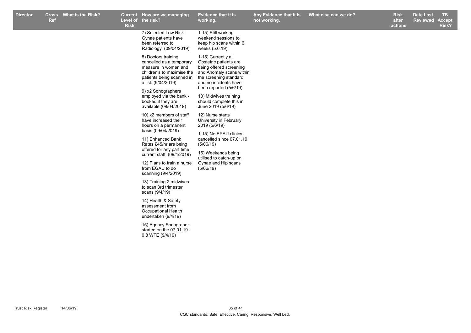| <b>Director</b> | Ref | Cross What is the Risk? | <b>Risk</b> | Current How are we managing<br>Level of the risk?                                                                                                                                                                                                                                                                                                                                                                                                                                                                      | Evidence that it is<br>working.                                                                                                                                                                                    | Any Evidence that it is<br>not working. | What else can we do? | <b>Risk</b><br>after<br>actions | <b>Date Last</b><br><b>Reviewed</b> | TB.<br><b>Accept</b><br>Risk? |
|-----------------|-----|-------------------------|-------------|------------------------------------------------------------------------------------------------------------------------------------------------------------------------------------------------------------------------------------------------------------------------------------------------------------------------------------------------------------------------------------------------------------------------------------------------------------------------------------------------------------------------|--------------------------------------------------------------------------------------------------------------------------------------------------------------------------------------------------------------------|-----------------------------------------|----------------------|---------------------------------|-------------------------------------|-------------------------------|
|                 |     |                         |             | 7) Selected Low Risk<br>Gynae patients have<br>been referred to<br>Radiology (09/04/2019)                                                                                                                                                                                                                                                                                                                                                                                                                              | 1-15) Still working<br>weekend sessions to<br>keep hip scans within 6<br>weeks (5.6.19)                                                                                                                            |                                         |                      |                                 |                                     |                               |
|                 |     |                         |             | 8) Doctors training<br>cancelled as a temporary<br>measure in women and<br>patients being scanned in<br>a list. (9/04/2019)                                                                                                                                                                                                                                                                                                                                                                                            | 1-15) Currently all<br>Obstetric patients are<br>being offered screening<br>children's to maximise the and Anomaly scans within<br>the screening standard<br>and no incidents have                                 |                                         |                      |                                 |                                     |                               |
|                 |     |                         |             | 9) x2 Sonographers<br>employed via the bank -<br>booked if they are<br>available (09/04/2019)                                                                                                                                                                                                                                                                                                                                                                                                                          | been reported (5/6/19)<br>13) Midwives training<br>should complete this in<br>June 2019 (5/6/19)                                                                                                                   |                                         |                      |                                 |                                     |                               |
|                 |     |                         |             | 10) x2 members of staff<br>have increased their<br>hours on a permanent<br>basis (09/04/2019)<br>11) Enhanced Bank<br>Rates £45/hr are being<br>offered for any part time<br>current staff (09/4/2019)<br>12) Plans to train a nurse<br>from EGAU to do<br>scanning (9/4/2019)<br>13) Training 2 midwives<br>to scan 3rd trimester<br>scans (9/4/19)<br>14) Health & Safety<br>assessment from<br>Occupational Health<br>undertaken (9/4/19)<br>15) Agency Sonograher<br>started on the 07.01.19 -<br>0.8 WTE (9/4/19) | 12) Nurse starts<br>University in February<br>2019 (5/6/19)<br>1-15) No EPAU clinics<br>cancelled since 07.01.19<br>(5/06/19)<br>15) Weekends being<br>utilised to catch-up on<br>Gynae and Hip scans<br>(5/06/19) |                                         |                      |                                 |                                     |                               |
|                 |     |                         |             |                                                                                                                                                                                                                                                                                                                                                                                                                                                                                                                        |                                                                                                                                                                                                                    |                                         |                      |                                 |                                     |                               |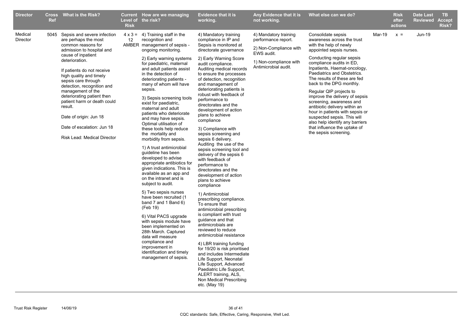| <b>Director</b>     | <b>Ref</b> | Cross What is the Risk?                                                                                                                                                                                                                                                                                                                                                                                                                                      | <b>Risk</b> | <b>Current</b> How are we managing<br>Level of the risk?                                                                                                                                                                                                                                                                                                                                                                                                                                                                                                                                                                                                                                                                                                                                                                                                                                                                                                                                                                                                    | <b>Evidence that it is</b><br>working.                                                                                                                                                                                                                                                                                                                                                                                                                                                                                                                                                                                                                                                                                                                                                                                                                                                                                                                                                                                                                                                                                                                                     | Any Evidence that it is<br>not working.                                                                                                | What else can we do?                                                                                                                                                                                                                                                                                                                                                                                                                                                                                                                                                               |        | <b>Risk</b><br>after<br>actions | <b>Date Last</b><br><b>Reviewed</b> | <b>TB</b><br><b>Accept</b><br>Risk? |
|---------------------|------------|--------------------------------------------------------------------------------------------------------------------------------------------------------------------------------------------------------------------------------------------------------------------------------------------------------------------------------------------------------------------------------------------------------------------------------------------------------------|-------------|-------------------------------------------------------------------------------------------------------------------------------------------------------------------------------------------------------------------------------------------------------------------------------------------------------------------------------------------------------------------------------------------------------------------------------------------------------------------------------------------------------------------------------------------------------------------------------------------------------------------------------------------------------------------------------------------------------------------------------------------------------------------------------------------------------------------------------------------------------------------------------------------------------------------------------------------------------------------------------------------------------------------------------------------------------------|----------------------------------------------------------------------------------------------------------------------------------------------------------------------------------------------------------------------------------------------------------------------------------------------------------------------------------------------------------------------------------------------------------------------------------------------------------------------------------------------------------------------------------------------------------------------------------------------------------------------------------------------------------------------------------------------------------------------------------------------------------------------------------------------------------------------------------------------------------------------------------------------------------------------------------------------------------------------------------------------------------------------------------------------------------------------------------------------------------------------------------------------------------------------------|----------------------------------------------------------------------------------------------------------------------------------------|------------------------------------------------------------------------------------------------------------------------------------------------------------------------------------------------------------------------------------------------------------------------------------------------------------------------------------------------------------------------------------------------------------------------------------------------------------------------------------------------------------------------------------------------------------------------------------|--------|---------------------------------|-------------------------------------|-------------------------------------|
| Medical<br>Director |            | 5045 Sepsis and severe infection<br>are perhaps the most<br>common reasons for<br>admission to hospital and<br>cause of inpatient<br>deterioration.<br>If patients do not receive<br>high quality and timely<br>sepsis care through<br>detection, recognition and<br>management of the<br>deteriorating patient then<br>patient harm or death could<br>result.<br>Date of origin: Jun 18<br>Date of escalation: Jun 18<br><b>Risk Lead: Medical Director</b> | 12          | $4 \times 3 = 4$ ) Training staff in the<br>recognition and<br>AMBER management of sepsis -<br>ongoing monitoring.<br>2) Early warning systems<br>for paediatric, maternal<br>and adult patients assist<br>in the detection of<br>deteriorating patients -<br>many of whom will have<br>sepsis.<br>3) Sepsis screening tools<br>exist for paediatric,<br>maternal and adult<br>patients who deteriorate<br>and may have sepsis.<br>Optimal utilisation of<br>these tools help reduce<br>the mortality and<br>morbidity from sepsis.<br>1) A trust antimicrobial<br>guideline has been<br>developed to advise<br>appropriate antibiotics for<br>given indications. This is<br>available as an app and<br>on the intranet and is<br>subject to audit.<br>5) Two sepsis nurses<br>have been recruited (1<br>band 7 and 1 Band 6)<br>(Feb 19)<br>6) Vital PACS upgrade<br>with sepsis module have<br>been implemented on<br>28th March. Captured<br>data will measure<br>compliance and<br>improvement in<br>identification and timely<br>management of sepsis. | 4) Mandatory training<br>compliance in IP and<br>Sepsis is monitored at<br>directorate governance<br>2) Early Warning Score<br>audit compliance.<br>Auditing medical records<br>to ensure the processes<br>of detection, recognition<br>and management of<br>deteriorating patients is<br>robust with feedback of<br>performance to<br>directorates and the<br>development of action<br>plans to achieve<br>compliance<br>3) Compliance with<br>sepsis screening and<br>sepsis 6 delivery.<br>Auditing the use of the<br>sepsis screening tool and<br>delivery of the sepsis 6<br>with feedback of<br>performance to<br>directorates and the<br>development of action<br>plans to achieve<br>compliance<br>1) Antimicrobial<br>prescribing compliance.<br>To ensure that<br>antimicrobial prescribing<br>is compliant with trust<br>guidance and that<br>antimicrobials are<br>reviewed to reduce<br>antimicrobial resistance<br>4) LBR training funding<br>for 19/20 is risk prioritised<br>and includes Intermediate<br>Life Support, Neonatal<br>Life Support, Advanced<br>Paediatric Life Support,<br>ALERT training, ALS,<br>Non Medical Prescribing<br>etc. (May 19) | 4) Mandatory training<br>performance report.<br>2) Non-Compliance with<br>EWS audit.<br>1) Non-compliance with<br>Antimicrobial audit. | Consolidate sepsis<br>awareness across the trust<br>with the help of newly<br>appointed sepsis nurses.<br>Conducting regular sepsis<br>compliance audits in ED,<br>Inpatients, Haemat-oncology,<br>Paediatrics and Obstetrics.<br>The results of these are fed<br>back to the DPG monthly.<br>Regular QIP projects to<br>improve the delivery of sepsis<br>screening, awareness and<br>antibiotic delivery within an<br>hour in patients with sepsis or<br>suspected sepsis. This will<br>also help identify any barriers<br>that influence the uptake of<br>the sepsis screening. | Mar-19 | $x =$                           | Jun-19                              |                                     |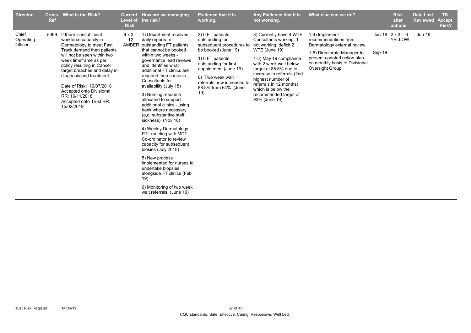| <b>Director</b>               | <b>Cross</b><br><b>Ref</b> | <b>What is the Risk?</b>                                                                                                                                                                                                                                                                                                                                                              | Level of<br><b>Risk</b> | Current How are we managing<br>the risk?                                                                                                                                                                                                                                                                                                                                                                                                                                                                                                                                                                                                                                                                                              | <b>Evidence that it is</b><br>working.                                                                                                                                                                                                        | Any Evidence that it is<br>not working.                                                                                                                                                                                                                                                                                  | What else can we do?                                                                                                                                                                     |        | <b>Risk</b><br>after<br>actions          | <b>Date Last</b><br><b>Reviewed</b> | <b>TB</b><br><b>Accept</b><br>Risk? |
|-------------------------------|----------------------------|---------------------------------------------------------------------------------------------------------------------------------------------------------------------------------------------------------------------------------------------------------------------------------------------------------------------------------------------------------------------------------------|-------------------------|---------------------------------------------------------------------------------------------------------------------------------------------------------------------------------------------------------------------------------------------------------------------------------------------------------------------------------------------------------------------------------------------------------------------------------------------------------------------------------------------------------------------------------------------------------------------------------------------------------------------------------------------------------------------------------------------------------------------------------------|-----------------------------------------------------------------------------------------------------------------------------------------------------------------------------------------------------------------------------------------------|--------------------------------------------------------------------------------------------------------------------------------------------------------------------------------------------------------------------------------------------------------------------------------------------------------------------------|------------------------------------------------------------------------------------------------------------------------------------------------------------------------------------------|--------|------------------------------------------|-------------------------------------|-------------------------------------|
| Chief<br>Operating<br>Officer |                            | 5069 If there is insufficient<br>workforce capacity in<br>Dermatology to meet Fast<br>Track demand then patients<br>will not be seen within two<br>week timeframe as per<br>policy resulting in Cancer<br>target breaches and delay in<br>diagnosis and treatment.<br>Date of Risk: 19/07/2018<br>Accepted onto Divisional<br>RR: 16/11/2018<br>Accepted onto Trust RR:<br>15/02/2019 | $4 \times 3 =$<br>12    | 1) Department receives<br>daily reports re<br>AMBER outstanding FT patients<br>that cannot be booked<br>within two weeks -<br>governance lead reviews<br>and identifies what<br>additional FT clinics are<br>required then contacts<br>Consultants for<br>availability (July 18)<br>3) Nursing resource<br>allocated to support<br>additional clinics - using<br>bank where necessary<br>(e.g. substantive staff<br>sickness) (Nov 18)<br>4) Weekly Dermatology<br>PTL meeting with MDT<br>Co-ordinator to review<br>capacity for subsequent<br>biosies (July 2018)<br>5) New process<br>implemented for nurses to<br>undertake biopsies<br>alongside FT clinics (Feb<br>19)<br>6) Monitoring of two week<br>wait referrals (June 19) | 3) 0 FT patients<br>outstanding for<br>subsequent procedures to<br>be booked (June 19)<br>1) 0 FT patients<br>outstanding for first<br>appointment (June 19)<br>6) Two week wait<br>referrals now increased to<br>88.5% from 64% (June<br>19) | 3) Currently have 4 WTE<br>Consultants working, 1<br>not working, deficit 2<br>WTE (June 19)<br>1-3) May 19 compliance<br>with 2 week wait below<br>target at 88.5% due to<br>increase in referrals (2nd<br>highest number of<br>referrals in 12 months)<br>which is below the<br>recommended target of<br>93% (June 19) | 1-4) Implement<br>recommendations from<br>Dermatology external review<br>1-6) Directorate Manager to<br>present updated action plan<br>on monthly basis to Divisional<br>Oversight Group | Sep-19 | Jun-19 $2 \times 3 = 6$<br><b>YELLOW</b> | Jun-19                              |                                     |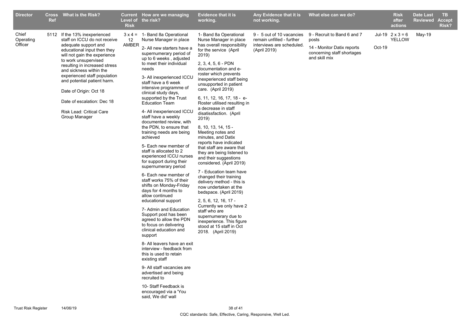| <b>Director</b>               | <b>Ref</b> | Cross What is the Risk?                                                                                                                                                                                                                                                                                                                                                                                      | <b>Risk</b> | <b>Current</b> How are we managing<br>Level of the risk?                                                                                                                                                                                                                                                                                                                                                                                                                                                                                                                                                                                                                                                                                                                                                                                                                                                                                                                                                                                                                                                                                                                                     | Evidence that it is<br>working.                                                                                                                                                                                                                                                                                                                                                                                                                                                                                                                                                                                                                                                                                                                                                                                                                                                                                               | Any Evidence that it is<br>not working.                                                             | What else can we do?                                                                                              |        | <b>Risk</b><br>after<br>actions   | <b>Date Last</b><br>Reviewed | TB.<br><b>Accept</b><br>Risk? |
|-------------------------------|------------|--------------------------------------------------------------------------------------------------------------------------------------------------------------------------------------------------------------------------------------------------------------------------------------------------------------------------------------------------------------------------------------------------------------|-------------|----------------------------------------------------------------------------------------------------------------------------------------------------------------------------------------------------------------------------------------------------------------------------------------------------------------------------------------------------------------------------------------------------------------------------------------------------------------------------------------------------------------------------------------------------------------------------------------------------------------------------------------------------------------------------------------------------------------------------------------------------------------------------------------------------------------------------------------------------------------------------------------------------------------------------------------------------------------------------------------------------------------------------------------------------------------------------------------------------------------------------------------------------------------------------------------------|-------------------------------------------------------------------------------------------------------------------------------------------------------------------------------------------------------------------------------------------------------------------------------------------------------------------------------------------------------------------------------------------------------------------------------------------------------------------------------------------------------------------------------------------------------------------------------------------------------------------------------------------------------------------------------------------------------------------------------------------------------------------------------------------------------------------------------------------------------------------------------------------------------------------------------|-----------------------------------------------------------------------------------------------------|-------------------------------------------------------------------------------------------------------------------|--------|-----------------------------------|------------------------------|-------------------------------|
| Chief<br>Operating<br>Officer |            | 5112 If the 13% inexperienced<br>staff on ICCU do not receive<br>adequate support and<br>educational input then they<br>will not gain the experience<br>to work unsupervised<br>resulting in increased stress<br>and sickness within the<br>experienced staff population<br>and potential patient harm.<br>Date of Origin: Oct 18<br>Date of escalation: Dec 18<br>Risk Lead: Critical Care<br>Group Manager | 12<br>AMBER | $3 \times 4 = 1$ - Band 8a Operational<br>Nurse Manager in place<br>2- All new starters have a<br>supernumerary period of<br>up to 6 weeks, adjusted<br>to meet their individual<br>needs<br>3- All inexperienced ICCU<br>staff have a 6 week<br>intensive programme of<br>clinical study days,<br>supported by the Trust<br><b>Education Team</b><br>4- All inexperienced ICCU<br>staff have a weekly<br>documented review, with<br>the PDN, to ensure that<br>training needs are being<br>achieved<br>5- Each new member of<br>staff is allocated to 2<br>experienced ICCU nurses<br>for support during their<br>supernumerary period<br>6- Each new member of<br>staff works 75% of their<br>shifts on Monday-Friday<br>days for 4 months to<br>allow continued<br>educational support<br>7- Admin and Education<br>Support post has been<br>agreed to allow the PDN<br>to focus on delivering<br>clinical education and<br>support<br>8- All leavers have an exit<br>interview - feedback from<br>this is used to retain<br>existing staff<br>9- All staff vacancies are<br>advertised and being<br>recruited to<br>10- Staff Feedback is<br>encouraged via a 'You<br>said, We did' wall | 1- Band 8a Operational<br>Nurse Manager in place<br>has overall responsibility<br>for the service (April<br>2019)<br>2, 3, 4, 5, 6 - PDN<br>documentation and e-<br>roster which prevents<br>inexperienced staff being<br>unsupported in patient<br>care. (April 2019)<br>6, 11, 12, 16, 17, 18 - e-<br>Roster utilised resulting in<br>a decrease in staff<br>disatissfaction. (April<br>2019)<br>8, 10, 13, 14, 15 -<br>Meeting notes and<br>minutes, and Datix<br>reports have indicated<br>that staff are aware that<br>they are being listened to<br>and their suggestions<br>considered. (April 2019)<br>7 - Education team have<br>changed their training<br>delivery method - this is<br>now undertaken at the<br>bedspace. (April 2019)<br>2, 5, 6, 12, 16, 17 -<br>Currently we only have 2<br>staff who are<br>supernumerary due to<br>inexperience. This figure<br>stood at 15 staff in Oct<br>2018. (April 2019) | 9 - 5 out of 10 vacancies<br>remain unfilled - further<br>interviews are scheduled.<br>(April 2019) | 9 - Recruit to Band 6 and 7<br>posts<br>14 - Monitor Datix reports<br>concerning staff shortages<br>and skill mix | Oct-19 | Jul-19 $2 \times 3 = 6$<br>YELLOW | May-19                       |                               |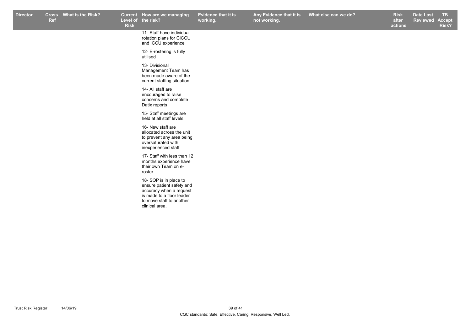|  |  |                                                                                                                                                           | working. | not working. | after<br>actions | Reviewed | <b>Accept</b><br>Risk? |
|--|--|-----------------------------------------------------------------------------------------------------------------------------------------------------------|----------|--------------|------------------|----------|------------------------|
|  |  | 11- Staff have individual<br>rotation plans for CICCU<br>and ICCU experience                                                                              |          |              |                  |          |                        |
|  |  | 12- E-rostering is fully<br>utilised                                                                                                                      |          |              |                  |          |                        |
|  |  | 13- Divisional<br>Management Team has<br>been made aware of the<br>current staffing situation                                                             |          |              |                  |          |                        |
|  |  | 14- All staff are<br>encouraged to raise<br>concerns and complete<br>Datix reports                                                                        |          |              |                  |          |                        |
|  |  | 15- Staff meetings are<br>held at all staff levels                                                                                                        |          |              |                  |          |                        |
|  |  | 16- New staff are<br>allocated across the unit<br>to prevent any area being<br>oversaturated with<br>inexperienced staff                                  |          |              |                  |          |                        |
|  |  | 17- Staff with less than 12<br>months experience have<br>their own Team on e-<br>roster                                                                   |          |              |                  |          |                        |
|  |  | 18- SOP is in place to<br>ensure patient safety and<br>accuracy when a request<br>is made to a floor leader<br>to move staff to another<br>clinical area. |          |              |                  |          |                        |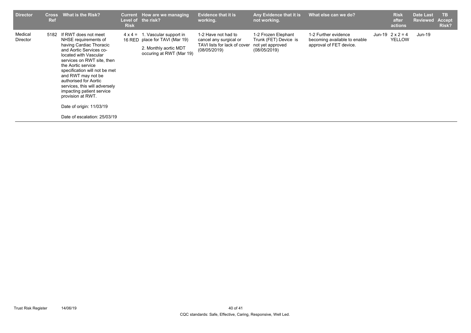| <b>Director</b><br><b>Cross</b><br><b>Ref</b> | What is the Risk?                                                                                                                                                                                                                                                                                                                                                                                              | <b>Risk</b> | Current How are we managing<br>Level of the risk?                                                                             | <b>Evidence that it is</b><br>working.                                                        | Any Evidence that it is<br>not working.                                          | What else can we do?                                                            | <b>Risk</b><br>after<br>actions          | <b>Date Last</b><br><b>Reviewed</b> | <b>TB</b><br><b>Accept</b><br>Risk? |
|-----------------------------------------------|----------------------------------------------------------------------------------------------------------------------------------------------------------------------------------------------------------------------------------------------------------------------------------------------------------------------------------------------------------------------------------------------------------------|-------------|-------------------------------------------------------------------------------------------------------------------------------|-----------------------------------------------------------------------------------------------|----------------------------------------------------------------------------------|---------------------------------------------------------------------------------|------------------------------------------|-------------------------------------|-------------------------------------|
| Medical<br>5182<br>Director                   | If RWT does not meet<br>NHSE requirements of<br>having Cardiac Thoracic<br>and Aortic Services co-<br>located with Vascular<br>services on RWT site, then<br>the Aortic service<br>specification will not be met<br>and RWT may not be<br>authorised for Aortic<br>services, this will adversely<br>impacting patient service<br>provision at RWT.<br>Date of origin: 11/03/19<br>Date of escalation: 25/03/19 |             | $4 \times 4 = 1$ . Vascular support in<br>16 RED place for TAVI (Mar 19)<br>2. Monthly aortic MDT<br>occuring at RWT (Mar 19) | 1-2 Have not had to<br>cancel any surgical or<br>TAVI lists for lack of cover<br>(08/05/2019) | 1-2 Frozen Elephant<br>Trunk (FET) Device is<br>not yet approved<br>(08/05/2019) | 1-2 Further evidence<br>becoming available to enable<br>approval of FET device. | Jun-19 $2 \times 2 = 4$<br><b>YELLOW</b> | $Jun-19$                            |                                     |